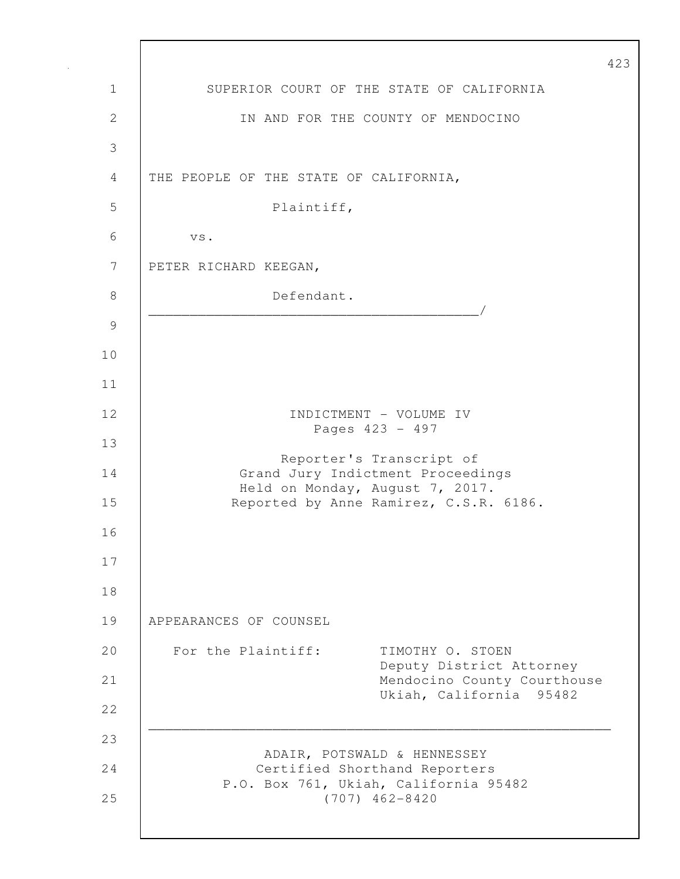423 1 SUPERIOR COURT OF THE STATE OF CALIFORNIA 2 IN AND FOR THE COUNTY OF MENDOCINO 3 4 THE PEOPLE OF THE STATE OF CALIFORNIA, 5 Plaintiff, 6 vs. 7 PETER RICHARD KEEGAN, 8 Defendant. \_\_\_\_\_\_\_\_\_\_\_\_\_\_\_\_\_\_\_\_\_\_\_\_\_\_\_\_\_\_\_\_\_\_\_\_\_\_\_\_/ 9 10 11 12 | INDICTMENT – VOLUME IV Pages 423 - 497 13 Reporter's Transcript of 14 Grand Jury Indictment Proceedings Held on Monday, August 7, 2017. 15 Reported by Anne Ramirez, C.S.R. 6186. 16 17 18 19 APPEARANCES OF COUNSEL 20 For the Plaintiff: TIMOTHY O. STOEN Deputy District Attorney 21 Mendocino County Courthouse Ukiah, California 95482 22 \_\_\_\_\_\_\_\_\_\_\_\_\_\_\_\_\_\_\_\_\_\_\_\_\_\_\_\_\_\_\_\_\_\_\_\_\_\_\_\_\_\_\_\_\_\_\_\_\_\_\_\_\_\_\_\_ 23 ADAIR, POTSWALD & HENNESSEY 24 Certified Shorthand Reporters P.O. Box 761, Ukiah, California 95482 25 (707) 462-8420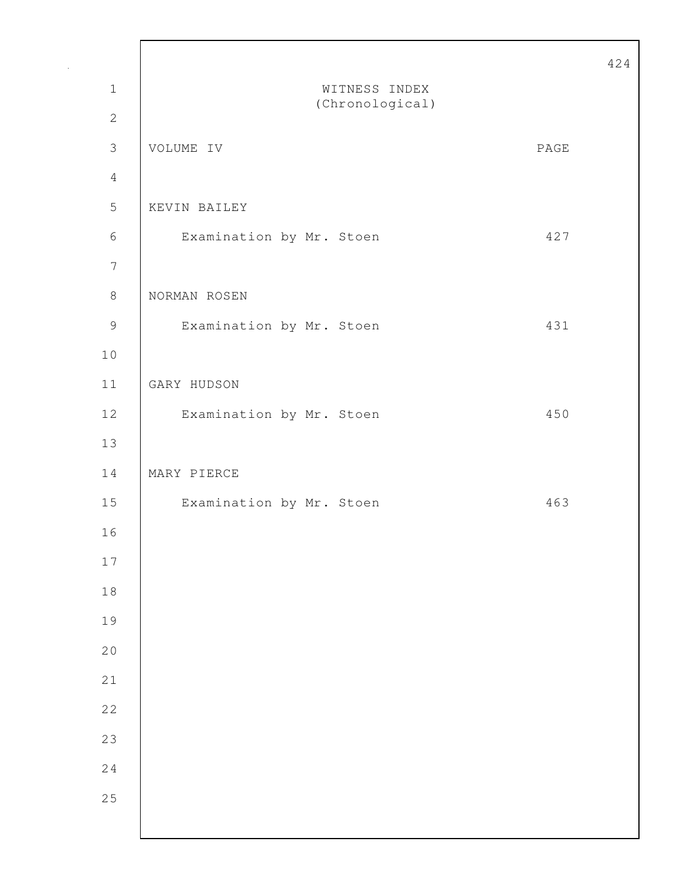|                  |                          |      | 424 |
|------------------|--------------------------|------|-----|
| $1\,$            | WITNESS INDEX            |      |     |
| $\mathbf{2}$     | (Chronological)          |      |     |
| $\mathfrak{Z}$   | VOLUME IV                | PAGE |     |
| $\overline{4}$   |                          |      |     |
| 5                | KEVIN BAILEY             |      |     |
| $\sqrt{6}$       | Examination by Mr. Stoen | 427  |     |
| $\boldsymbol{7}$ |                          |      |     |
| $\,8\,$          | NORMAN ROSEN             |      |     |
| $\mathsf 9$      | Examination by Mr. Stoen | 431  |     |
| 10               |                          |      |     |
| 11               | GARY HUDSON              |      |     |
| $1\,2$           | Examination by Mr. Stoen | 450  |     |
| 13               |                          |      |     |
| 14               | MARY PIERCE              |      |     |
| 15               | Examination by Mr. Stoen | 463  |     |
| 16               |                          |      |     |
| 17               |                          |      |     |
| 18               |                          |      |     |
| 19               |                          |      |     |
| 20               |                          |      |     |
| 21               |                          |      |     |
| 22               |                          |      |     |
| 23               |                          |      |     |
| 24               |                          |      |     |
| 25               |                          |      |     |
|                  |                          |      |     |

Г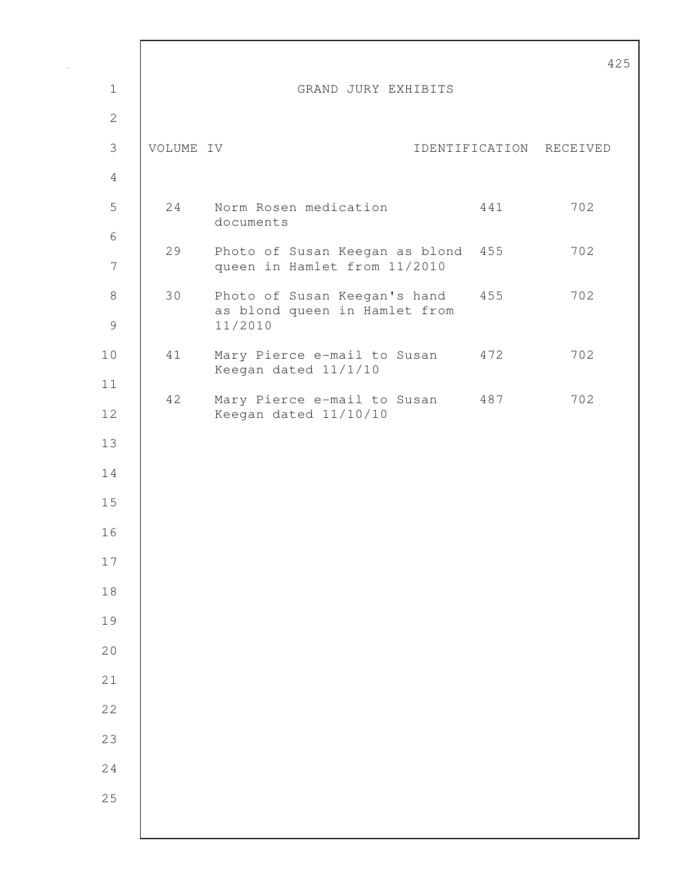|                |           |                                                                    |                         | 4   |
|----------------|-----------|--------------------------------------------------------------------|-------------------------|-----|
| $\mathbf 1$    |           | GRAND JURY EXHIBITS                                                |                         |     |
| $\mathbf{2}$   |           |                                                                    |                         |     |
| $\mathfrak{Z}$ | VOLUME IV |                                                                    | IDENTIFICATION RECEIVED |     |
| $\overline{4}$ |           |                                                                    |                         |     |
| 5              | 24        | Norm Rosen medication<br>documents                                 | 441                     | 702 |
| 6              |           |                                                                    |                         |     |
| $\overline{7}$ | 29        | Photo of Susan Keegan as blond 455<br>queen in Hamlet from 11/2010 |                         | 702 |
| $8\,$          | 30        | Photo of Susan Keegan's hand 455<br>as blond queen in Hamlet from  |                         | 702 |
| $\mathcal{G}$  |           | 11/2010                                                            |                         |     |
| 10             | 41        | Mary Pierce e-mail to Susan 472                                    |                         | 702 |
| 11             |           | Keegan dated 11/1/10                                               |                         |     |
| 12             | 42        | Mary Pierce e-mail to Susan 487<br>Keegan dated 11/10/10           |                         | 702 |
| 13             |           |                                                                    |                         |     |
| 14             |           |                                                                    |                         |     |
| 15             |           |                                                                    |                         |     |
| 16             |           |                                                                    |                         |     |
| 17             |           |                                                                    |                         |     |
| 18             |           |                                                                    |                         |     |
| 19             |           |                                                                    |                         |     |
| 20             |           |                                                                    |                         |     |
| 21             |           |                                                                    |                         |     |
| 22             |           |                                                                    |                         |     |
| 23             |           |                                                                    |                         |     |
| 24             |           |                                                                    |                         |     |
| 25             |           |                                                                    |                         |     |
|                |           |                                                                    |                         |     |

Г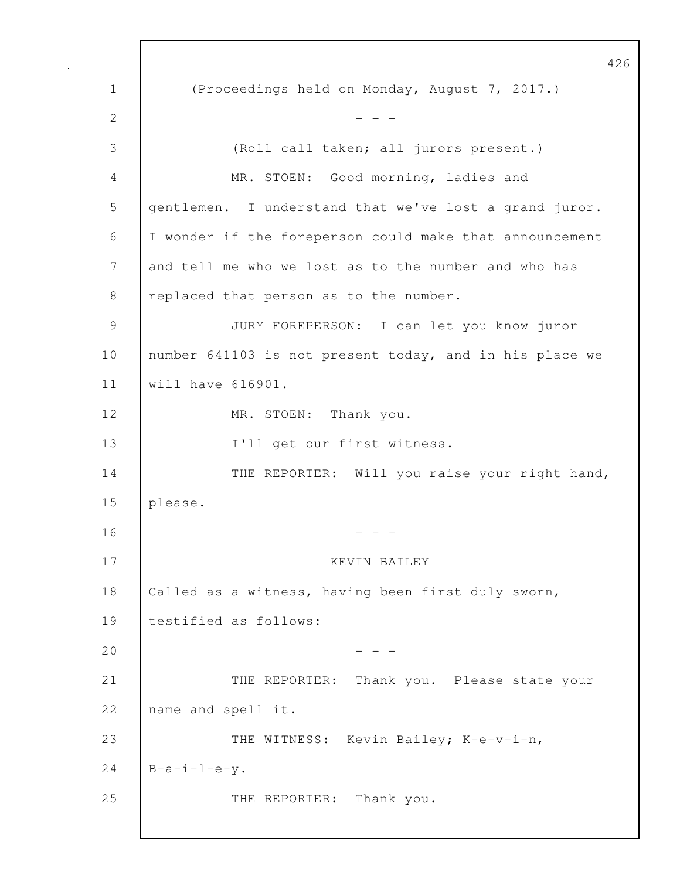1 (Proceedings held on Monday, August 7, 2017.) 2  $- - -$ 3 (Roll call taken; all jurors present.) 4 MR. STOEN: Good morning, ladies and 5 gentlemen. I understand that we've lost a grand juror. 6 I wonder if the foreperson could make that announcement 7 and tell me who we lost as to the number and who has 8 | replaced that person as to the number. 9 JURY FOREPERSON: I can let you know juror 10 | number 641103 is not present today, and in his place we 11 will have 616901. 12 | MR. STOEN: Thank you. 13 I'll get our first witness. 14 THE REPORTER: Will you raise your right hand, 15 please.  $16$  - - -17 KEVIN BAILEY 18 | Called as a witness, having been first duly sworn, 19 testified as follows:  $20$  - - -21 | THE REPORTER: Thank you. Please state your 22 name and spell it. 23 THE WITNESS: Kevin Bailey; K-e-v-i-n, 24  $B-a-i-l-e-y$ . 25 | THE REPORTER: Thank you.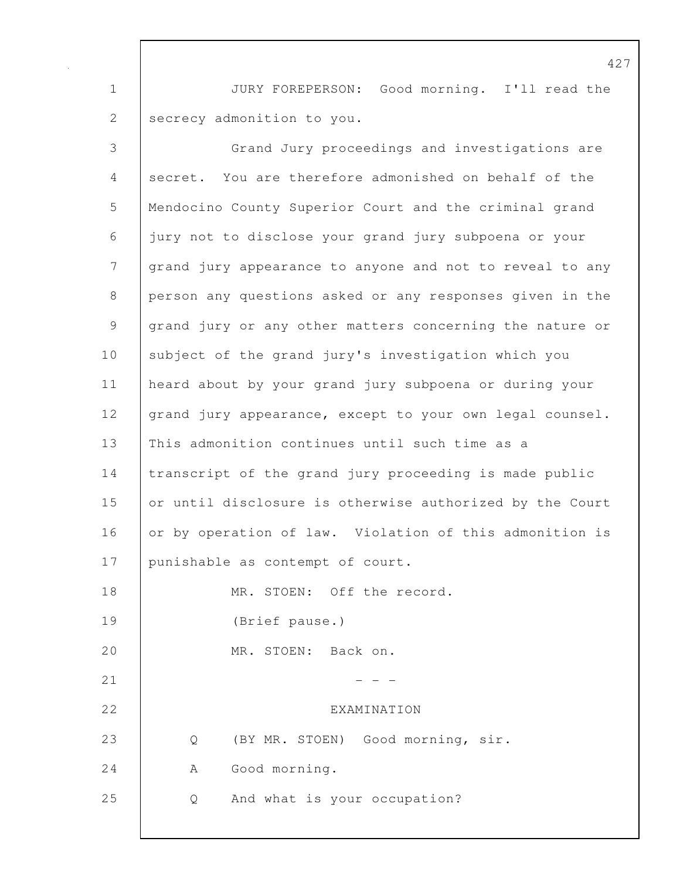1 JURY FOREPERSON: Good morning. I'll read the 2 secrecy admonition to you.

| 3               | Grand Jury proceedings and investigations are            |
|-----------------|----------------------------------------------------------|
| 4               | secret. You are therefore admonished on behalf of the    |
| 5               | Mendocino County Superior Court and the criminal grand   |
| 6               | jury not to disclose your grand jury subpoena or your    |
| $7\phantom{.0}$ | grand jury appearance to anyone and not to reveal to any |
| $8\,$           | person any questions asked or any responses given in the |
| 9               | grand jury or any other matters concerning the nature or |
| 10              | subject of the grand jury's investigation which you      |
| 11              | heard about by your grand jury subpoena or during your   |
| 12              | grand jury appearance, except to your own legal counsel. |
| 13              | This admonition continues until such time as a           |
| 14              | transcript of the grand jury proceeding is made public   |
| 15              | or until disclosure is otherwise authorized by the Court |
| 16              | or by operation of law. Violation of this admonition is  |
| 17              | punishable as contempt of court.                         |
| 18              | MR. STOEN: Off the record.                               |
| 19              | (Brief pause.)                                           |
| 20              | MR. STOEN: Back on.                                      |
| 21              |                                                          |
| 22              | EXAMINATION                                              |
| 23              | (BY MR. STOEN) Good morning, sir.<br>Q                   |
| 24              | Good morning.<br>Α                                       |
| 25              | And what is your occupation?<br>Q                        |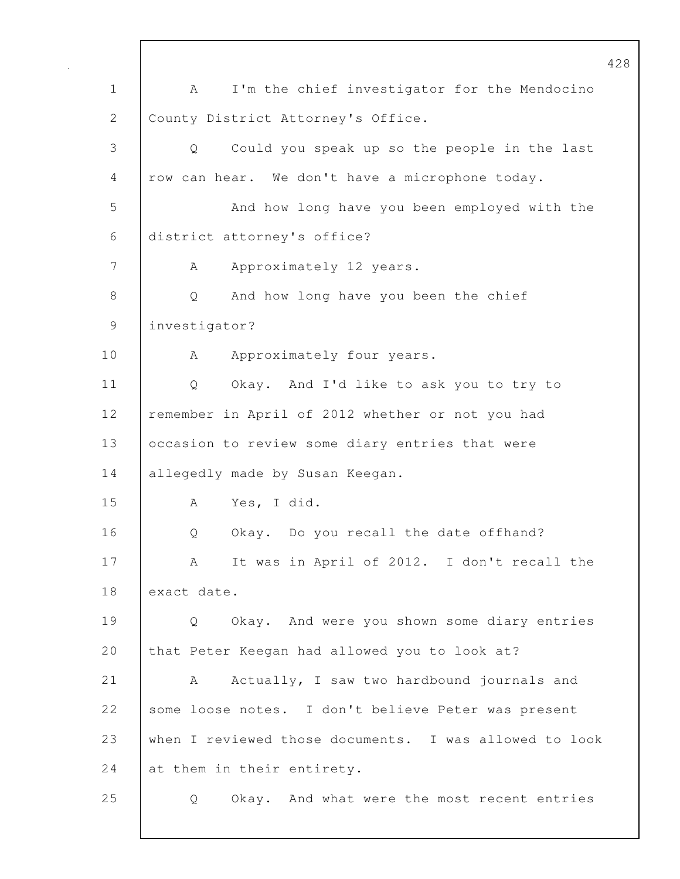1 A I'm the chief investigator for the Mendocino 2 County District Attorney's Office. 3 Q Could you speak up so the people in the last 4 row can hear. We don't have a microphone today. 5 And how long have you been employed with the 6 district attorney's office? 7 | A Approximately 12 years. 8 Q And how long have you been the chief 9 investigator? 10 A Approximately four years. 11 Q Okay. And I'd like to ask you to try to 12 | remember in April of 2012 whether or not you had 13 | occasion to review some diary entries that were 14 allegedly made by Susan Keegan. 15 A Yes, I did. 16 | O Okay. Do you recall the date offhand? 17 | A It was in April of 2012. I don't recall the 18 exact date. 19 Q Okay. And were you shown some diary entries 20 that Peter Keegan had allowed you to look at? 21 | A Actually, I saw two hardbound journals and 22 some loose notes. I don't believe Peter was present 23 when I reviewed those documents. I was allowed to look 24 at them in their entirety. 25 Q Okay. And what were the most recent entries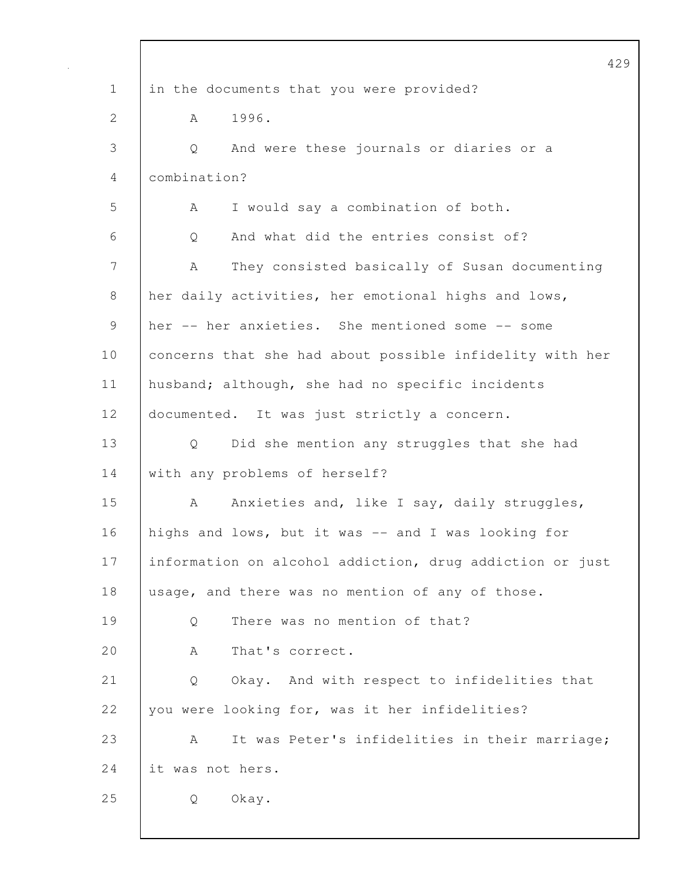|             | 42                                                       |
|-------------|----------------------------------------------------------|
| $\mathbf 1$ | in the documents that you were provided?                 |
| 2           | 1996.<br>A                                               |
| 3           | And were these journals or diaries or a<br>Q             |
| 4           | combination?                                             |
| 5           | I would say a combination of both.<br>A                  |
| 6           | And what did the entries consist of?<br>Q                |
| 7           | They consisted basically of Susan documenting<br>A       |
| 8           | her daily activities, her emotional highs and lows,      |
| 9           | her -- her anxieties. She mentioned some -- some         |
| 10          | concerns that she had about possible infidelity with her |
| 11          | husband; although, she had no specific incidents         |
| 12          | documented. It was just strictly a concern.              |
| 13          | Did she mention any struggles that she had<br>Q          |
| 14          | with any problems of herself?                            |
| 15          | Anxieties and, like I say, daily struggles,<br>A         |
| 16          | highs and lows, but it was -- and I was looking for      |
| 17          | information on alcohol addiction, drug addiction or just |
| 18          | usage, and there was no mention of any of those.         |
| 19          | There was no mention of that?<br>Q                       |
| 20          | That's correct.<br>A                                     |
| 21          | Okay. And with respect to infidelities that<br>Q         |
| 22          | you were looking for, was it her infidelities?           |
| 23          | It was Peter's infidelities in their marriage;<br>A      |
| 24          | it was not hers.                                         |
| 25          | Okay.<br>Q                                               |
|             |                                                          |

 $\mathbf{I}$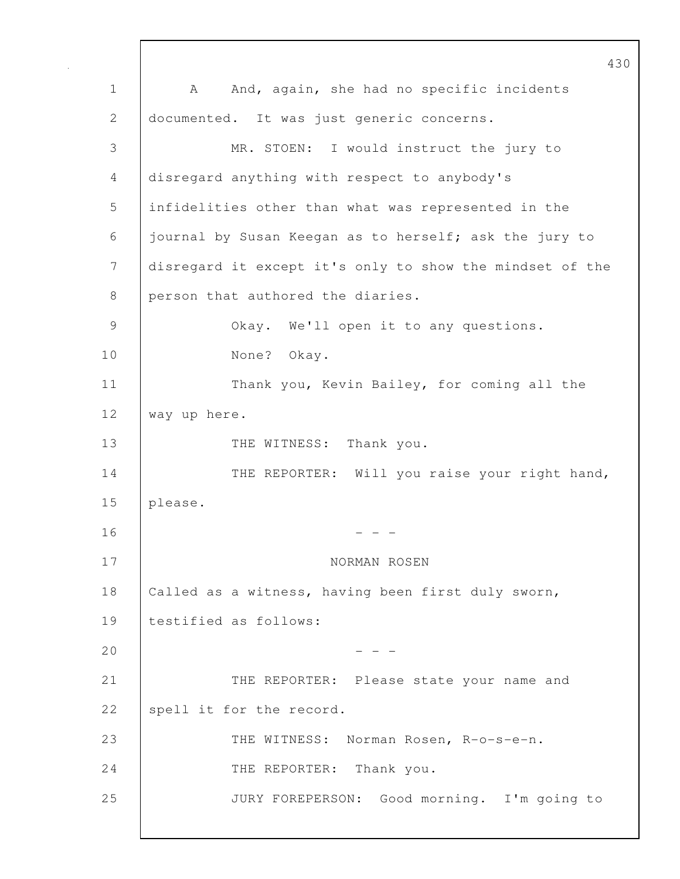430 1 | A And, again, she had no specific incidents 2 documented. It was just generic concerns. 3 MR. STOEN: I would instruct the jury to 4 disregard anything with respect to anybody's 5 infidelities other than what was represented in the 6 journal by Susan Keegan as to herself; ask the jury to 7 disregard it except it's only to show the mindset of the 8 person that authored the diaries. 9 Okay. We'll open it to any questions. 10 None? Okay. 11 | Thank you, Kevin Bailey, for coming all the 12 way up here. 13 THE WITNESS: Thank you. 14 THE REPORTER: Will you raise your right hand, 15 please.  $16$  - - -17 NORMAN ROSEN 18 | Called as a witness, having been first duly sworn, 19 testified as follows:  $20$  - - -21 THE REPORTER: Please state your name and 22 Spell it for the record. 23 THE WITNESS: Norman Rosen, R-o-s-e-n. 24 THE REPORTER: Thank you. 25 JURY FOREPERSON: Good morning. I'm going to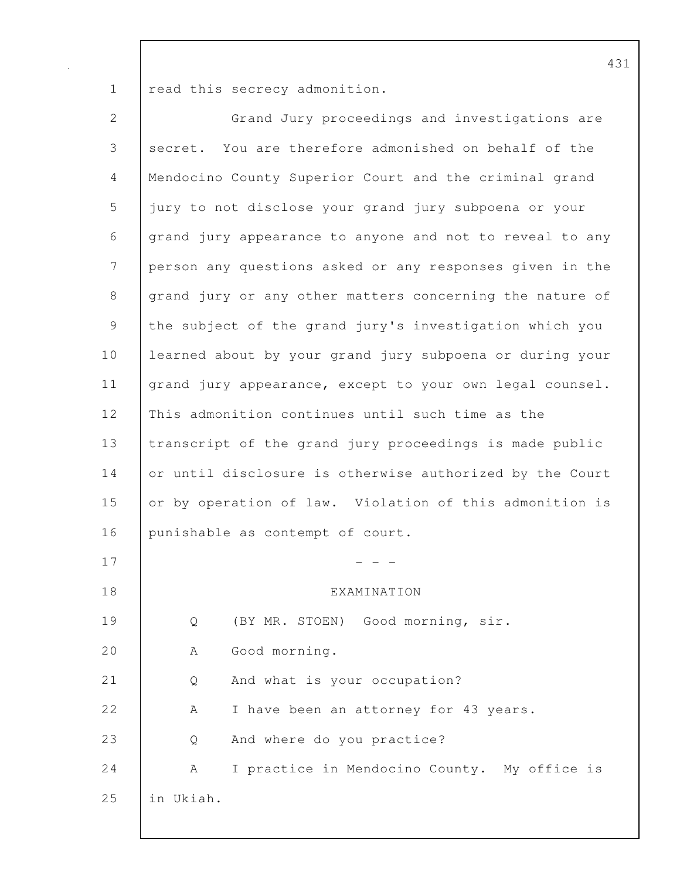1 read this secrecy admonition.

| $\mathbf{2}$   | Grand Jury proceedings and investigations are            |
|----------------|----------------------------------------------------------|
| 3              | secret. You are therefore admonished on behalf of the    |
| $\overline{4}$ | Mendocino County Superior Court and the criminal grand   |
| 5              | jury to not disclose your grand jury subpoena or your    |
| 6              | grand jury appearance to anyone and not to reveal to any |
| 7              | person any questions asked or any responses given in the |
| $8\,$          | grand jury or any other matters concerning the nature of |
| $\mathcal{G}$  | the subject of the grand jury's investigation which you  |
| 10             | learned about by your grand jury subpoena or during your |
| 11             | grand jury appearance, except to your own legal counsel. |
| 12             | This admonition continues until such time as the         |
| 13             | transcript of the grand jury proceedings is made public  |
| 14             | or until disclosure is otherwise authorized by the Court |
| 15             | or by operation of law. Violation of this admonition is  |
| 16             | punishable as contempt of court.                         |
| 17             |                                                          |
| 18             | EXAMINATION                                              |
| 19             | (BY MR. STOEN) Good morning, sir.<br>Q                   |
| 20             | Good morning.<br>Α                                       |
| 21             | And what is your occupation?<br>Q                        |
| 22             | I have been an attorney for 43 years.<br>А               |
| 23             | And where do you practice?<br>Q                          |
| 24             | I practice in Mendocino County. My office is<br>А        |
| 25             | in Ukiah.                                                |
|                |                                                          |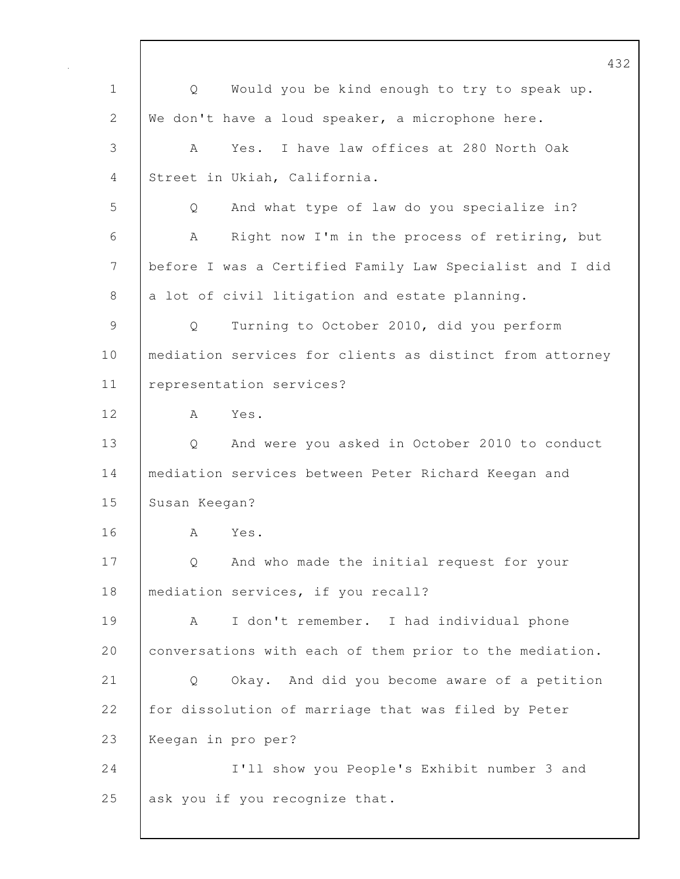432 1 Q Would you be kind enough to try to speak up. 2 | We don't have a loud speaker, a microphone here. 3 A Yes. I have law offices at 280 North Oak 4 Street in Ukiah, California. 5 Q And what type of law do you specialize in? 6 A Right now I'm in the process of retiring, but 7 before I was a Certified Family Law Specialist and I did 8 a lot of civil litigation and estate planning. 9 Q Turning to October 2010, did you perform 10 | mediation services for clients as distinct from attorney 11 representation services? 12 A Yes. 13 Q And were you asked in October 2010 to conduct 14 mediation services between Peter Richard Keegan and 15 Susan Keegan? 16 A Yes. 17 Q And who made the initial request for your 18 | mediation services, if you recall? 19 A I don't remember. I had individual phone 20 | conversations with each of them prior to the mediation. 21 Q Okay. And did you become aware of a petition 22 for dissolution of marriage that was filed by Peter 23 Keegan in pro per? 24 I'll show you People's Exhibit number 3 and 25 ask you if you recognize that.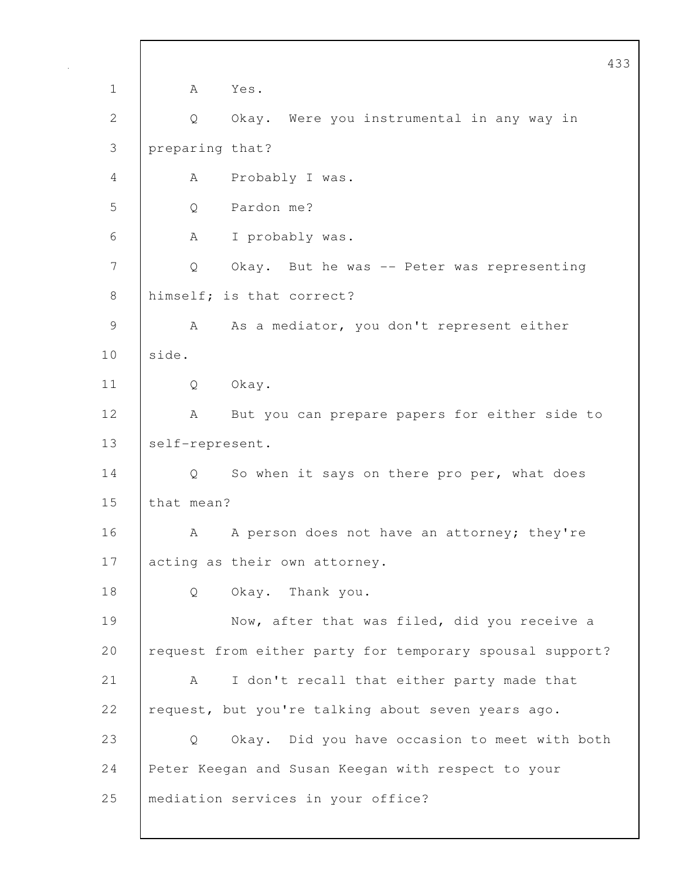|               | 433                                                      |
|---------------|----------------------------------------------------------|
| $\mathbf 1$   | A<br>Yes.                                                |
| $\mathbf{2}$  | Okay. Were you instrumental in any way in<br>Q           |
| 3             | preparing that?                                          |
| 4             | Probably I was.<br>A                                     |
| 5             | Pardon me?<br>Q                                          |
| 6             | Α<br>I probably was.                                     |
| 7             | Q<br>Okay. But he was -- Peter was representing          |
| 8             | himself; is that correct?                                |
| $\mathcal{G}$ | As a mediator, you don't represent either<br>A           |
| 10            | side.                                                    |
| 11            | Okay.<br>Q                                               |
| 12            | But you can prepare papers for either side to<br>А       |
| 13            | self-represent.                                          |
| 14            | So when it says on there pro per, what does<br>Q.        |
| 15            | that mean?                                               |
| 16            | A person does not have an attorney; they're<br>А         |
| 17            | acting as their own attorney.                            |
| 18            | Okay. Thank you.<br>Q                                    |
| 19            | Now, after that was filed, did you receive a             |
| 20            | request from either party for temporary spousal support? |
| 21            | I don't recall that either party made that<br>A          |
| 22            | request, but you're talking about seven years ago.       |
| 23            | Okay. Did you have occasion to meet with both<br>Q       |
| 24            | Peter Keegan and Susan Keegan with respect to your       |
| 25            | mediation services in your office?                       |
|               |                                                          |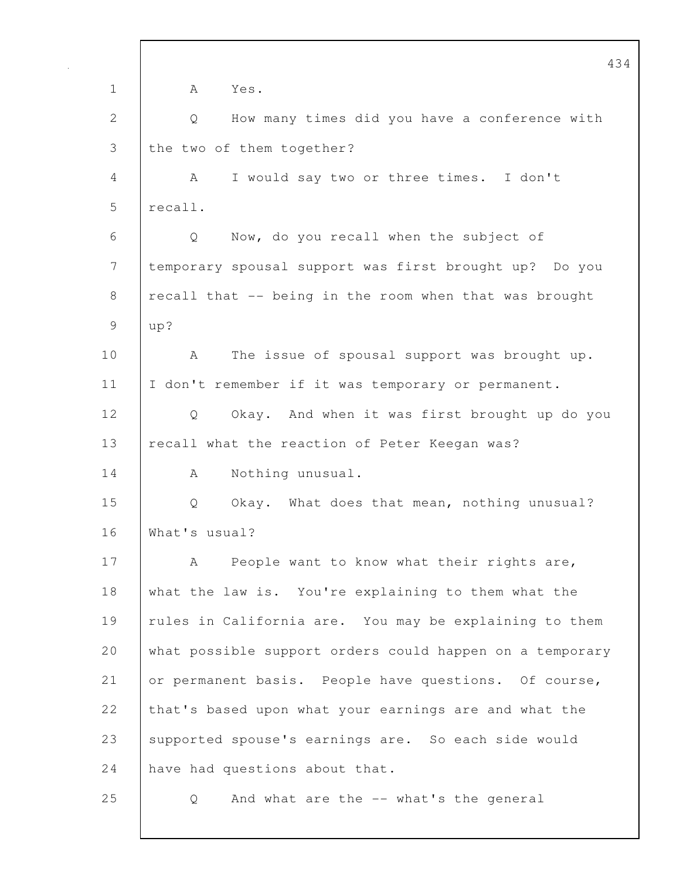434 1 A Yes. 2 Q How many times did you have a conference with 3 the two of them together? 4 A I would say two or three times. I don't 5 | recall. 6 Q Now, do you recall when the subject of 7 temporary spousal support was first brought up? Do you 8 recall that -- being in the room when that was brought 9 up? 10 | A The issue of spousal support was brought up. 11 | I don't remember if it was temporary or permanent. 12 Q Okay. And when it was first brought up do you 13 recall what the reaction of Peter Keegan was? 14 | A Nothing unusual. 15 Q Okay. What does that mean, nothing unusual? 16 What's usual? 17 | A People want to know what their rights are, 18 what the law is. You're explaining to them what the 19 | rules in California are. You may be explaining to them 20 what possible support orders could happen on a temporary 21 or permanent basis. People have questions. Of course, 22 that's based upon what your earnings are and what the 23 supported spouse's earnings are. So each side would 24 have had questions about that. 25 Q And what are the -- what's the general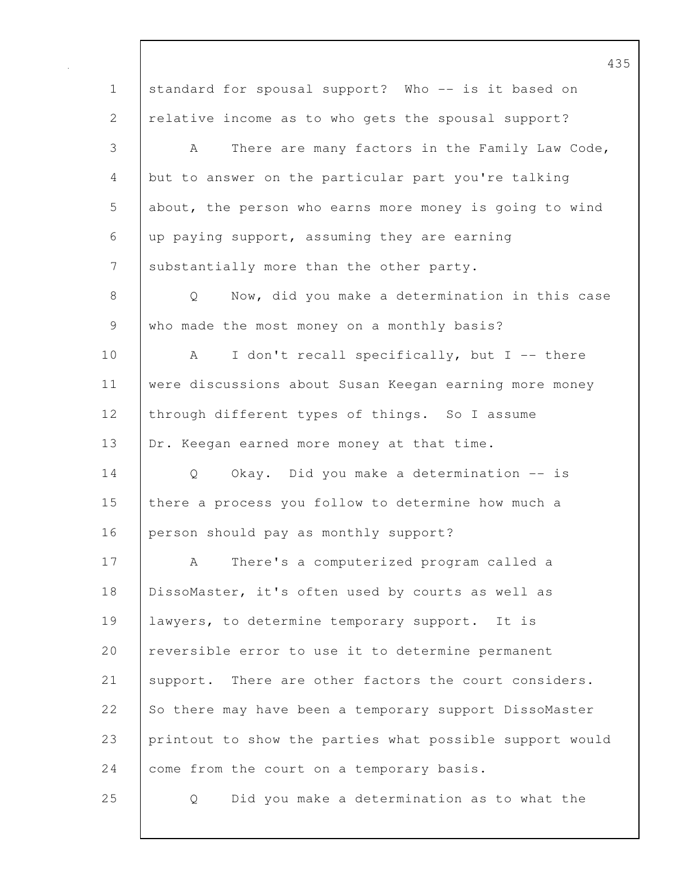1 standard for spousal support? Who -- is it based on 2 | relative income as to who gets the spousal support? 3 A There are many factors in the Family Law Code, 4 but to answer on the particular part you're talking 5 about, the person who earns more money is going to wind 6 up paying support, assuming they are earning 7 Substantially more than the other party. 8 | Q Now, did you make a determination in this case 9 who made the most money on a monthly basis? 10 | A I don't recall specifically, but I -- there 11 were discussions about Susan Keegan earning more money 12 through different types of things. So I assume 13 | Dr. Keegan earned more money at that time. 14 Q Okay. Did you make a determination -- is 15 there a process you follow to determine how much a 16 person should pay as monthly support? 17 A There's a computerized program called a 18 DissoMaster, it's often used by courts as well as 19 lawyers, to determine temporary support. It is 20 reversible error to use it to determine permanent 21 Support. There are other factors the court considers. 22 So there may have been a temporary support DissoMaster 23 printout to show the parties what possible support would 24 come from the court on a temporary basis. 25 Q Did you make a determination as to what the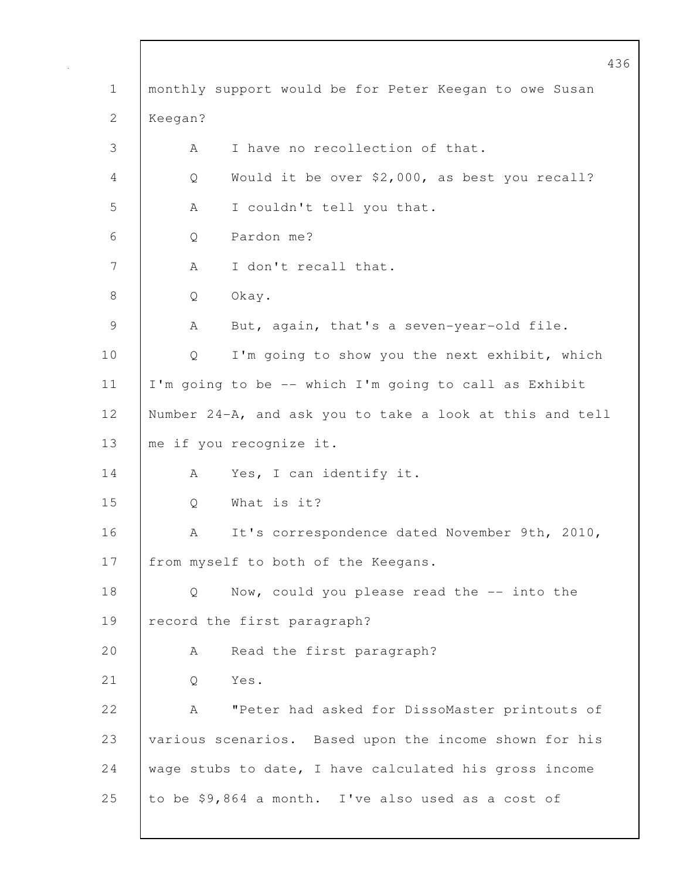|                | 436                                                      |
|----------------|----------------------------------------------------------|
| $\mathbf 1$    | monthly support would be for Peter Keegan to owe Susan   |
| $\mathbf{2}$   | Keegan?                                                  |
| 3              | I have no recollection of that.<br>А                     |
| 4              | Would it be over \$2,000, as best you recall?<br>Q       |
| 5              | I couldn't tell you that.<br>A                           |
| 6              | Pardon me?<br>Q                                          |
| $7\phantom{.}$ | I don't recall that.<br>A                                |
| 8              | Okay.<br>Q                                               |
| 9              | But, again, that's a seven-year-old file.<br>A           |
| 10             | I'm going to show you the next exhibit, which<br>Q       |
| 11             | I'm going to be -- which I'm going to call as Exhibit    |
| 12             | Number 24-A, and ask you to take a look at this and tell |
| 13             | me if you recognize it.                                  |
| 14             | Yes, I can identify it.<br>A                             |
| 15             | What is it?<br>Q                                         |
| 16             | It's correspondence dated November 9th, 2010,<br>Α       |
| 17             | from myself to both of the Keegans.                      |
| 18             | Now, could you please read the -- into the<br>Q          |
| 19             | record the first paragraph?                              |
| 20             | Read the first paragraph?<br>A                           |
| 21             | Yes.<br>Q                                                |
| 22             | "Peter had asked for DissoMaster printouts of<br>А       |
| 23             | various scenarios. Based upon the income shown for his   |
| 24             | wage stubs to date, I have calculated his gross income   |
| 25             | to be \$9,864 a month. I've also used as a cost of       |
|                |                                                          |

 $\mathsf{I}$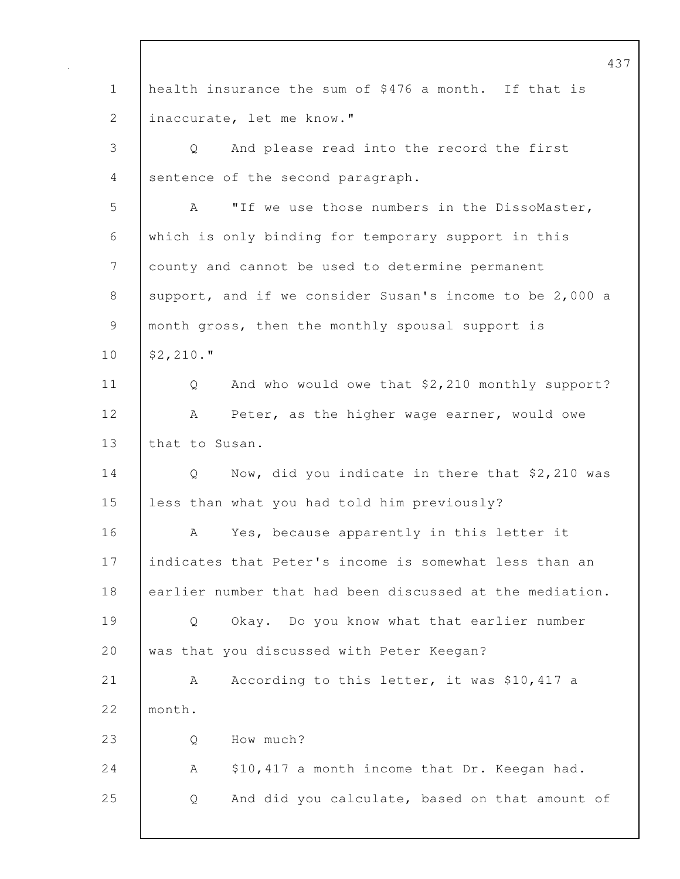437 1 health insurance the sum of \$476 a month. If that is 2 | inaccurate, let me know." 3 Q And please read into the record the first 4 sentence of the second paragraph. 5 A "If we use those numbers in the DissoMaster, 6 which is only binding for temporary support in this 7 county and cannot be used to determine permanent 8 support, and if we consider Susan's income to be 2,000 a 9 month gross, then the monthly spousal support is 10 \$2,210." 11 Q And who would owe that \$2,210 monthly support? 12 | A Peter, as the higher wage earner, would owe 13 that to Susan. 14 Q Now, did you indicate in there that \$2,210 was 15 less than what you had told him previously? 16 A Yes, because apparently in this letter it 17 indicates that Peter's income is somewhat less than an 18 earlier number that had been discussed at the mediation. 19 Q Okay. Do you know what that earlier number 20 was that you discussed with Peter Keegan? 21 A According to this letter, it was \$10,417 a 22 month. 23 Q How much? 24 A \$10,417 a month income that Dr. Keegan had. 25 Q And did you calculate, based on that amount of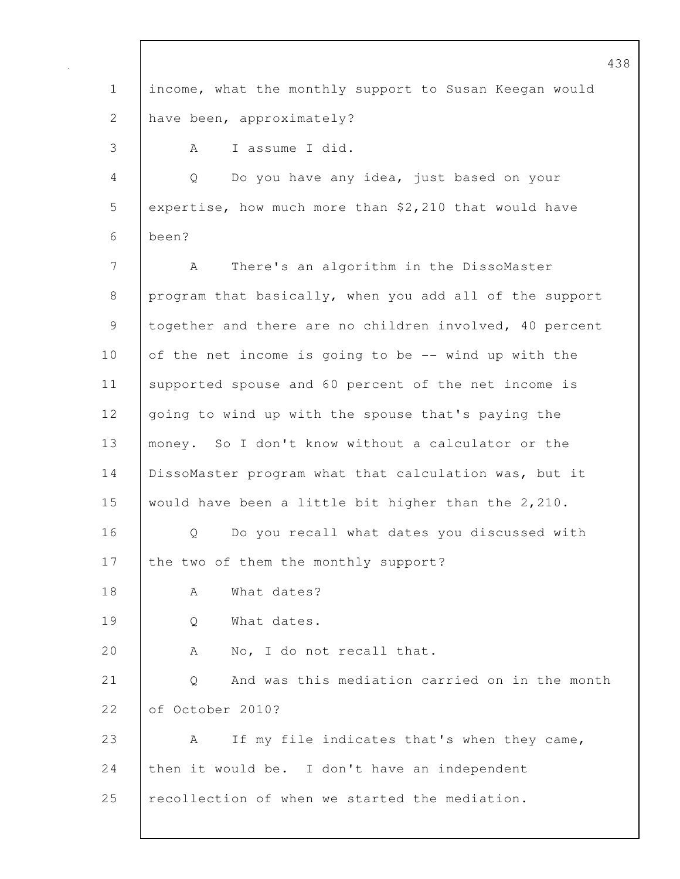438 1 | income, what the monthly support to Susan Keegan would 2 have been, approximately? 3 A I assume I did. 4 Q Do you have any idea, just based on your 5 expertise, how much more than \$2,210 that would have 6 been? 7 A There's an algorithm in the DissoMaster 8 program that basically, when you add all of the support 9 | together and there are no children involved, 40 percent 10 of the net income is going to be -- wind up with the 11 | supported spouse and 60 percent of the net income is 12 going to wind up with the spouse that's paying the 13 money. So I don't know without a calculator or the 14 | DissoMaster program what that calculation was, but it 15 would have been a little bit higher than the 2,210. 16 | O Do you recall what dates you discussed with 17 the two of them the monthly support? 18 | A What dates? 19 | O What dates. 20 A No, I do not recall that. 21 Q And was this mediation carried on in the month 22 of October 2010? 23 A If my file indicates that's when they came, 24 then it would be. I don't have an independent 25 recollection of when we started the mediation.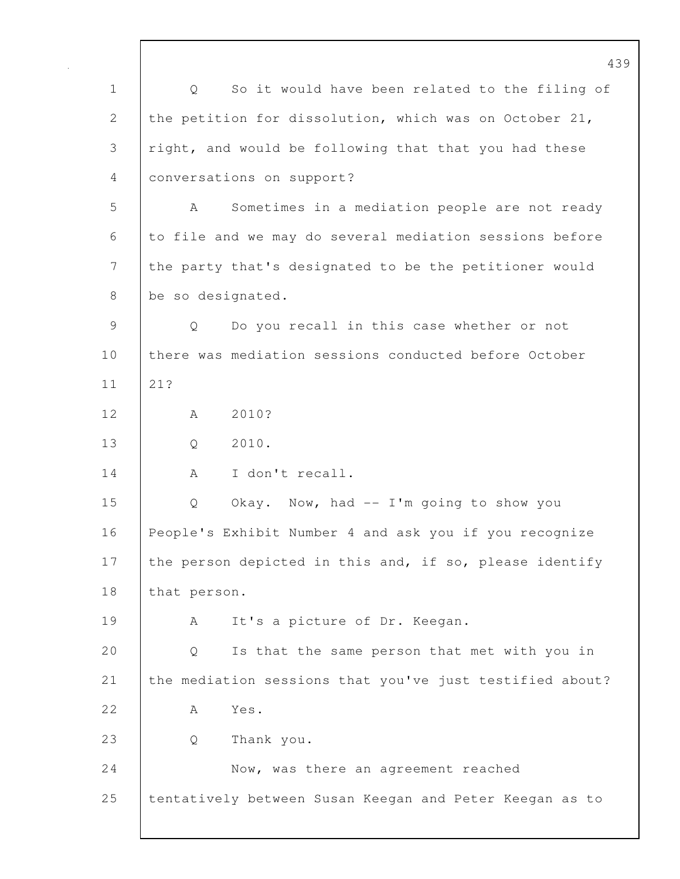439 1 Q So it would have been related to the filing of 2 the petition for dissolution, which was on October 21, 3 right, and would be following that that you had these 4 conversations on support? 5 A Sometimes in a mediation people are not ready 6 to file and we may do several mediation sessions before 7 the party that's designated to be the petitioner would 8 be so designated. 9 Q Do you recall in this case whether or not 10 there was mediation sessions conducted before October 11 21? 12 A 2010? 13 Q 2010. 14 | A I don't recall. 15 Q Okay. Now, had -- I'm going to show you 16 People's Exhibit Number 4 and ask you if you recognize 17 the person depicted in this and, if so, please identify 18 that person. 19 | A It's a picture of Dr. Keegan. 20 Q Is that the same person that met with you in 21 the mediation sessions that you've just testified about? 22 A Yes. 23 Q Thank you. 24 | Now, was there an agreement reached 25 tentatively between Susan Keegan and Peter Keegan as to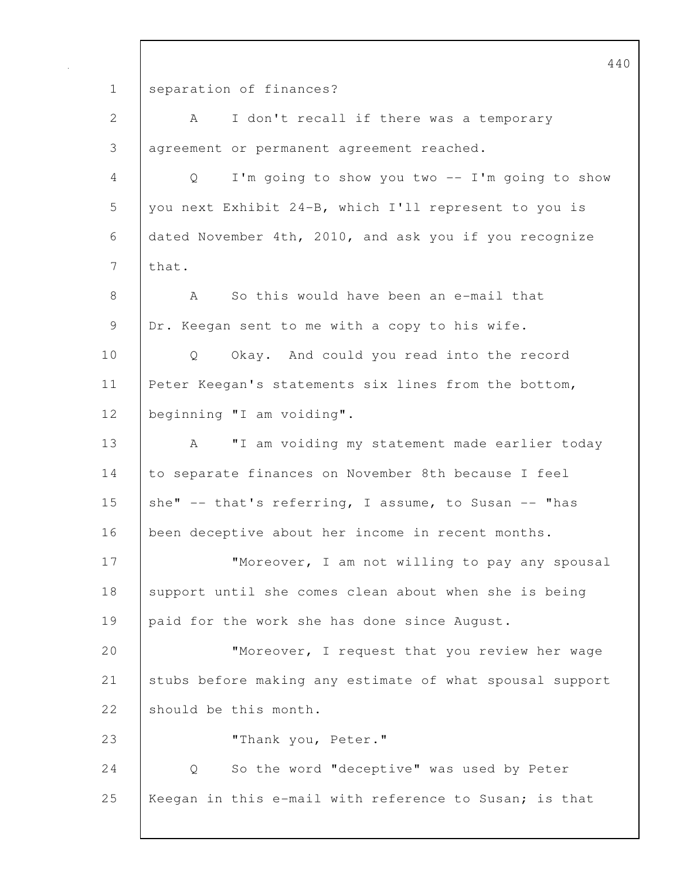440 1 separation of finances? 2 | A I don't recall if there was a temporary 3 agreement or permanent agreement reached. 4 Q I'm going to show you two -- I'm going to show 5 you next Exhibit 24-B, which I'll represent to you is 6 dated November 4th, 2010, and ask you if you recognize 7 | that. 8 A So this would have been an e-mail that 9 Dr. Keegan sent to me with a copy to his wife. 10 | Q Okay. And could you read into the record 11 Peter Keegan's statements six lines from the bottom, 12 beginning "I am voiding". 13 | A "I am voiding my statement made earlier today 14 to separate finances on November 8th because I feel 15 she"  $-$  that's referring, I assume, to Susan  $-$  "has 16 been deceptive about her income in recent months. 17 Whoreover, I am not willing to pay any spousal 18 support until she comes clean about when she is being 19 | paid for the work she has done since August. 20 | **"Moreover, I request that you review her wage** 21 stubs before making any estimate of what spousal support 22 should be this month. 23 | "Thank you, Peter." 24 | Q So the word "deceptive" was used by Peter 25 | Keegan in this e-mail with reference to Susan; is that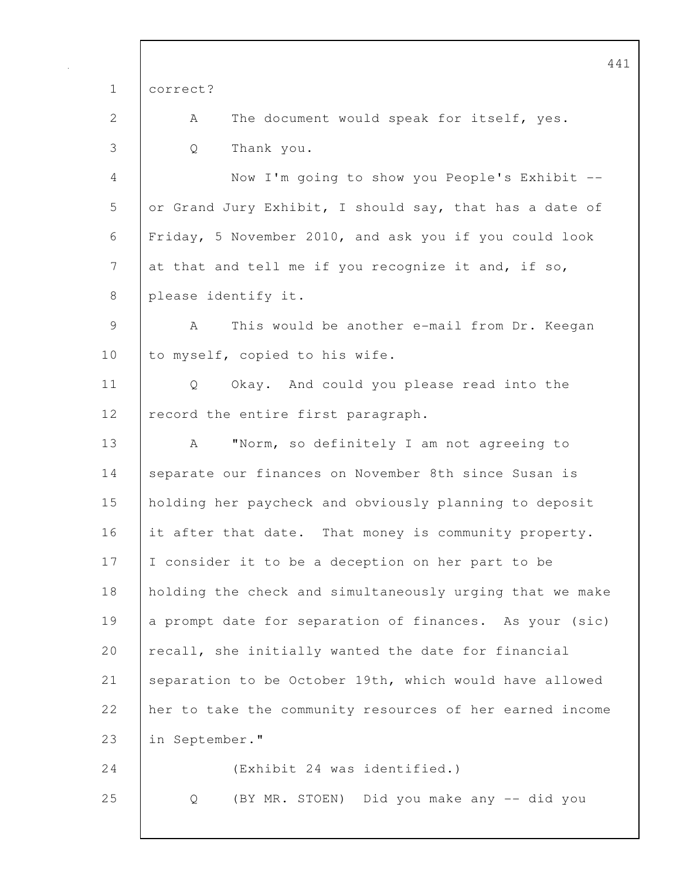|                | 44                                                            |
|----------------|---------------------------------------------------------------|
| $\mathbf 1$    | correct?                                                      |
| 2              | The document would speak for itself, yes.<br>A                |
| 3              | Thank you.<br>Q                                               |
| 4              | Now I'm going to show you People's Exhibit --                 |
| 5              | or Grand Jury Exhibit, I should say, that has a date of       |
| 6              | Friday, 5 November 2010, and ask you if you could look        |
| $\overline{7}$ | at that and tell me if you recognize it and, if so,           |
| 8              | please identify it.                                           |
| $\mathcal{G}$  | A<br>This would be another e-mail from Dr. Keegan             |
| 10             | to myself, copied to his wife.                                |
| 11             | Okay. And could you please read into the<br>$Q \qquad \qquad$ |
| 12             | record the entire first paragraph.                            |
| 13             | "Norm, so definitely I am not agreeing to<br>A                |
| 14             | separate our finances on November 8th since Susan is          |
| 15             | holding her paycheck and obviously planning to deposit        |
| 16             | it after that date. That money is community property.         |
| 17             | I consider it to be a deception on her part to be             |
| 18             | holding the check and simultaneously urging that we make      |
| 19             | a prompt date for separation of finances. As your (sic)       |
| 20             | recall, she initially wanted the date for financial           |
| 21             | separation to be October 19th, which would have allowed       |
| 22             | her to take the community resources of her earned income      |
| 23             | in September."                                                |
| 24             | (Exhibit 24 was identified.)                                  |
| 25             | (BY MR. STOEN) Did you make any -- did you<br>Q               |
|                |                                                               |

 $\mathsf{I}$ 

 $\mathbf{1}$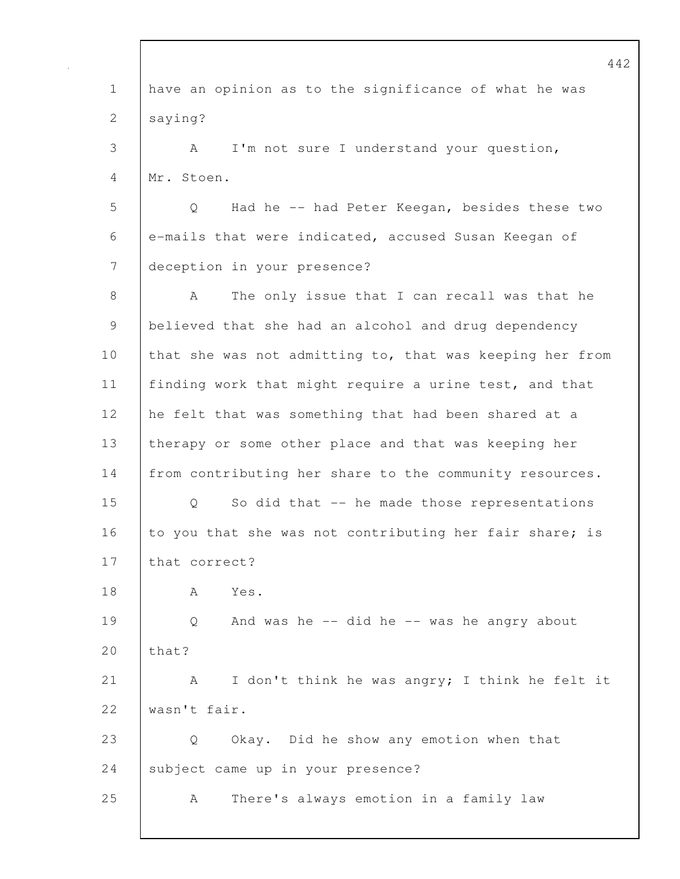442 1 have an opinion as to the significance of what he was 2 saying? 3 A I'm not sure I understand your question, 4 Mr. Stoen. 5 Q Had he -- had Peter Keegan, besides these two 6 e-mails that were indicated, accused Susan Keegan of 7 deception in your presence? 8 A The only issue that I can recall was that he 9 believed that she had an alcohol and drug dependency 10 that she was not admitting to, that was keeping her from 11 | finding work that might require a urine test, and that 12 he felt that was something that had been shared at a 13 therapy or some other place and that was keeping her 14 from contributing her share to the community resources. 15 Q So did that -- he made those representations 16 to you that she was not contributing her fair share; is 17 that correct? 18 A Yes. 19 Q And was he -- did he -- was he angry about  $20$  that? 21 A I don't think he was angry; I think he felt it 22 wasn't fair. 23 Q Okay. Did he show any emotion when that 24 subject came up in your presence? 25 A There's always emotion in a family law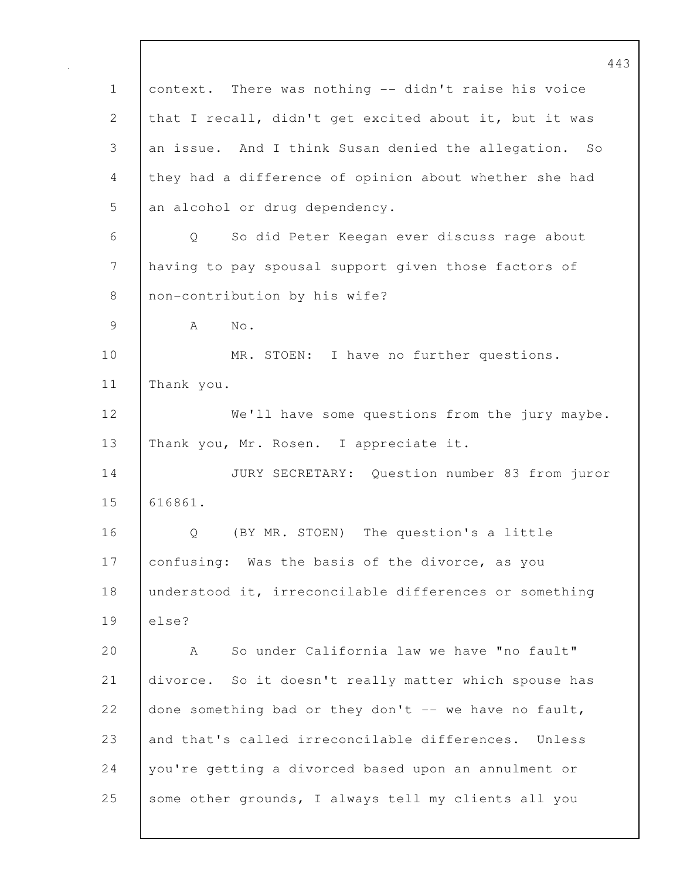443 1 context. There was nothing -- didn't raise his voice 2 that I recall, didn't get excited about it, but it was 3 an issue. And I think Susan denied the allegation. So 4 they had a difference of opinion about whether she had 5 an alcohol or drug dependency. 6 Q So did Peter Keegan ever discuss rage about 7 having to pay spousal support given those factors of 8 | non-contribution by his wife? 9 A No. 10 | MR. STOEN: I have no further questions. 11 Thank you. 12 We'll have some questions from the jury maybe. 13 | Thank you, Mr. Rosen. I appreciate it. 14 JURY SECRETARY: Question number 83 from juror 15 616861. 16 | O (BY MR. STOEN) The question's a little 17 | confusing: Was the basis of the divorce, as you 18 | understood it, irreconcilable differences or something 19 else? 20 A So under California law we have "no fault" 21 divorce. So it doesn't really matter which spouse has 22 done something bad or they don't  $-$  we have no fault, 23 and that's called irreconcilable differences. Unless 24 you're getting a divorced based upon an annulment or 25 some other grounds, I always tell my clients all you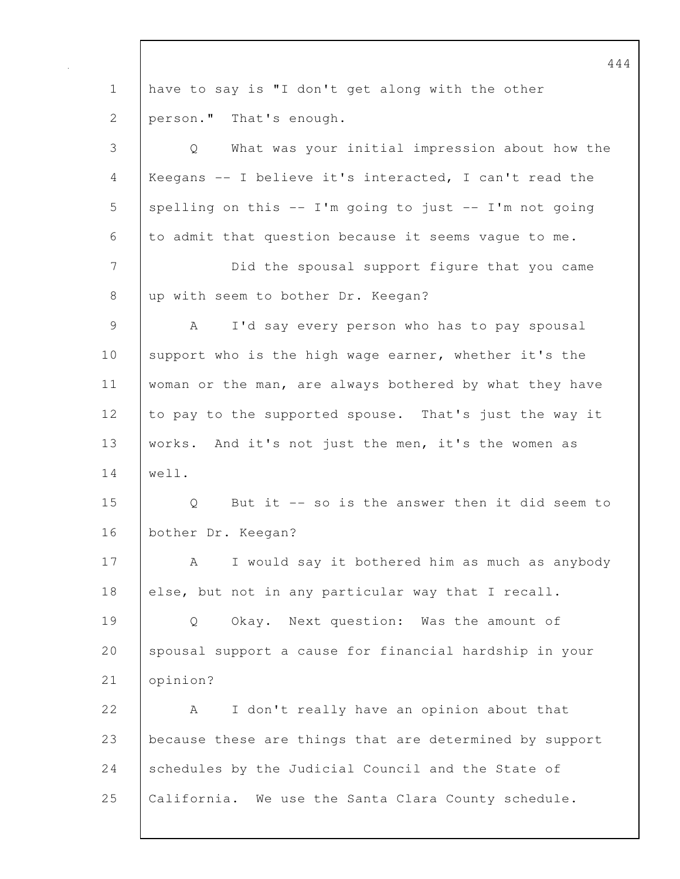444 1 have to say is "I don't get along with the other 2 **person."** That's enough. 3 Q What was your initial impression about how the 4 Keegans -- I believe it's interacted, I can't read the 5 spelling on this  $--$  I'm going to just  $--$  I'm not going 6 to admit that question because it seems vague to me. 7 Did the spousal support figure that you came 8 up with seem to bother Dr. Keegan? 9 | A I'd say every person who has to pay spousal 10 support who is the high wage earner, whether it's the 11 woman or the man, are always bothered by what they have 12 to pay to the supported spouse. That's just the way it 13 | works. And it's not just the men, it's the women as 14 well. 15 Q But it -- so is the answer then it did seem to 16 bother Dr. Keegan? 17 A I would say it bothered him as much as anybody 18 else, but not in any particular way that I recall. 19 Q Okay. Next question: Was the amount of 20 spousal support a cause for financial hardship in your 21 opinion? 22 A I don't really have an opinion about that 23 because these are things that are determined by support 24 Schedules by the Judicial Council and the State of 25 | California. We use the Santa Clara County schedule.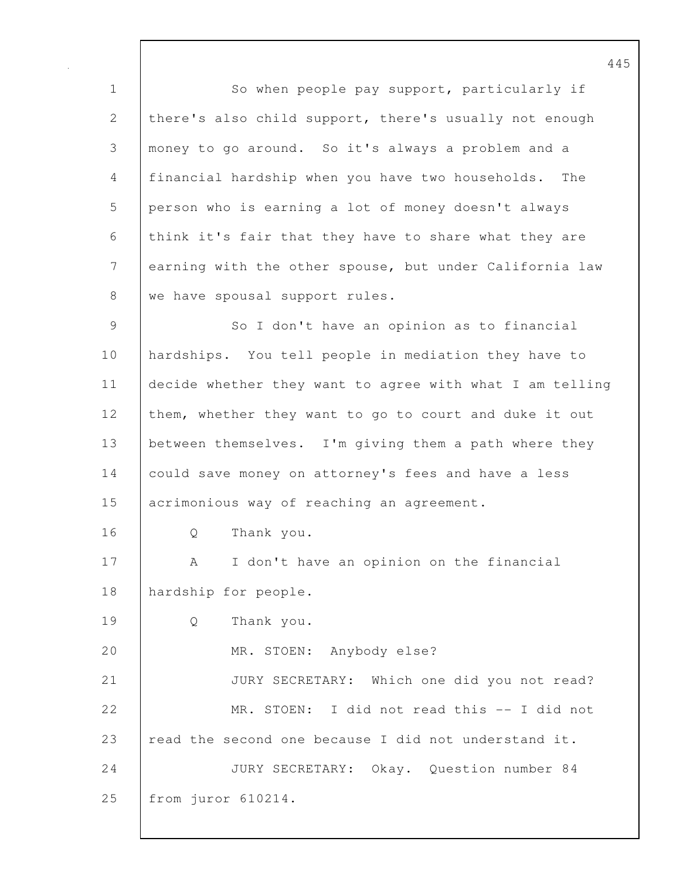1 So when people pay support, particularly if 2 there's also child support, there's usually not enough 3 money to go around. So it's always a problem and a 4 financial hardship when you have two households. The 5 person who is earning a lot of money doesn't always 6 think it's fair that they have to share what they are 7 earning with the other spouse, but under California law 8 we have spousal support rules. 9 So I don't have an opinion as to financial 10 hardships. You tell people in mediation they have to 11 decide whether they want to agree with what I am telling 12 them, whether they want to go to court and duke it out 13 between themselves. I'm giving them a path where they 14 could save money on attorney's fees and have a less 15 acrimonious way of reaching an agreement. 16 | O Thank you. 17 | A I don't have an opinion on the financial 18 hardship for people. 19 Q Thank you. 20 MR. STOEN: Anybody else? 21 JURY SECRETARY: Which one did you not read? 22 MR. STOEN: I did not read this -- I did not 23 read the second one because I did not understand it.

24 JURY SECRETARY: Okay. Question number 84 25 from juror 610214.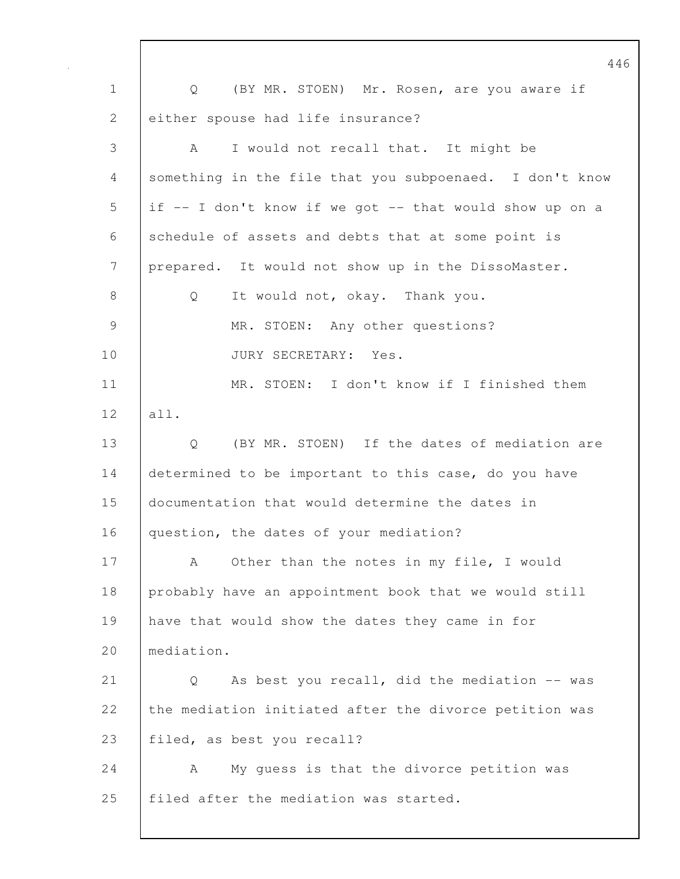446 1 | Q (BY MR. STOEN) Mr. Rosen, are you aware if 2 either spouse had life insurance? 3 A I would not recall that. It might be 4 something in the file that you subpoenaed. I don't know 5 if -- I don't know if we got -- that would show up on a 6 schedule of assets and debts that at some point is 7 prepared. It would not show up in the DissoMaster. 8 | Q It would not, okay. Thank you. 9 | MR. STOEN: Any other questions? 10 | JURY SECRETARY: Yes. 11 MR. STOEN: I don't know if I finished them 12 all. 13 | Q (BY MR. STOEN) If the dates of mediation are 14 determined to be important to this case, do you have 15 documentation that would determine the dates in 16 question, the dates of your mediation? 17 | A Other than the notes in my file, I would 18 probably have an appointment book that we would still 19 have that would show the dates they came in for 20 mediation. 21 | Q As best you recall, did the mediation -- was 22 the mediation initiated after the divorce petition was 23 | filed, as best you recall? 24 A My quess is that the divorce petition was 25 | filed after the mediation was started.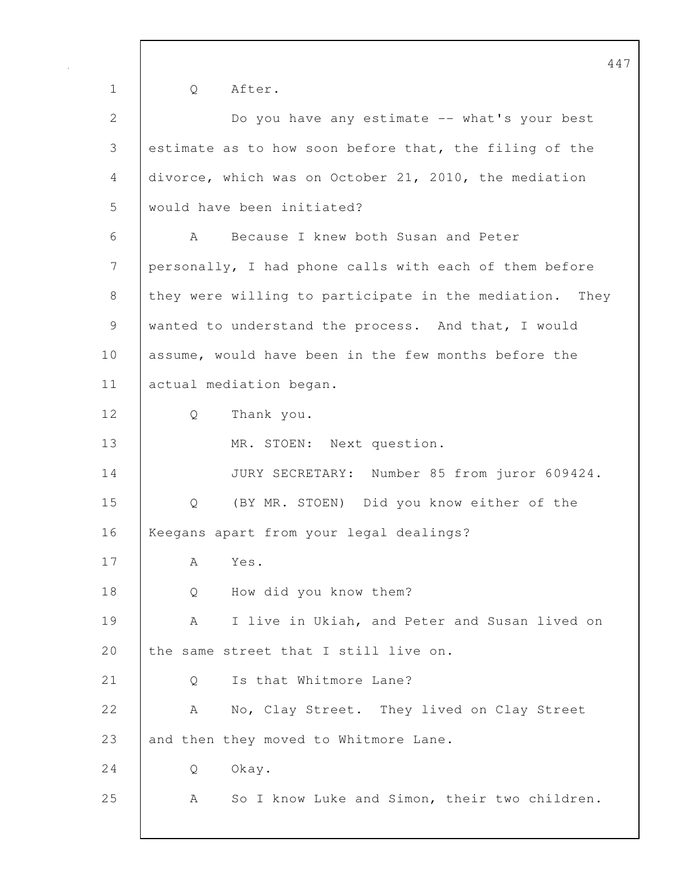1 Q After. 2 Do you have any estimate -- what's your best 3 estimate as to how soon before that, the filing of the 4 divorce, which was on October 21, 2010, the mediation 5 would have been initiated? 6 A Because I knew both Susan and Peter 7 personally, I had phone calls with each of them before 8 they were willing to participate in the mediation. They 9 wanted to understand the process. And that, I would 10 assume, would have been in the few months before the 11 | actual mediation began. 12 Q Thank you. 13 | MR. STOEN: Next question. 14 JURY SECRETARY: Number 85 from juror 609424. 15 Q (BY MR. STOEN) Did you know either of the 16 | Keegans apart from your legal dealings? 17 A Yes. 18 Q How did you know them? 19 A I live in Ukiah, and Peter and Susan lived on 20 the same street that I still live on. 21 | O Is that Whitmore Lane? 22 A No, Clay Street. They lived on Clay Street 23 and then they moved to Whitmore Lane. 24 Q Okay. 25 | A So I know Luke and Simon, their two children.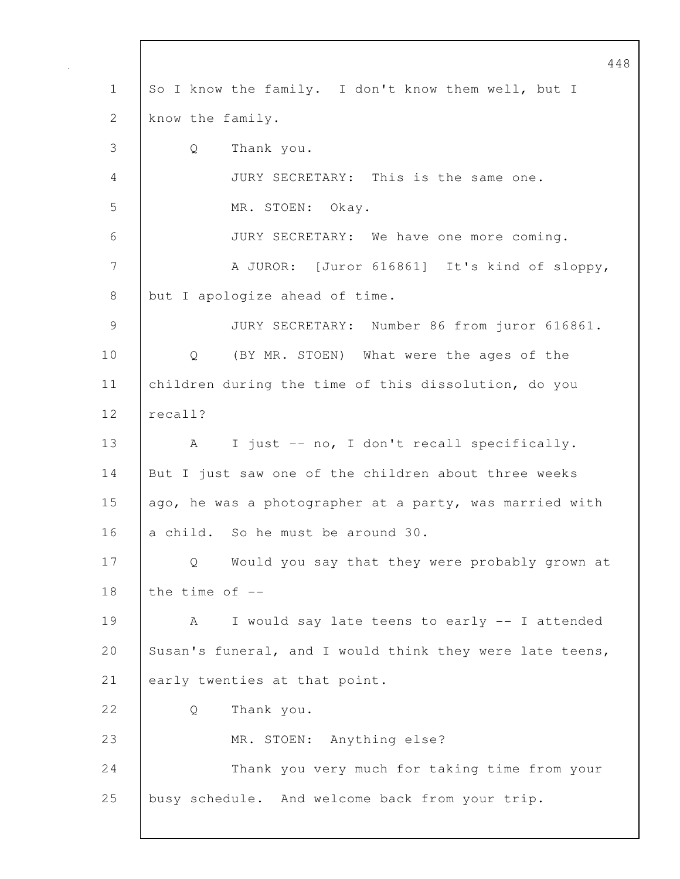448 1 So I know the family. I don't know them well, but I 2 know the family. 3 Q Thank you. 4 JURY SECRETARY: This is the same one. 5 MR. STOEN: Okay. 6 JURY SECRETARY: We have one more coming. 7 A JUROR: [Juror 616861] It's kind of sloppy, 8 but I apologize ahead of time. 9 JURY SECRETARY: Number 86 from juror 616861. 10 | Q (BY MR. STOEN) What were the ages of the 11 children during the time of this dissolution, do you 12 recall? 13 | A I just -- no, I don't recall specifically. 14 But I just saw one of the children about three weeks 15 | ago, he was a photographer at a party, was married with 16 a child. So he must be around 30. 17 Q Would you say that they were probably grown at 18 the time of  $-$ 19 A I would say late teens to early -- I attended 20 Susan's funeral, and I would think they were late teens, 21 early twenties at that point. 22 Q Thank you. 23 MR. STOEN: Anything else? 24 Thank you very much for taking time from your 25 busy schedule. And welcome back from your trip.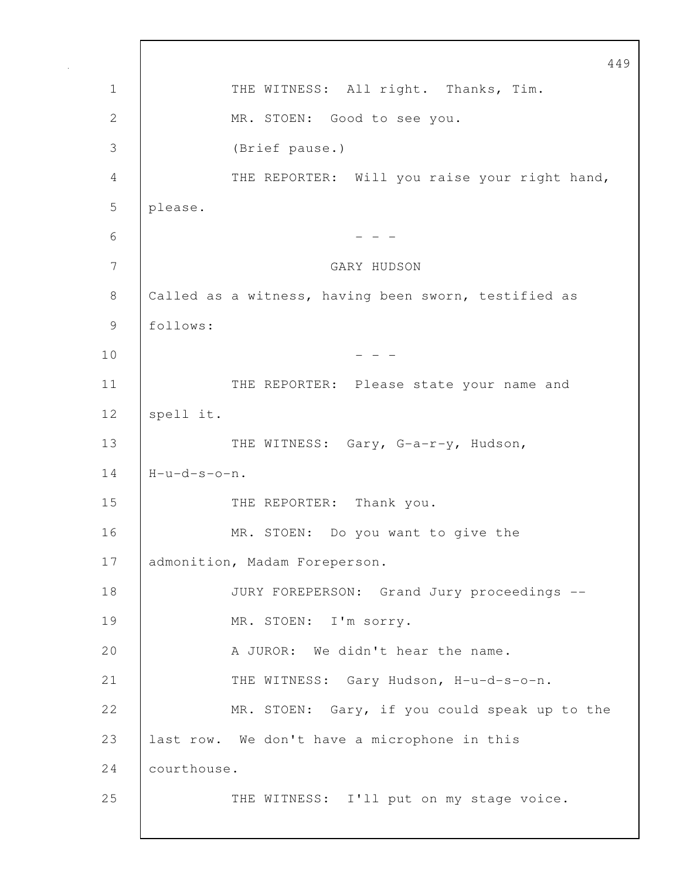449 1 | THE WITNESS: All right. Thanks, Tim. 2 | MR. STOEN: Good to see you. 3 (Brief pause.) 4 THE REPORTER: Will you raise your right hand, 5 please.  $6$  - - -7 GARY HUDSON 8 Called as a witness, having been sworn, testified as 9 follows:  $10$  - - -11 | THE REPORTER: Please state your name and 12 | spell it. 13 THE WITNESS: Gary, G-a-r-y, Hudson,  $14$   $H-u-d-s-o-n$ . 15 THE REPORTER: Thank you. 16 MR. STOEN: Do you want to give the 17 | admonition, Madam Foreperson. 18 | JURY FOREPERSON: Grand Jury proceedings --19 | MR. STOEN: I'm sorry. 20 A JUROR: We didn't hear the name. 21 THE WITNESS: Gary Hudson, H-u-d-s-o-n. 22 MR. STOEN: Gary, if you could speak up to the 23 last row. We don't have a microphone in this 24 *courthouse*. 25 THE WITNESS: I'll put on my stage voice.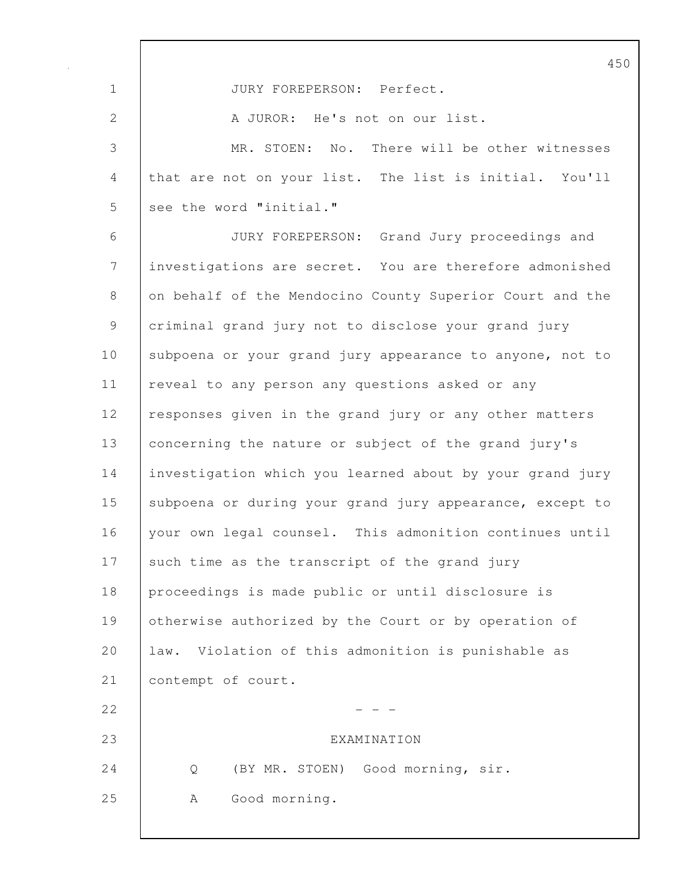450 1 JURY FOREPERSON: Perfect. 2 A JUROR: He's not on our list. 3 MR. STOEN: No. There will be other witnesses 4 that are not on your list. The list is initial. You'll 5 see the word "initial." 6 JURY FOREPERSON: Grand Jury proceedings and 7 investigations are secret. You are therefore admonished 8 on behalf of the Mendocino County Superior Court and the 9 criminal grand jury not to disclose your grand jury 10 | subpoena or your grand jury appearance to anyone, not to 11 | reveal to any person any questions asked or any 12 responses given in the grand jury or any other matters 13 concerning the nature or subject of the grand jury's 14 investigation which you learned about by your grand jury 15 | subpoena or during your grand jury appearance, except to 16 your own legal counsel. This admonition continues until 17 such time as the transcript of the grand jury 18 proceedings is made public or until disclosure is 19 | otherwise authorized by the Court or by operation of 20 | law. Violation of this admonition is punishable as 21 | contempt of court.  $22$  - - -23 EXAMINATION 24 | Q (BY MR. STOEN) Good morning, sir. 25 | A Good morning.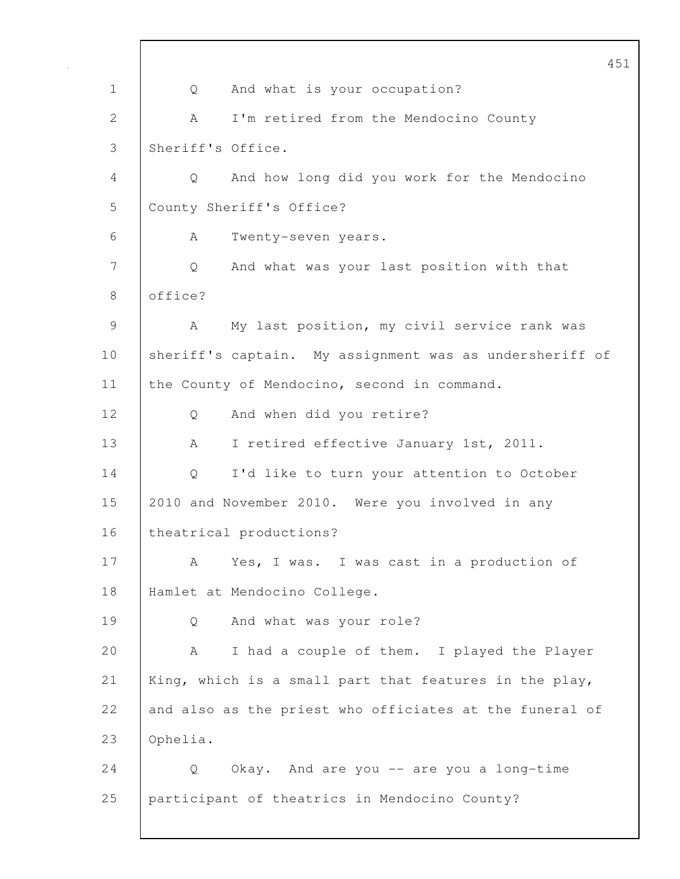451 1 | Q And what is your occupation? 2 A I'm retired from the Mendocino County 3 | Sheriff's Office. 4 Q And how long did you work for the Mendocino 5 County Sheriff's Office? 6 A Twenty-seven years. 7 Q And what was your last position with that 8 office? 9 A My last position, my civil service rank was 10 sheriff's captain. My assignment was as undersheriff of 11 the County of Mendocino, second in command. 12 | Q And when did you retire? 13 | A I retired effective January 1st, 2011. 14 | Q I'd like to turn your attention to October 15 2010 and November 2010. Were you involved in any 16 | theatrical productions? 17 | A Yes, I was. I was cast in a production of 18 Hamlet at Mendocino College. 19 Q And what was your role? 20 A I had a couple of them. I played the Player 21 | King, which is a small part that features in the play, 22 and also as the priest who officiates at the funeral of 23 Ophelia. 24 Q Okay. And are you -- are you a long-time 25 participant of theatrics in Mendocino County?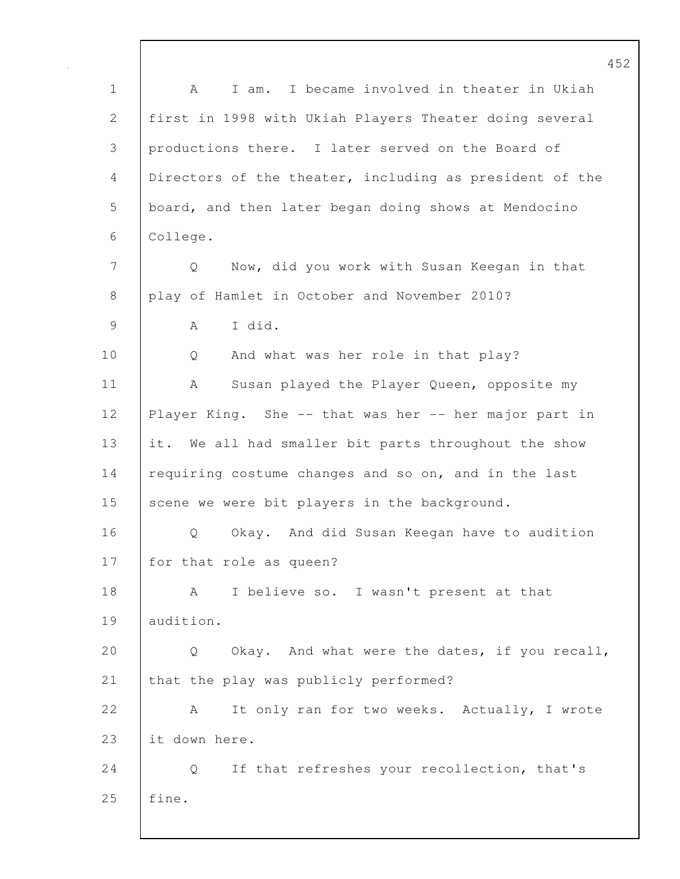452 1 A I am. I became involved in theater in Ukiah 2 first in 1998 with Ukiah Players Theater doing several 3 productions there. I later served on the Board of 4 Directors of the theater, including as president of the 5 board, and then later began doing shows at Mendocino 6 College. 7 Q Now, did you work with Susan Keegan in that 8 play of Hamlet in October and November 2010? 9 A I did. 10 | Q And what was her role in that play? 11 | A Susan played the Player Queen, opposite my 12 Player King. She -- that was her -- her major part in 13 it. We all had smaller bit parts throughout the show 14 requiring costume changes and so on, and in the last 15 scene we were bit players in the background. 16 | O Okay. And did Susan Keegan have to audition 17 for that role as queen? 18 | A I believe so. I wasn't present at that 19 audition. 20 | Q Okay. And what were the dates, if you recall, 21 that the play was publicly performed? 22 A It only ran for two weeks. Actually, I wrote 23 it down here. 24 Q If that refreshes your recollection, that's 25 fine.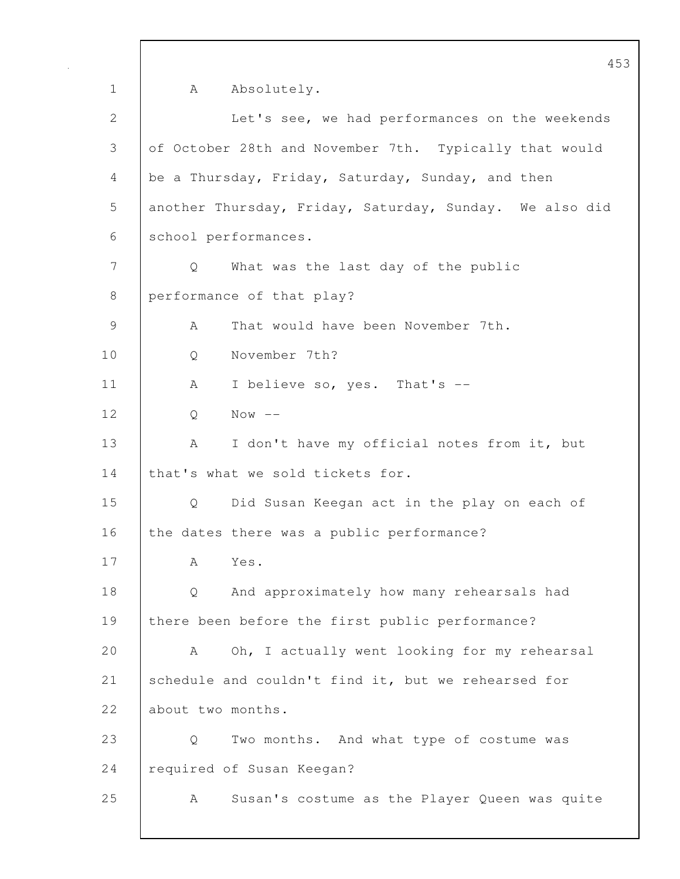1 A Absolutely. 2 Let's see, we had performances on the weekends 3 of October 28th and November 7th. Typically that would 4 be a Thursday, Friday, Saturday, Sunday, and then 5 another Thursday, Friday, Saturday, Sunday. We also did 6 school performances. 7 Q What was the last day of the public 8 performance of that play? 9 A That would have been November 7th. 10 Q November 7th? 11 | A I believe so, yes. That's --12 Q Now -- 13 | A I don't have my official notes from it, but 14 | that's what we sold tickets for. 15 Q Did Susan Keegan act in the play on each of 16 the dates there was a public performance? 17 A Yes. 18 Q And approximately how many rehearsals had 19 | there been before the first public performance? 20 A Oh, I actually went looking for my rehearsal 21 schedule and couldn't find it, but we rehearsed for 22 about two months. 23 Q Two months. And what type of costume was 24 required of Susan Keegan? 25 A Susan's costume as the Player Queen was quite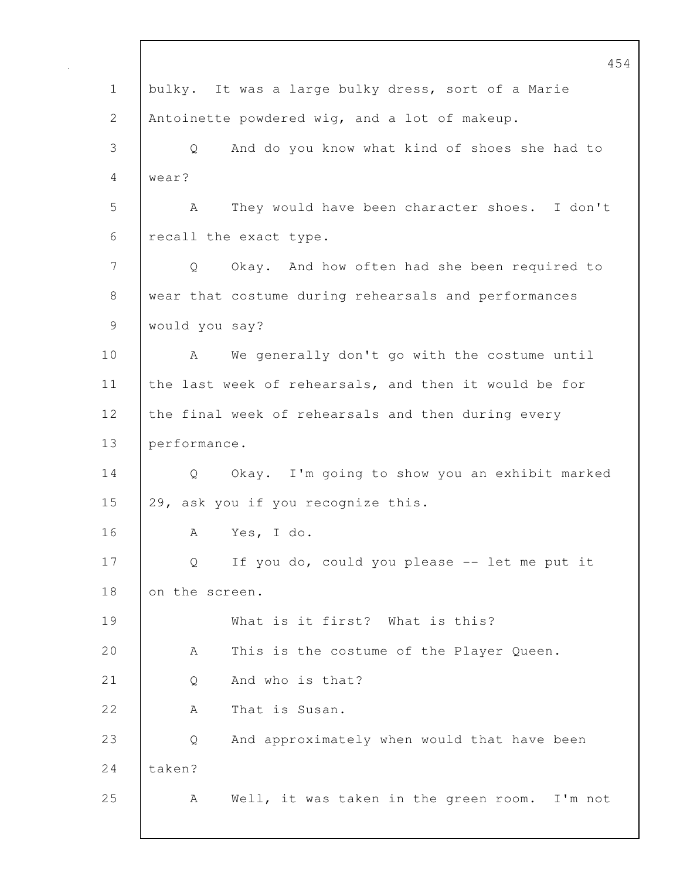|             | 454                                                   |
|-------------|-------------------------------------------------------|
| $\mathbf 1$ | bulky. It was a large bulky dress, sort of a Marie    |
| 2           | Antoinette powdered wig, and a lot of makeup.         |
| 3           | And do you know what kind of shoes she had to<br>Q    |
| 4           | wear?                                                 |
| 5           | A<br>They would have been character shoes. I don't    |
| 6           | recall the exact type.                                |
| 7           | Okay. And how often had she been required to<br>Q     |
| 8           | wear that costume during rehearsals and performances  |
| 9           | would you say?                                        |
| 10          | We generally don't go with the costume until<br>A     |
| 11          | the last week of rehearsals, and then it would be for |
| 12          | the final week of rehearsals and then during every    |
| 13          | performance.                                          |
| 14          | Okay. I'm going to show you an exhibit marked<br>Q    |
| 15          | 29, ask you if you recognize this.                    |
| 16          | А<br>Yes, I do.                                       |
| 17          | If you do, could you please -- let me put it<br>Q     |
| 18          | on the screen.                                        |
| 19          | What is it first? What is this?                       |
| 20          | This is the costume of the Player Queen.<br>А         |
| 21          | And who is that?<br>Q                                 |
| 22          | That is Susan.<br>А                                   |
| 23          | And approximately when would that have been<br>Q      |
| 24          | taken?                                                |
| 25          | Well, it was taken in the green room.<br>Α<br>I'm not |
|             |                                                       |

 $\mathbf I$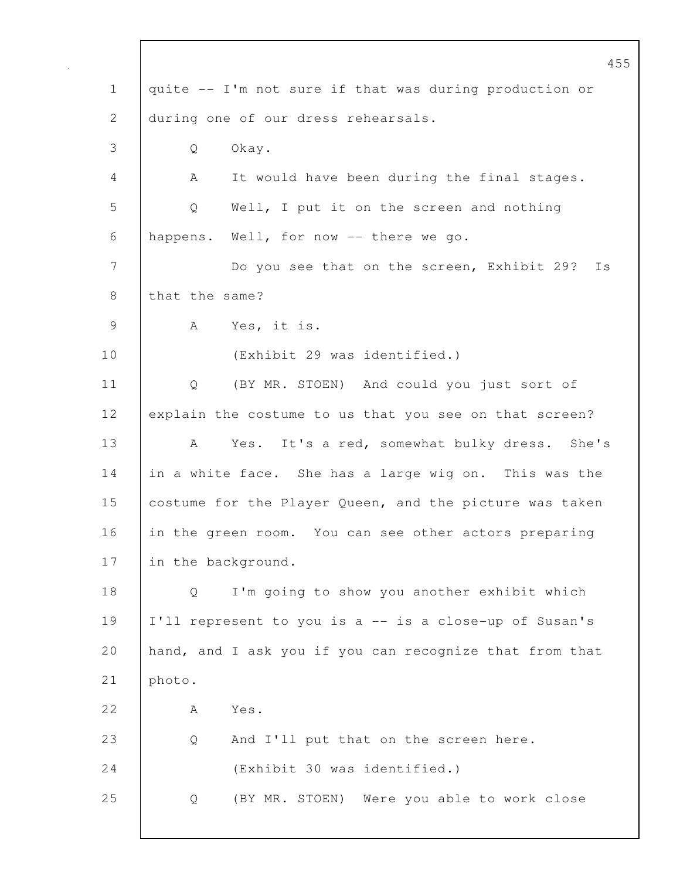|                | 455                                                            |
|----------------|----------------------------------------------------------------|
| $\mathbf 1$    | quite -- I'm not sure if that was during production or         |
| $\mathbf{2}$   | during one of our dress rehearsals.                            |
| 3              | Okay.<br>Q                                                     |
| 4              | It would have been during the final stages.<br>A               |
| 5              | Well, I put it on the screen and nothing<br>Q                  |
| 6              | happens. Well, for now -- there we go.                         |
| $\overline{7}$ | Do you see that on the screen, Exhibit 29?<br>Is               |
| 8              | that the same?                                                 |
| $\overline{9}$ | Yes, it is.<br>A                                               |
| 10             | (Exhibit 29 was identified.)                                   |
| 11             | $Q \qquad \qquad$<br>(BY MR. STOEN) And could you just sort of |
| 12             | explain the costume to us that you see on that screen?         |
| 13             | Yes. It's a red, somewhat bulky dress. She's<br>A              |
| 14             | in a white face. She has a large wig on. This was the          |
| 15             | costume for the Player Queen, and the picture was taken        |
| 16             | in the green room. You can see other actors preparing          |
| 17             | in the background.                                             |
| 18             | I'm going to show you another exhibit which<br>Q               |
| 19             | I'll represent to you is a -- is a close-up of Susan's         |
| 20             | hand, and I ask you if you can recognize that from that        |
| 21             | photo.                                                         |
| 22             | Yes.<br>А                                                      |
| 23             | And I'll put that on the screen here.<br>Q                     |
| 24             | (Exhibit 30 was identified.)                                   |
| 25             | (BY MR. STOEN) Were you able to work close<br>Q                |
|                |                                                                |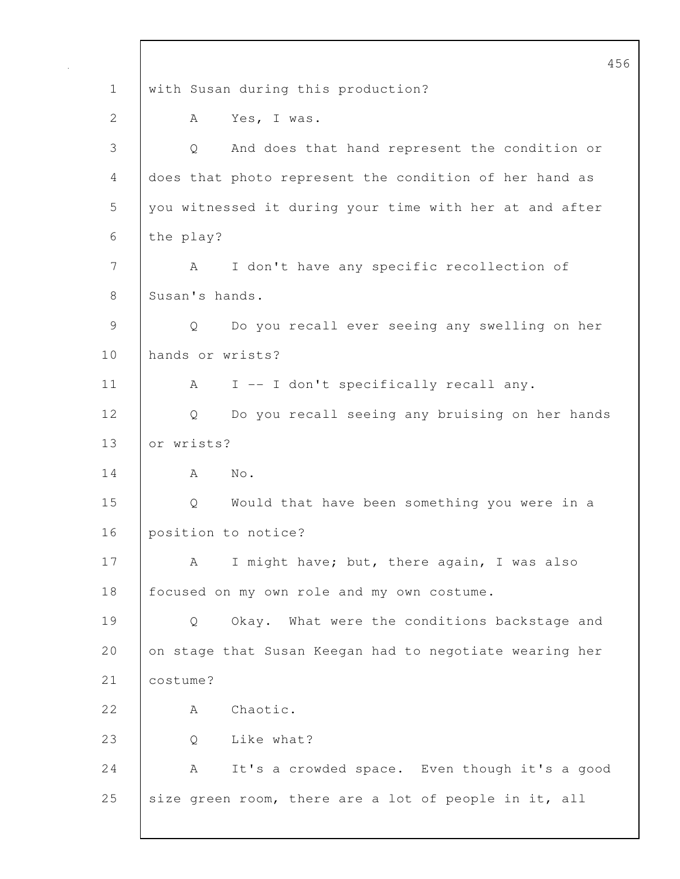456 1 with Susan during this production? 2 A Yes, I was. 3 Q And does that hand represent the condition or 4 does that photo represent the condition of her hand as 5 you witnessed it during your time with her at and after 6 the play? 7 A I don't have any specific recollection of 8 Susan's hands. 9 Q Do you recall ever seeing any swelling on her 10 hands or wrists? 11 | A I -- I don't specifically recall any. 12 Q Do you recall seeing any bruising on her hands 13 or wrists?  $14$   $\overline{)}$   $\overline{)}$   $\overline{)}$   $\overline{)}$   $\overline{)}$   $\overline{)}$   $\overline{)}$   $\overline{)}$   $\overline{)}$   $\overline{)}$   $\overline{)}$   $\overline{)}$   $\overline{)}$   $\overline{)}$   $\overline{)}$   $\overline{)}$   $\overline{)}$   $\overline{)}$   $\overline{)}$   $\overline{)}$   $\overline{)}$   $\overline{)}$   $\overline{)}$   $\overline{)}$  15 Q Would that have been something you were in a 16 position to notice? 17 | A I might have; but, there again, I was also 18 | focused on my own role and my own costume. 19 Q Okay. What were the conditions backstage and 20 on stage that Susan Keegan had to negotiate wearing her 21 | costume? 22 A Chaotic. 23 Q Like what? 24 A It's a crowded space. Even though it's a good 25 size green room, there are a lot of people in it, all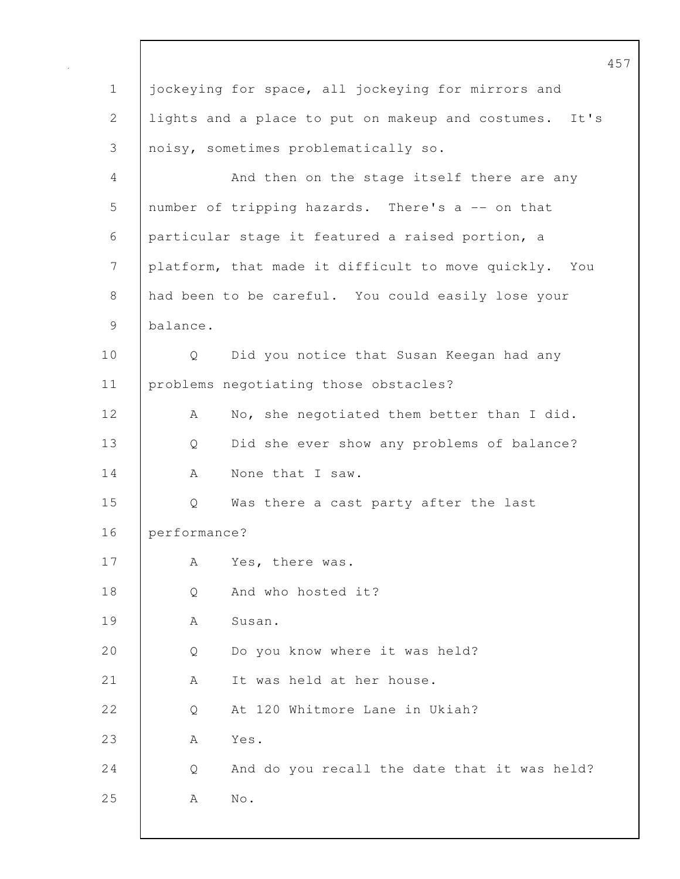|             | 457                                                    |
|-------------|--------------------------------------------------------|
| $\mathbf 1$ | jockeying for space, all jockeying for mirrors and     |
| 2           | lights and a place to put on makeup and costumes. It's |
| 3           | noisy, sometimes problematically so.                   |
| 4           | And then on the stage itself there are any             |
| 5           | number of tripping hazards. There's a -- on that       |
| 6           | particular stage it featured a raised portion, a       |
| 7           | platform, that made it difficult to move quickly. You  |
| 8           | had been to be careful. You could easily lose your     |
| 9           | balance.                                               |
| 10          | Did you notice that Susan Keegan had any<br>Q          |
| 11          | problems negotiating those obstacles?                  |
| 12          | No, she negotiated them better than I did.<br>A        |
| 13          | Did she ever show any problems of balance?<br>Q        |
| 14          | None that I saw.<br>А                                  |
| 15          | Was there a cast party after the last<br>Q             |
| 16          | performance?                                           |
| 17          | Yes, there was.<br>А                                   |
| 18          | And who hosted it?<br>Q                                |
| 19          | Susan.<br>Α                                            |
| 20          | Do you know where it was held?<br>Q                    |
| 21          | It was held at her house.<br>А                         |
| 22          | At 120 Whitmore Lane in Ukiah?<br>Q                    |
| 23          | Yes.<br>А                                              |
| 24          | And do you recall the date that it was held?<br>Q      |
| 25          | $\mathrm{No}$ .<br>А                                   |
|             |                                                        |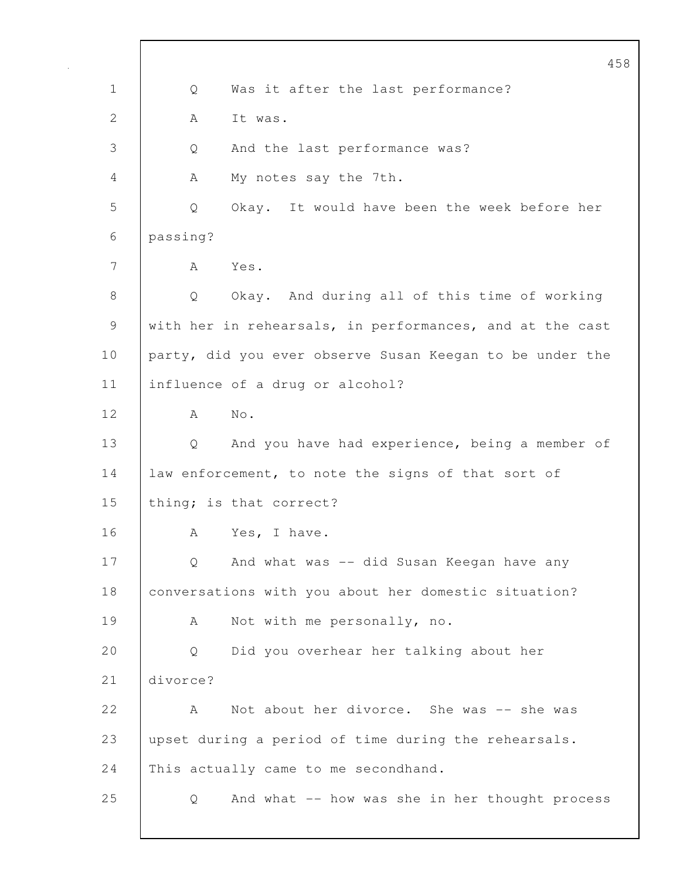|              | 458                                                      |
|--------------|----------------------------------------------------------|
| $\mathbf 1$  | Was it after the last performance?<br>Q                  |
| $\mathbf{2}$ | It was.<br>А                                             |
| 3            | And the last performance was?<br>Q                       |
| 4            | My notes say the 7th.<br>А                               |
| 5            | Okay. It would have been the week before her<br>Q        |
| 6            | passing?                                                 |
| 7            | Yes.<br>A                                                |
| 8            | Q<br>Okay. And during all of this time of working        |
| 9            | with her in rehearsals, in performances, and at the cast |
| 10           | party, did you ever observe Susan Keegan to be under the |
| 11           | influence of a drug or alcohol?                          |
| 12           | No.<br>A                                                 |
| 13           | And you have had experience, being a member of<br>Q      |
| 14           | law enforcement, to note the signs of that sort of       |
| 15           | thing; is that correct?                                  |
| 16           | Yes, I have.<br>А                                        |
| 17           | And what was -- did Susan Keegan have any<br>Q           |
| 18           | conversations with you about her domestic situation?     |
| 19           | Not with me personally, no.<br>A                         |
| 20           | Did you overhear her talking about her<br>Q              |
| 21           | divorce?                                                 |
| 22           | Not about her divorce. She was -- she was<br>A           |
| 23           | upset during a period of time during the rehearsals.     |
| 24           | This actually came to me secondhand.                     |
| 25           | And what -- how was she in her thought process<br>Q      |
|              |                                                          |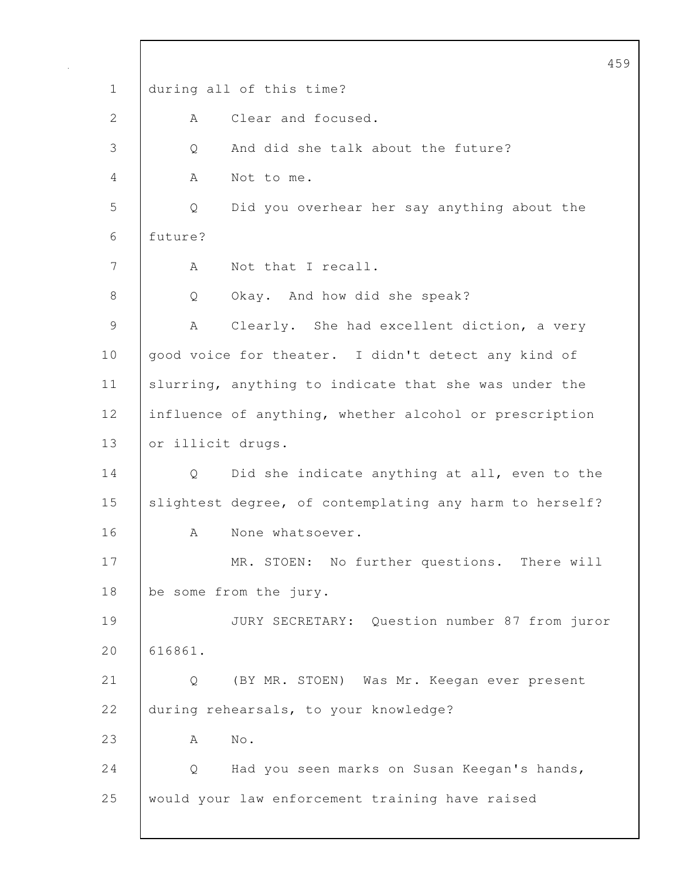459 1 during all of this time? 2 A Clear and focused. 3 Q And did she talk about the future? 4 A Not to me. 5 Q Did you overhear her say anything about the 6 future? 7 | A Not that I recall. 8 | Q Okay. And how did she speak? 9 | A Clearly. She had excellent diction, a very 10 | good voice for theater. I didn't detect any kind of 11 | slurring, anything to indicate that she was under the 12 influence of anything, whether alcohol or prescription 13 or illicit drugs. 14 Q Did she indicate anything at all, even to the 15 slightest degree, of contemplating any harm to herself? 16 A None whatsoever. 17 MR. STOEN: No further questions. There will 18 be some from the jury. 19 JURY SECRETARY: Question number 87 from juror 20 616861. 21 Q (BY MR. STOEN) Was Mr. Keegan ever present 22 during rehearsals, to your knowledge? 23 | A No. 24 | Q Had you seen marks on Susan Keegan's hands, 25 would your law enforcement training have raised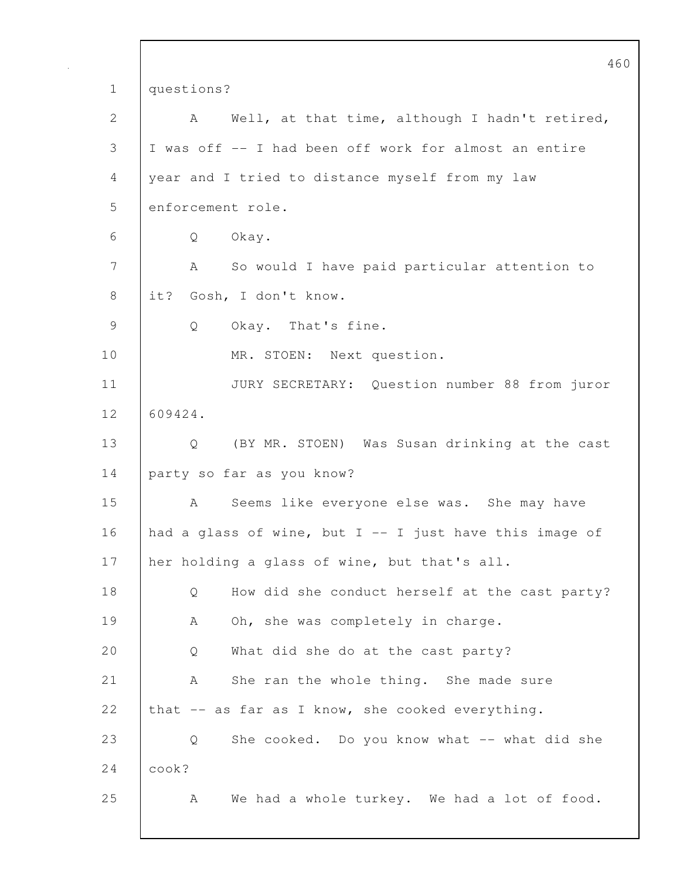|                | 46                                                        |
|----------------|-----------------------------------------------------------|
| $\mathbf 1$    | questions?                                                |
| $\mathbf{2}$   | Well, at that time, although I hadn't retired,<br>A       |
| 3              | I was off -- I had been off work for almost an entire     |
| $\overline{4}$ | year and I tried to distance myself from my law           |
| 5              | enforcement role.                                         |
| 6              | Okay.<br>Q                                                |
| 7              | So would I have paid particular attention to<br>$A \sim$  |
| $\,8\,$        | it?<br>Gosh, I don't know.                                |
| $\mathcal{G}$  | Okay. That's fine.<br>Q                                   |
| 10             | MR. STOEN: Next question.                                 |
| 11             | JURY SECRETARY: Question number 88 from juror             |
| 12             | 609424.                                                   |
| 13             | Q (BY MR. STOEN) Was Susan drinking at the cast           |
| 14             | party so far as you know?                                 |
| 15             | Seems like everyone else was. She may have<br>A           |
| 16             | had a glass of wine, but $I$ -- I just have this image of |
| 17             | her holding a glass of wine, but that's all.              |
| 18             | How did she conduct herself at the cast party?<br>Q       |
| 19             | Oh, she was completely in charge.<br>А                    |
| 20             | What did she do at the cast party?<br>Q                   |
| 21             | She ran the whole thing. She made sure<br>А               |
| 22             | that -- as far as I know, she cooked everything.          |
| 23             | She cooked. Do you know what -- what did she<br>Q         |
| 24             | cook?                                                     |
| 25             | We had a whole turkey. We had a lot of food.<br>A         |
|                |                                                           |

 $\overline{0}$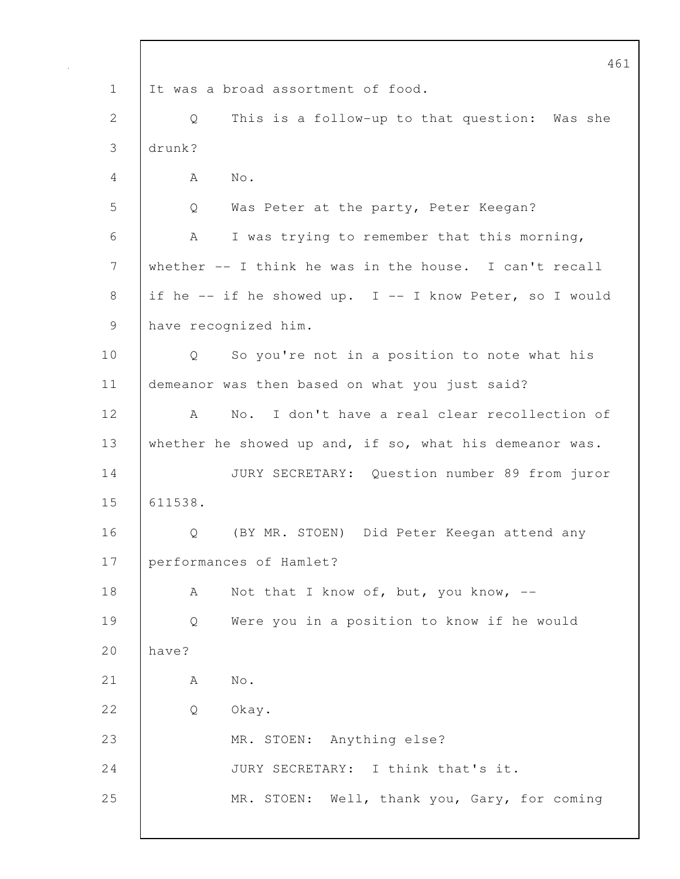461 1 It was a broad assortment of food. 2 Q This is a follow-up to that question: Was she 3 drunk? 4 A No. 5 Q Was Peter at the party, Peter Keegan? 6 A I was trying to remember that this morning, 7 whether -- I think he was in the house. I can't recall 8 if he -- if he showed up. I -- I know Peter, so I would 9 have recognized him. 10 | Q So you're not in a position to note what his 11 demeanor was then based on what you just said? 12 | A No. I don't have a real clear recollection of 13 whether he showed up and, if so, what his demeanor was. 14 JURY SECRETARY: Question number 89 from juror 15 611538. 16 Q (BY MR. STOEN) Did Peter Keegan attend any 17 performances of Hamlet? 18 | A Not that I know of, but, you know, --19 Q Were you in a position to know if he would 20 have? 21  $A$  No. 22 | O Okay. 23 MR. STOEN: Anything else? 24 JURY SECRETARY: I think that's it. 25 MR. STOEN: Well, thank you, Gary, for coming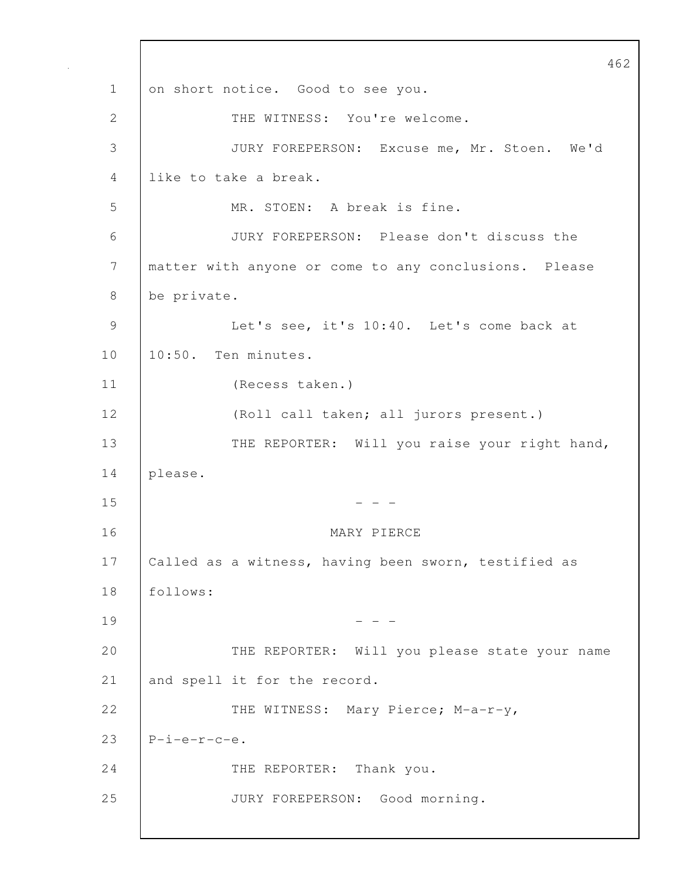462 1 on short notice. Good to see you. 2 THE WITNESS: You're welcome. 3 JURY FOREPERSON: Excuse me, Mr. Stoen. We'd 4 like to take a break. 5 MR. STOEN: A break is fine. 6 JURY FOREPERSON: Please don't discuss the 7 matter with anyone or come to any conclusions. Please 8 be private. 9 Let's see, it's 10:40. Let's come back at 10 10:50. Ten minutes. 11 (Recess taken.) 12 (Roll call taken; all jurors present.) 13 | THE REPORTER: Will you raise your right hand, 14 please.  $15$  - - -16 MARY PIERCE 17 Called as a witness, having been sworn, testified as 18 follows:  $19$  - - -20 | THE REPORTER: Will you please state your name 21 and spell it for the record. 22 THE WITNESS: Mary Pierce; M-a-r-y, 23  $P-i-e-r-c-e.$ 24 THE REPORTER: Thank you. 25 JURY FOREPERSON: Good morning.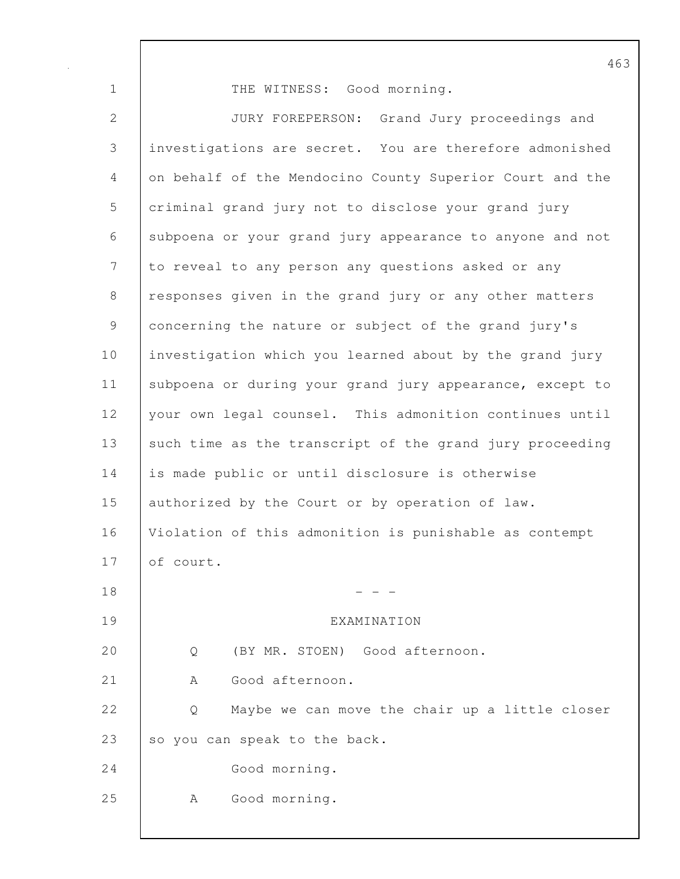1 THE WITNESS: Good morning.

2 JURY FOREPERSON: Grand Jury proceedings and 3 investigations are secret. You are therefore admonished 4 on behalf of the Mendocino County Superior Court and the 5 criminal grand jury not to disclose your grand jury 6 subpoena or your grand jury appearance to anyone and not 7 to reveal to any person any questions asked or any 8 responses given in the grand jury or any other matters 9 concerning the nature or subject of the grand jury's 10 | investigation which you learned about by the grand jury 11 | subpoena or during your grand jury appearance, except to 12 your own legal counsel. This admonition continues until 13 such time as the transcript of the grand jury proceeding 14 is made public or until disclosure is otherwise 15 authorized by the Court or by operation of law. 16 Violation of this admonition is punishable as contempt 17 of court.  $18$  - - -19 EXAMINATION 20 | O (BY MR. STOEN) Good afternoon. 21 | A Good afternoon. 22 | O Maybe we can move the chair up a little closer 23 so you can speak to the back. 24 Good morning. 25 | A Good morning.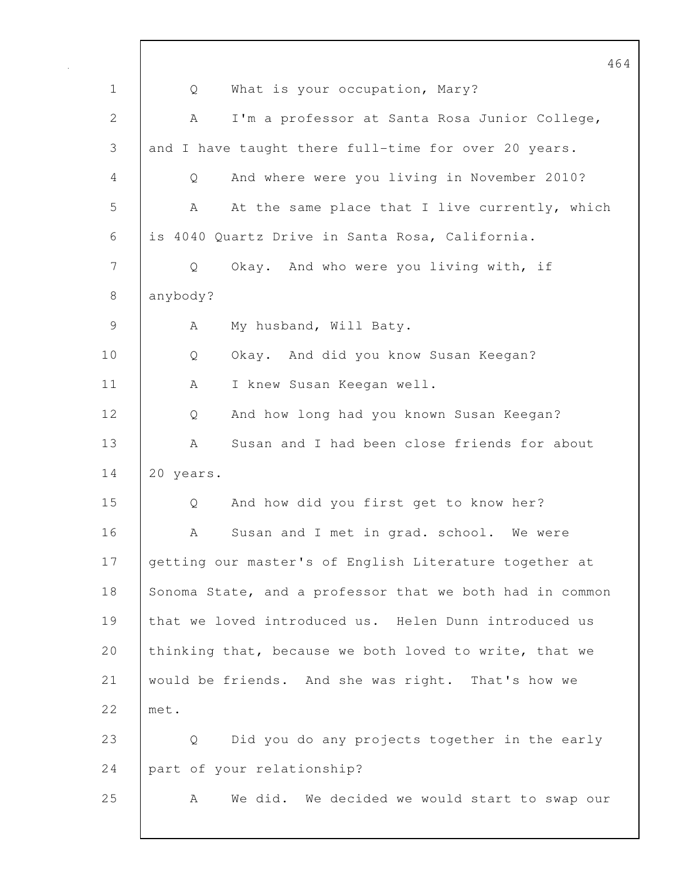464 1 | Q What is your occupation, Mary? 2 | A I'm a professor at Santa Rosa Junior College, 3 and I have taught there full-time for over 20 years. 4 Q And where were you living in November 2010? 5 A At the same place that I live currently, which 6 is 4040 Quartz Drive in Santa Rosa, California. 7 Q Okay. And who were you living with, if 8 anybody? 9 A My husband, Will Baty. 10 Q Okay. And did you know Susan Keegan? 11 | A I knew Susan Keegan well. 12 Q And how long had you known Susan Keegan? 13 A Susan and I had been close friends for about 14 20 years. 15 Q And how did you first get to know her? 16 A Susan and I met in grad. school. We were 17 getting our master's of English Literature together at 18 Sonoma State, and a professor that we both had in common 19 that we loved introduced us. Helen Dunn introduced us 20 thinking that, because we both loved to write, that we 21 would be friends. And she was right. That's how we 22 met. 23 | Q Did you do any projects together in the early 24 part of your relationship? 25 | A We did. We decided we would start to swap our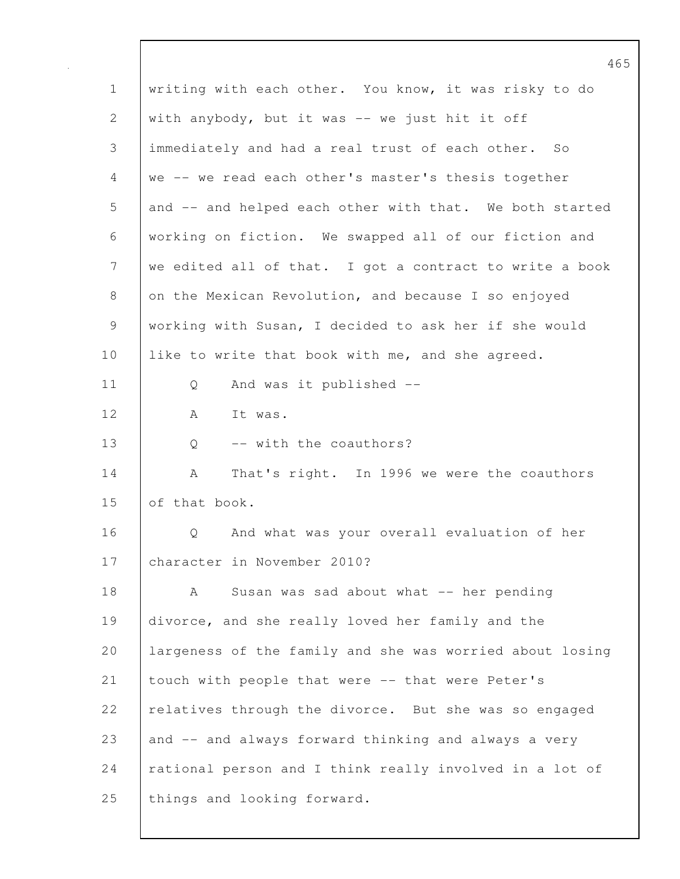|                | 46                                                       |
|----------------|----------------------------------------------------------|
| $\mathbf 1$    | writing with each other. You know, it was risky to do    |
| 2              | with anybody, but it was -- we just hit it off           |
| 3              | immediately and had a real trust of each other. So       |
| 4              | we -- we read each other's master's thesis together      |
| 5              | and -- and helped each other with that. We both started  |
| 6              | working on fiction. We swapped all of our fiction and    |
| $\overline{7}$ | we edited all of that. I got a contract to write a book  |
| $8\,$          | on the Mexican Revolution, and because I so enjoyed      |
| $\mathsf 9$    | working with Susan, I decided to ask her if she would    |
| 10             | like to write that book with me, and she agreed.         |
| 11             | Q<br>And was it published --                             |
| 12             | A<br>It was.                                             |
| 13             | -- with the coauthors?<br>Q                              |
| 14             | That's right. In 1996 we were the coauthors<br>A         |
| 15             | of that book.                                            |
| 16             | And what was your overall evaluation of her<br>Q         |
| 17             | character in November 2010?                              |
| 18             | Susan was sad about what -- her pending<br>A             |
| 19             | divorce, and she really loved her family and the         |
| 20             | largeness of the family and she was worried about losing |
| 21             | touch with people that were -- that were Peter's         |
| 22             | relatives through the divorce. But she was so engaged    |
| 23             | and -- and always forward thinking and always a very     |
| 24             | rational person and I think really involved in a lot of  |
| 25             | things and looking forward.                              |
|                |                                                          |

 $\mathbf l$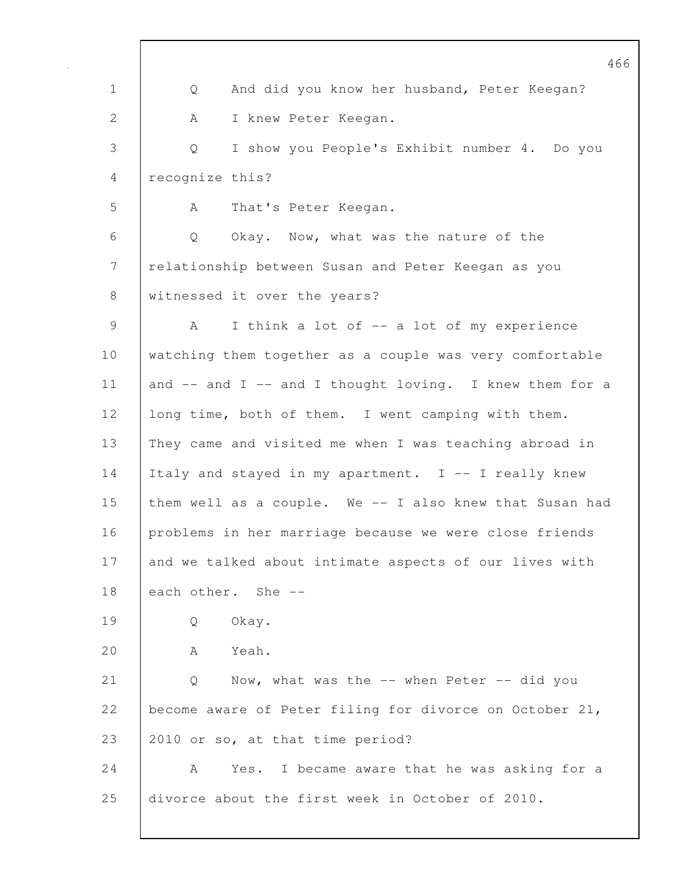|                | 46                                                            |
|----------------|---------------------------------------------------------------|
| $\mathbf 1$    | And did you know her husband, Peter Keegan?<br>Q              |
| $\mathbf{2}$   | I knew Peter Keegan.<br>A                                     |
| 3              | I show you People's Exhibit number 4. Do you<br>Q             |
| $\overline{4}$ | recognize this?                                               |
| 5              | That's Peter Keegan.<br>A                                     |
| 6              | Q<br>Okay. Now, what was the nature of the                    |
| 7              | relationship between Susan and Peter Keegan as you            |
| 8              | witnessed it over the years?                                  |
| 9              | I think a lot of -- a lot of my experience<br>A               |
| 10             | watching them together as a couple was very comfortable       |
| 11             | and $--$ and $I$ $--$ and I thought loving. I knew them for a |
| 12             | long time, both of them. I went camping with them.            |
| 13             | They came and visited me when I was teaching abroad in        |
| 14             | Italy and stayed in my apartment. I -- I really knew          |
| 15             | them well as a couple. We -- I also knew that Susan had       |
| 16             | problems in her marriage because we were close friends        |
| 17             | and we talked about intimate aspects of our lives with        |
| 18             | each other. She --                                            |
| 19             | Okay.<br>Q                                                    |
| 20             | Yeah.<br>A                                                    |
| 21             | Q<br>Now, what was the $--$ when Peter $--$ did you           |
| 22             | become aware of Peter filing for divorce on October 21,       |
| 23             | 2010 or so, at that time period?                              |
| 24             | Yes. I became aware that he was asking for a<br>A             |
| 25             | divorce about the first week in October of 2010.              |
|                |                                                               |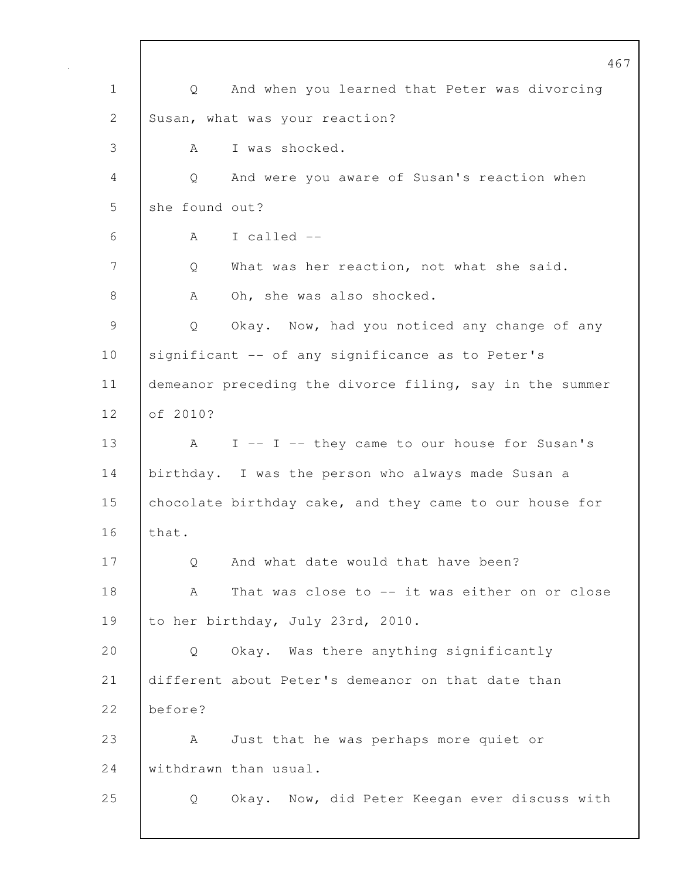|              | 467                                                      |
|--------------|----------------------------------------------------------|
| $\mathbf 1$  | And when you learned that Peter was divorcing<br>Q       |
| $\mathbf{2}$ | Susan, what was your reaction?                           |
| 3            | I was shocked.<br>A                                      |
| 4            | And were you aware of Susan's reaction when<br>Q         |
| 5            | she found out?                                           |
| 6            | I called --<br>A                                         |
| 7            | What was her reaction, not what she said.<br>Q           |
| 8            | Oh, she was also shocked.<br>A                           |
| 9            | Okay. Now, had you noticed any change of any<br>Q        |
| 10           | significant -- of any significance as to Peter's         |
| 11           | demeanor preceding the divorce filing, say in the summer |
| 12           | of 2010?                                                 |
| 13           | I -- I -- they came to our house for Susan's<br>A        |
| 14           | birthday. I was the person who always made Susan a       |
| 15           | chocolate birthday cake, and they came to our house for  |
| 16           | that.                                                    |
| 17           | And what date would that have been?<br>Q                 |
| 18           | That was close to -- it was either on or close<br>Α      |
| 19           | to her birthday, July 23rd, 2010.                        |
| 20           | Okay. Was there anything significantly<br>Q              |
| 21           | different about Peter's demeanor on that date than       |
| 22           | before?                                                  |
| 23           | Just that he was perhaps more quiet or<br>A              |
| 24           | withdrawn than usual.                                    |
| 25           | Okay. Now, did Peter Keegan ever discuss with<br>Q       |
|              |                                                          |

 $\mathsf{I}$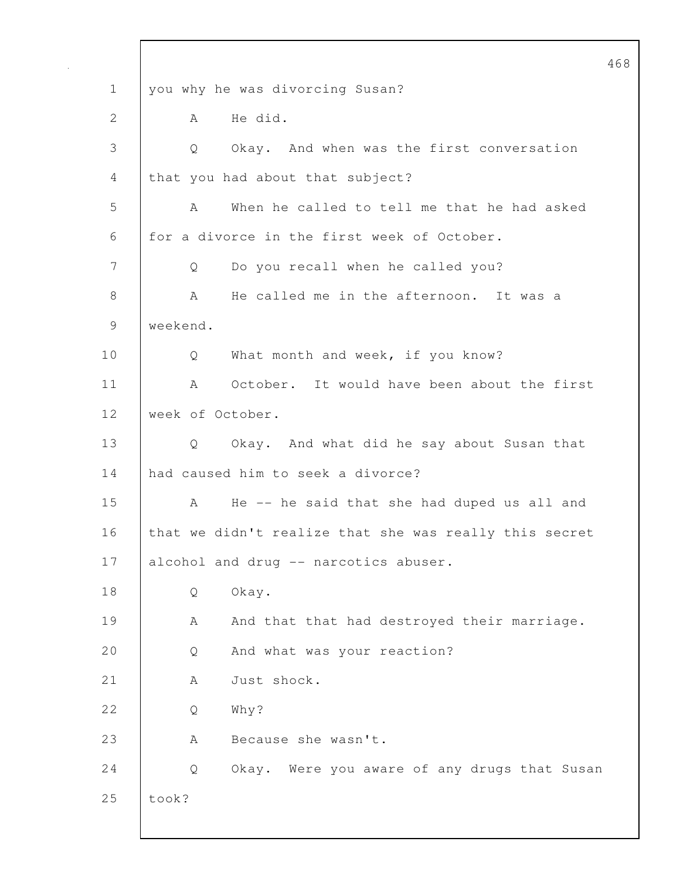|               |                                                        | 468 |
|---------------|--------------------------------------------------------|-----|
| $\mathbf 1$   | you why he was divorcing Susan?                        |     |
| $\mathbf{2}$  | He did.<br>A                                           |     |
| 3             | Okay. And when was the first conversation<br>Q         |     |
| 4             | that you had about that subject?                       |     |
| 5             | When he called to tell me that he had asked<br>A       |     |
| 6             | for a divorce in the first week of October.            |     |
| 7             | Do you recall when he called you?<br>Q                 |     |
| 8             | He called me in the afternoon. It was a<br>A           |     |
| $\mathcal{G}$ | weekend.                                               |     |
| 10            | What month and week, if you know?<br>Q                 |     |
| 11            | October. It would have been about the first<br>A       |     |
| 12            | week of October.                                       |     |
| 13            | Okay. And what did he say about Susan that<br>Q        |     |
| 14            | had caused him to seek a divorce?                      |     |
| 15            | He -- he said that she had duped us all and<br>A       |     |
| 16            | that we didn't realize that she was really this secret |     |
| 17            | alcohol and drug -- narcotics abuser.                  |     |
| 18            | Okay.<br>Q                                             |     |
| 19            | And that that had destroyed their marriage.<br>А       |     |
| 20            | And what was your reaction?<br>Q                       |     |
| 21            | Just shock.<br>A                                       |     |
| 22            | Why?<br>Q                                              |     |
| 23            | Because she wasn't.<br>Α                               |     |
| 24            | Okay. Were you aware of any drugs that Susan<br>Q      |     |
| 25            | took?                                                  |     |
|               |                                                        |     |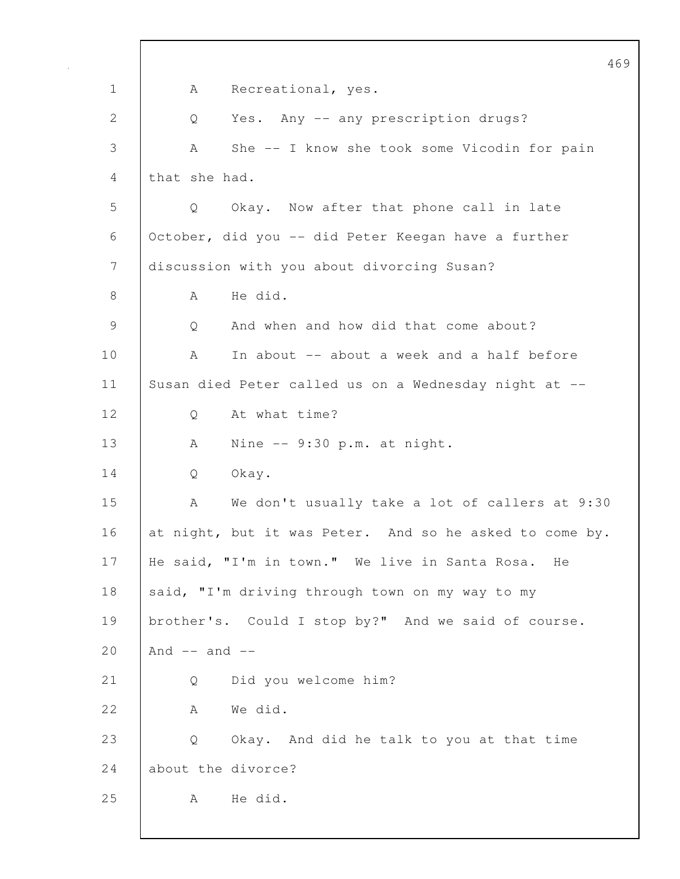469 1 | A Recreational, yes. 2 Q Yes. Any -- any prescription drugs? 3 A She -- I know she took some Vicodin for pain 4 that she had. 5 Q Okay. Now after that phone call in late 6 October, did you -- did Peter Keegan have a further 7 discussion with you about divorcing Susan? 8 | A He did. 9 | O And when and how did that come about? 10 A In about -- about a week and a half before 11 Susan died Peter called us on a Wednesday night at -- 12 | Q At what time? 13 A Nine -- 9:30 p.m. at night. 14 Q Okay. 15 | A We don't usually take a lot of callers at 9:30 16 at night, but it was Peter. And so he asked to come by. 17 He said, "I'm in town." We live in Santa Rosa. He 18 said, "I'm driving through town on my way to my 19 brother's. Could I stop by?" And we said of course. 20  $And -- and --$ 21 Q Did you welcome him? 22 A We did. 23 Q Okay. And did he talk to you at that time 24 about the divorce? 25 | A Hedid.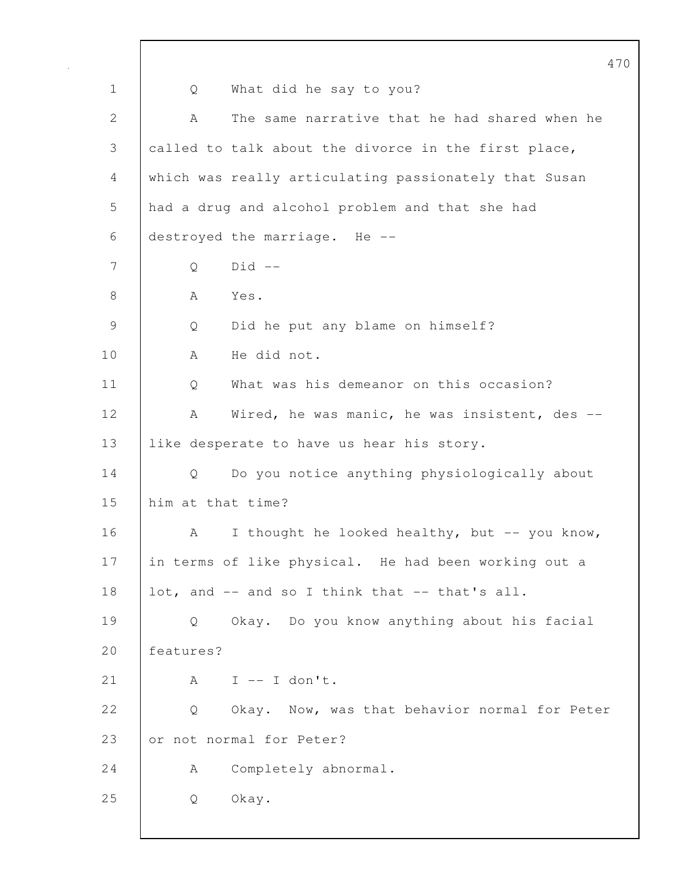|               | $4^{\circ}$                                           |
|---------------|-------------------------------------------------------|
| $\mathbf 1$   | What did he say to you?<br>Q                          |
| 2             | The same narrative that he had shared when he<br>A    |
| 3             | called to talk about the divorce in the first place,  |
| 4             | which was really articulating passionately that Susan |
| 5             | had a drug and alcohol problem and that she had       |
| 6             | destroyed the marriage. He --                         |
| 7             | $Did$ --<br>Q                                         |
| 8             | Yes.<br>A                                             |
| $\mathcal{G}$ | Did he put any blame on himself?<br>Q                 |
| 10            | He did not.<br>А                                      |
| 11            | What was his demeanor on this occasion?<br>Q          |
| 12            | Wired, he was manic, he was insistent, des --<br>А    |
| 13            | like desperate to have us hear his story.             |
| 14            | Do you notice anything physiologically about<br>Q     |
| 15            | him at that time?                                     |
| 16            | I thought he looked healthy, but -- you know,<br>A    |
| 17            | in terms of like physical. He had been working out a  |
| 18            | lot, and -- and so I think that -- that's all.        |
| 19            | Okay. Do you know anything about his facial<br>Q      |
| 20            | features?                                             |
| 21            | $I$ -- I don't.<br>A                                  |
| 22            | Okay. Now, was that behavior normal for Peter<br>Q    |
| 23            | or not normal for Peter?                              |
| 24            | Completely abnormal.<br>A                             |
| 25            | Okay.<br>Q                                            |
|               |                                                       |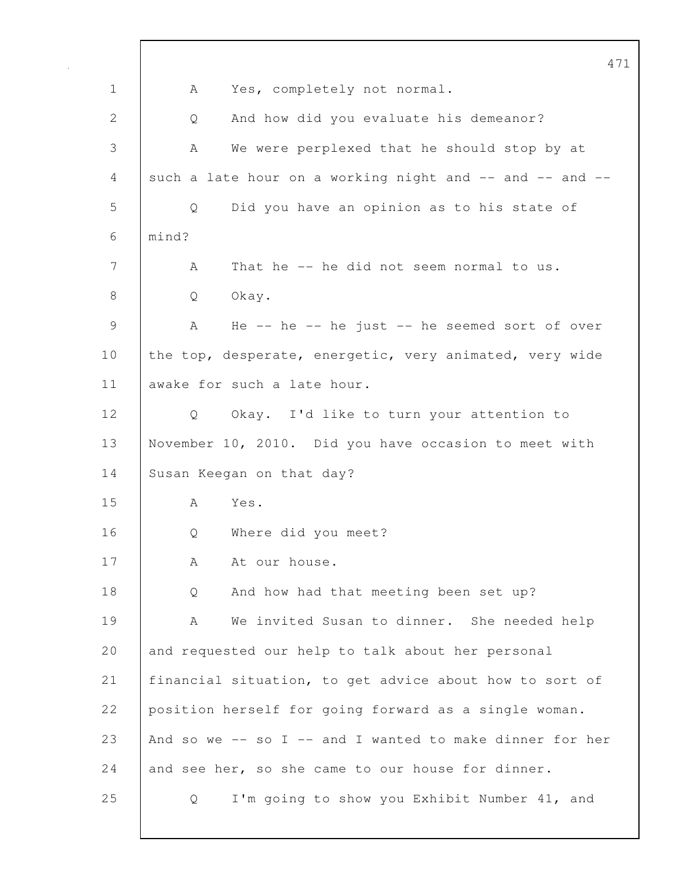|             | 471                                                           |
|-------------|---------------------------------------------------------------|
| $\mathbf 1$ | Yes, completely not normal.<br>A                              |
| 2           | And how did you evaluate his demeanor?<br>Q                   |
| 3           | We were perplexed that he should stop by at<br>A              |
| 4           | such a late hour on a working night and -- and -- and --      |
| 5           | Did you have an opinion as to his state of<br>Q               |
| 6           | mind?                                                         |
| 7           | That he -- he did not seem normal to us.<br>A                 |
| 8           | Okay.<br>Q                                                    |
| 9           | He $--$ he $--$ he just $--$ he seemed sort of over<br>A      |
| 10          | the top, desperate, energetic, very animated, very wide       |
| 11          | awake for such a late hour.                                   |
| 12          | Okay. I'd like to turn your attention to<br>$Q \qquad \qquad$ |
| 13          | November 10, 2010. Did you have occasion to meet with         |
| 14          | Susan Keegan on that day?                                     |
| 15          | Yes.<br>A                                                     |
| 16          | Where did you meet?<br>Q                                      |
| 17          | At our house.<br>А                                            |
| 18          | And how had that meeting been set up?<br>Q                    |
| 19          | We invited Susan to dinner. She needed help<br>A              |
| 20          | and requested our help to talk about her personal             |
| 21          | financial situation, to get advice about how to sort of       |
| 22          | position herself for going forward as a single woman.         |
| 23          | And so we $--$ so I $--$ and I wanted to make dinner for her  |
| 24          | and see her, so she came to our house for dinner.             |
| 25          | I'm going to show you Exhibit Number 41, and<br>Q             |
|             |                                                               |

 $\mathbf l$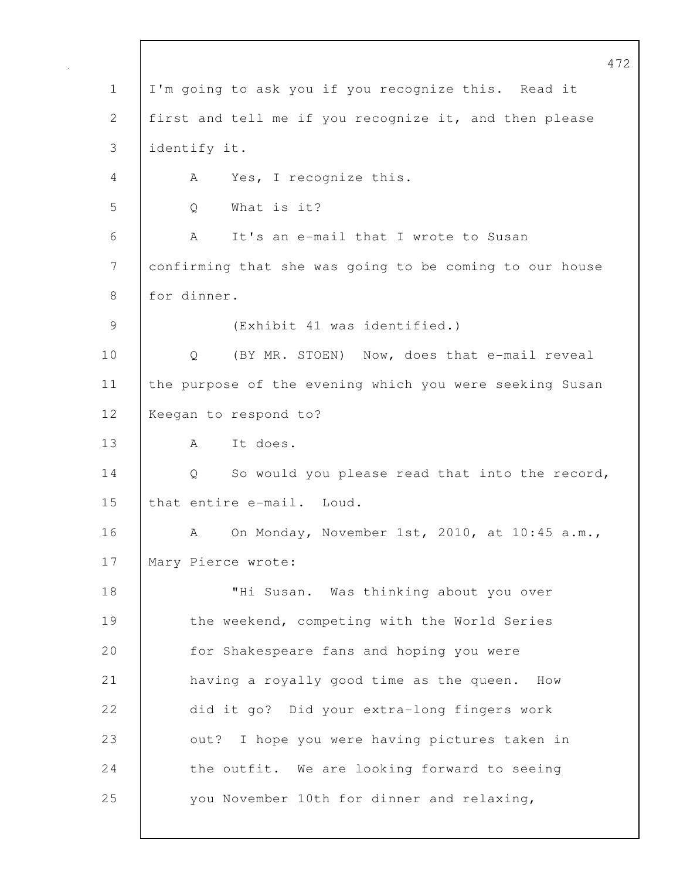472 1 I'm going to ask you if you recognize this. Read it 2 | first and tell me if you recognize it, and then please 3 identify it. 4 | A Yes, I recognize this. 5 Q What is it? 6 A It's an e-mail that I wrote to Susan 7 confirming that she was going to be coming to our house 8 for dinner. 9 (Exhibit 41 was identified.) 10 | Q (BY MR. STOEN) Now, does that e-mail reveal 11 the purpose of the evening which you were seeking Susan 12 | Keegan to respond to? 13 | A It does. 14 | Q So would you please read that into the record, 15 that entire e-mail. Loud. 16 A On Monday, November 1st, 2010, at 10:45 a.m., 17 | Mary Pierce wrote: 18 | THI Susan. Was thinking about you over 19 the weekend, competing with the World Series 20 **for Shakespeare fans and hoping you were** 21 | having a royally good time as the queen. How 22 did it go? Did your extra-long fingers work 23 out? I hope you were having pictures taken in 24 the outfit. We are looking forward to seeing 25 you November 10th for dinner and relaxing,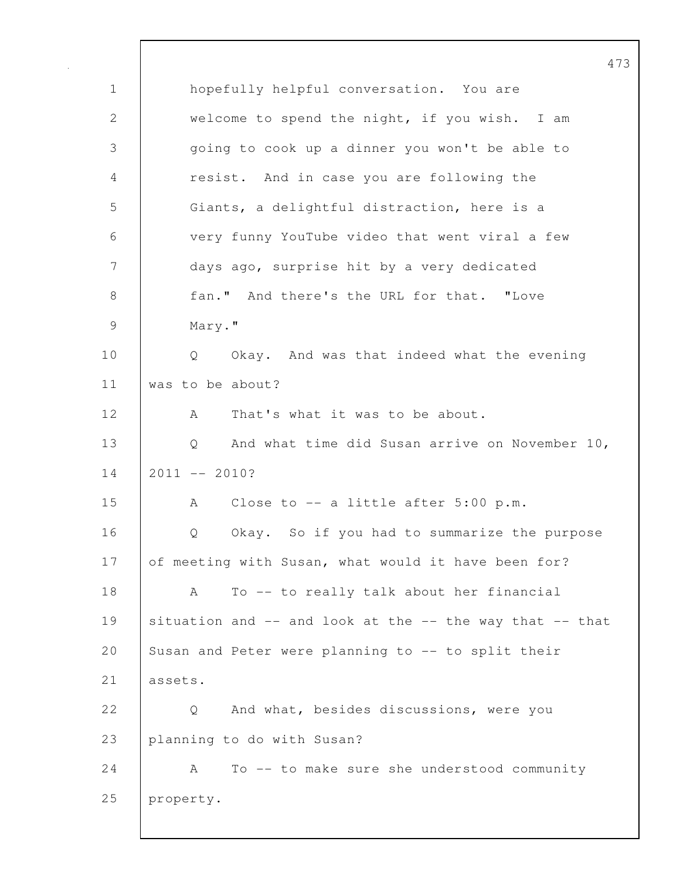473 1 hopefully helpful conversation. You are 2 welcome to spend the night, if you wish. I am 3 going to cook up a dinner you won't be able to 4 resist. And in case you are following the 5 Giants, a delightful distraction, here is a 6 very funny YouTube video that went viral a few 7 days ago, surprise hit by a very dedicated 8 **fan."** And there's the URL for that. "Love 9 Mary." 10 | Q Okay. And was that indeed what the evening 11 | was to be about? 12 A That's what it was to be about. 13 | Q And what time did Susan arrive on November 10,  $14$  2011 -- 2010? 15 A Close to -- a little after 5:00 p.m. 16 Q Okay. So if you had to summarize the purpose 17 of meeting with Susan, what would it have been for? 18 | A To -- to really talk about her financial 19 situation and  $--$  and look at the  $--$  the way that  $--$  that 20 Susan and Peter were planning to -- to split their 21 assets. 22 |  $\qquad$  0 And what, besides discussions, were you 23 planning to do with Susan? 24 A To -- to make sure she understood community 25 property.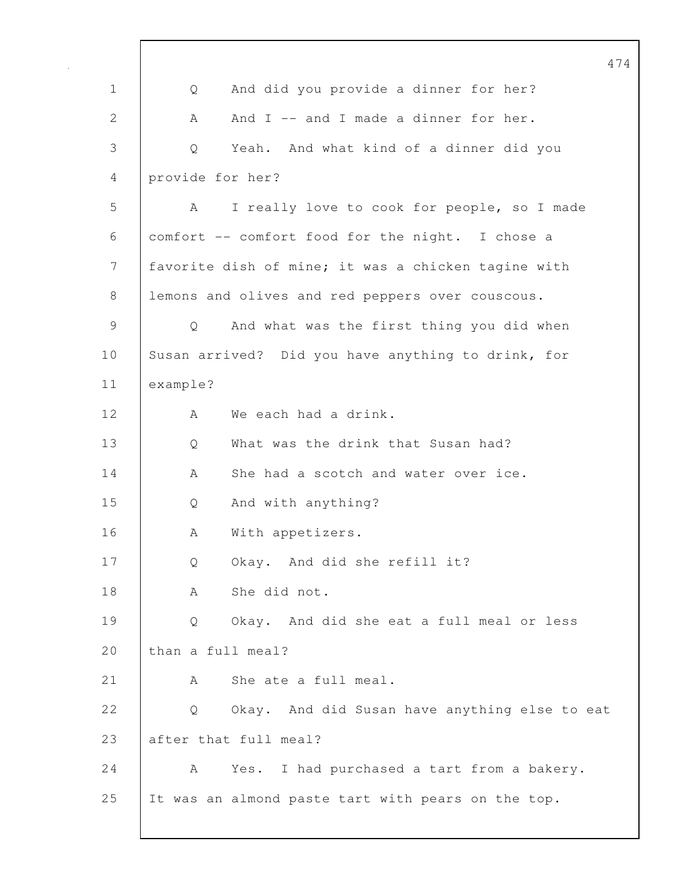|               |                                                     | 47 |
|---------------|-----------------------------------------------------|----|
| $\mathbf 1$   | And did you provide a dinner for her?<br>Q          |    |
| $\mathbf{2}$  | And I -- and I made a dinner for her.<br>A          |    |
| 3             | Yeah. And what kind of a dinner did you<br>Q        |    |
| 4             | provide for her?                                    |    |
| 5             | I really love to cook for people, so I made<br>A    |    |
| 6             | comfort -- comfort food for the night. I chose a    |    |
| 7             | favorite dish of mine; it was a chicken tagine with |    |
| 8             | lemons and olives and red peppers over couscous.    |    |
| $\mathcal{G}$ | And what was the first thing you did when<br>Q      |    |
| 10            | Susan arrived? Did you have anything to drink, for  |    |
| 11            | example?                                            |    |
| 12            | We each had a drink.<br>A                           |    |
| 13            | What was the drink that Susan had?<br>Q             |    |
| 14            | She had a scotch and water over ice.<br>A           |    |
| 15            | And with anything?<br>Q                             |    |
| 16            | With appetizers.<br>Α                               |    |
| 17            | Okay. And did she refill it?<br>Q                   |    |
| 18            | She did not.<br>А                                   |    |
| 19            | Okay. And did she eat a full meal or less<br>Q      |    |
| 20            | than a full meal?                                   |    |
| 21            | She ate a full meal.<br>A                           |    |
| 22            | Okay. And did Susan have anything else to eat<br>Q  |    |
| 23            | after that full meal?                               |    |
| 24            | A<br>Yes. I had purchased a tart from a bakery.     |    |
| 25            | It was an almond paste tart with pears on the top.  |    |
|               |                                                     |    |

 $\mathbf{I}$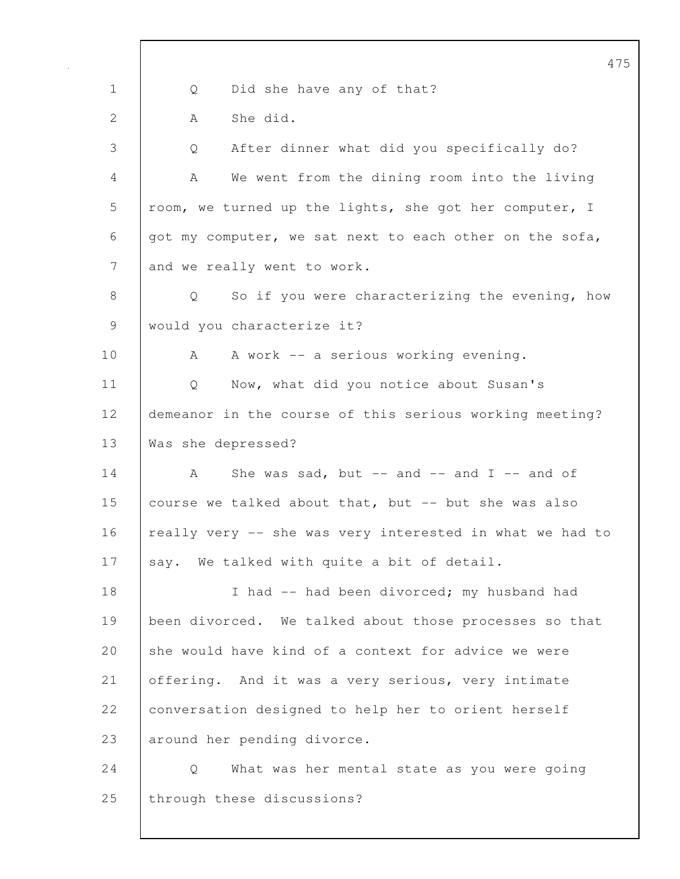475 1 | Q Did she have any of that? 2 | A Shedid. 3 Q After dinner what did you specifically do? 4 A We went from the dining room into the living 5 | room, we turned up the lights, she got her computer, I 6 got my computer, we sat next to each other on the sofa, 7 and we really went to work. 8 | Q So if you were characterizing the evening, how 9 | would you characterize it? 10 | A A work -- a serious working evening. 11 | Q Now, what did you notice about Susan's 12 demeanor in the course of this serious working meeting? 13 Was she depressed? 14  $\vert$  A She was sad, but -- and -- and I -- and of 15 course we talked about that, but -- but she was also 16 | really very -- she was very interested in what we had to 17 say. We talked with quite a bit of detail. 18 | I had -- had been divorced; my husband had 19 been divorced. We talked about those processes so that 20 she would have kind of a context for advice we were 21 offering. And it was a very serious, very intimate 22 conversation designed to help her to orient herself 23 around her pending divorce. 24 Q What was her mental state as you were going 25 | through these discussions?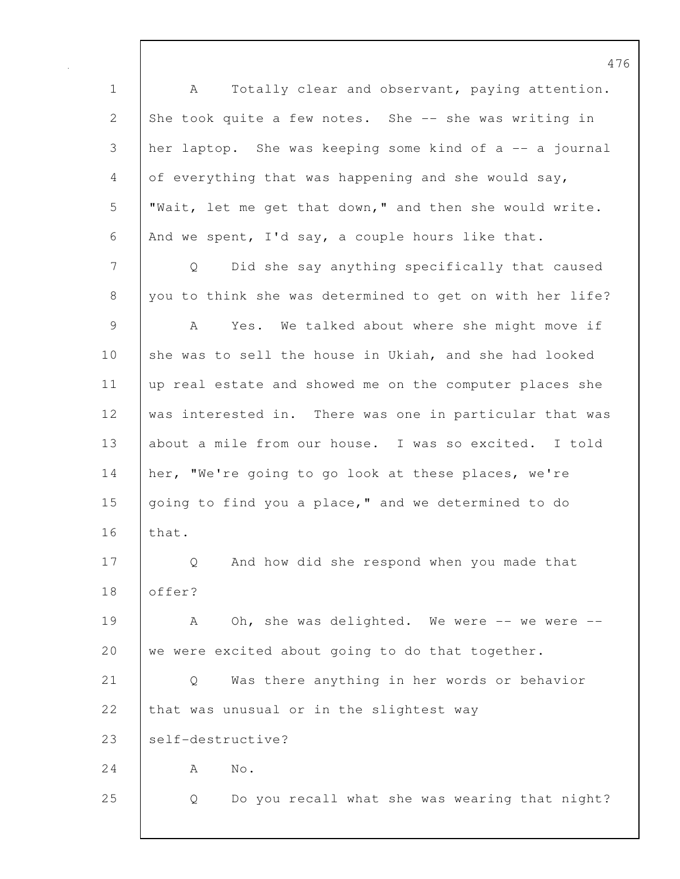1 | A Totally clear and observant, paying attention. 2 She took quite a few notes. She -- she was writing in 3 her laptop. She was keeping some kind of a -- a journal 4 of everything that was happening and she would say, 5 "Wait, let me get that down," and then she would write. 6 And we spent, I'd say, a couple hours like that. 7 Q Did she say anything specifically that caused 8 you to think she was determined to get on with her life? 9 A Yes. We talked about where she might move if 10 she was to sell the house in Ukiah, and she had looked 11 up real estate and showed me on the computer places she 12 was interested in. There was one in particular that was 13 | about a mile from our house. I was so excited. I told 14 her, "We're going to go look at these places, we're 15 going to find you a place," and we determined to do 16 that. 17 | Q And how did she respond when you made that 18 offer? 19 A Oh, she was delighted. We were -- we were --20 we were excited about going to do that together. 21 Q Was there anything in her words or behavior 22 that was unusual or in the slightest way 23 self-destructive?  $24$  A No. 25 Q Do you recall what she was wearing that night?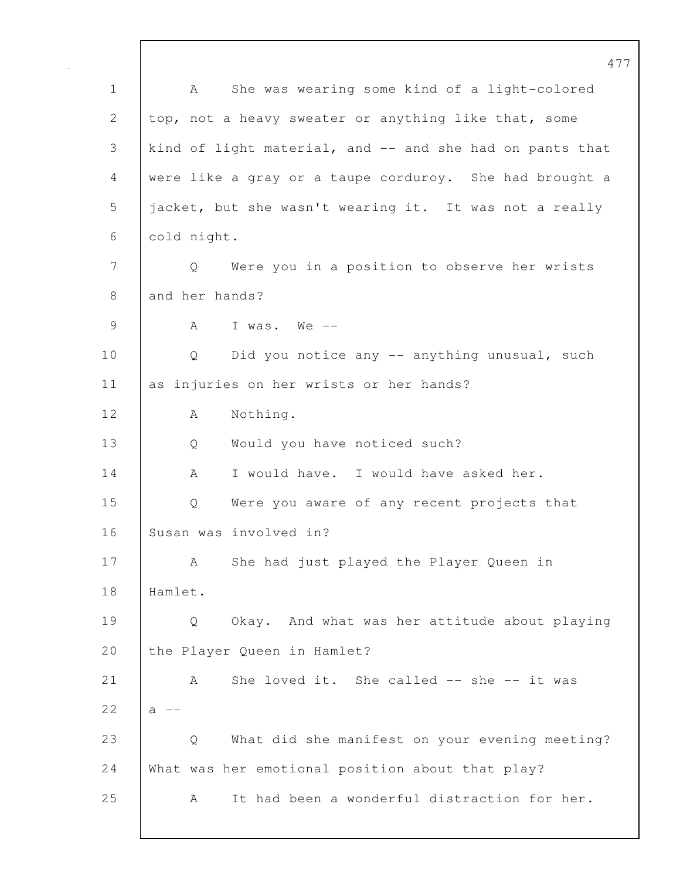477 1 | A She was wearing some kind of a light-colored 2 top, not a heavy sweater or anything like that, some 3 kind of light material, and -- and she had on pants that 4 were like a gray or a taupe corduroy. She had brought a 5 jacket, but she wasn't wearing it. It was not a really 6 cold night. 7 Q Were you in a position to observe her wrists 8 and her hands? 9 | A I was. We --10 | Q Did you notice any -- anything unusual, such 11 as injuries on her wrists or her hands? 12 A Nothing. 13 Q Would you have noticed such? 14 A I would have. I would have asked her. 15 Q Were you aware of any recent projects that 16 Susan was involved in? 17 | A She had just played the Player Queen in 18 Hamlet. 19 Q Okay. And what was her attitude about playing 20 the Player Queen in Hamlet? 21 A She loved it. She called -- she -- it was  $22$  a  $-$ 23 Q What did she manifest on your evening meeting? 24 What was her emotional position about that play? 25 A It had been a wonderful distraction for her.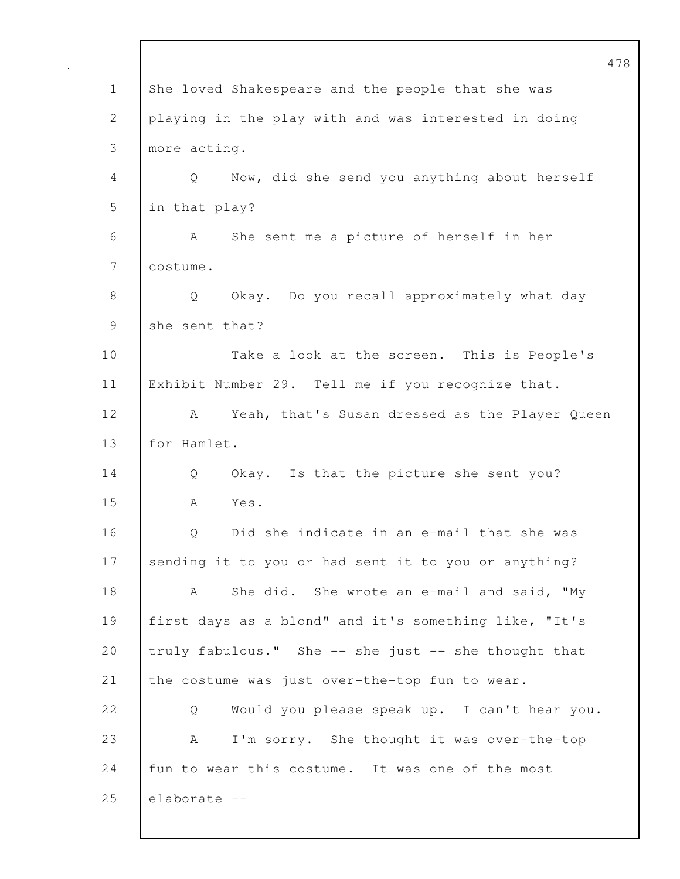|              | 47                                                    |
|--------------|-------------------------------------------------------|
| $\mathbf 1$  | She loved Shakespeare and the people that she was     |
| $\mathbf{2}$ | playing in the play with and was interested in doing  |
| 3            | more acting.                                          |
| 4            | Now, did she send you anything about herself<br>Q     |
| 5            | in that play?                                         |
| 6            | She sent me a picture of herself in her<br>A          |
| 7            | costume.                                              |
| $\,8\,$      | Okay. Do you recall approximately what day<br>Q       |
| 9            | she sent that?                                        |
| 10           | Take a look at the screen. This is People's           |
| 11           | Exhibit Number 29. Tell me if you recognize that.     |
| 12           | Yeah, that's Susan dressed as the Player Queen<br>A   |
| 13           | for Hamlet.                                           |
| 14           | Okay. Is that the picture she sent you?<br>Q          |
| 15           | A<br>Yes.                                             |
| 16           | Did she indicate in an e-mail that she was<br>Q       |
| 17           | sending it to you or had sent it to you or anything?  |
| 18           | She did. She wrote an e-mail and said, "My<br>A       |
| 19           | first days as a blond" and it's something like, "It's |
| 20           | truly fabulous." She -- she just -- she thought that  |
| 21           | the costume was just over-the-top fun to wear.        |
| 22           | Would you please speak up. I can't hear you.<br>Q     |
| 23           | I'm sorry. She thought it was over-the-top<br>A       |
| 24           | fun to wear this costume. It was one of the most      |
| 25           | elaborate --                                          |
|              |                                                       |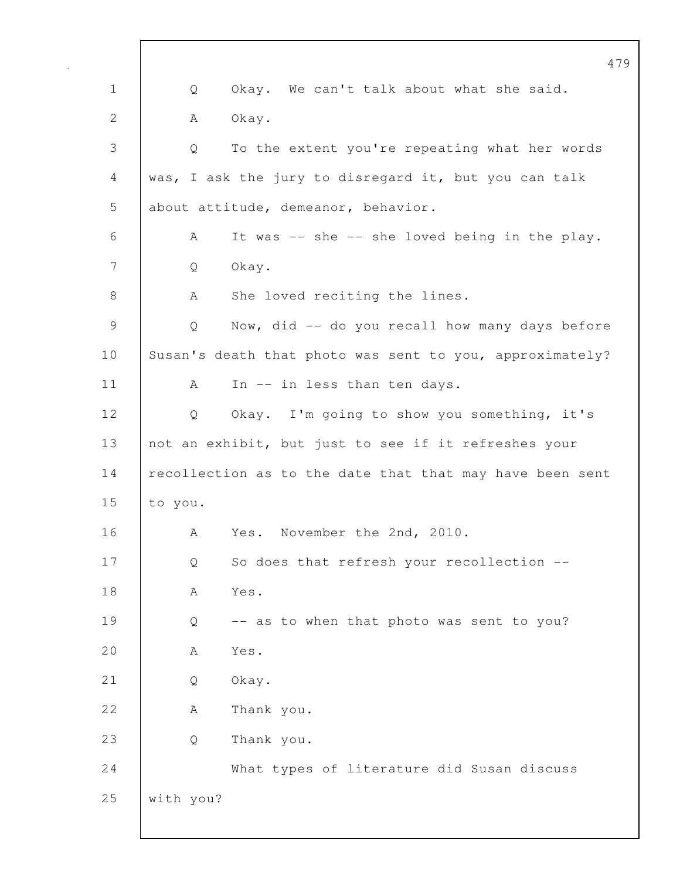|               |           | 479                                                      |
|---------------|-----------|----------------------------------------------------------|
| $\mathbf 1$   | Q         | Okay. We can't talk about what she said.                 |
| $\mathbf{2}$  | А         | Okay.                                                    |
| 3             | Q         | To the extent you're repeating what her words            |
| 4             |           | was, I ask the jury to disregard it, but you can talk    |
| 5             |           | about attitude, demeanor, behavior.                      |
| 6             | Α         | It was -- she -- she loved being in the play.            |
| 7             | Q         | Okay.                                                    |
| 8             | A         | She loved reciting the lines.                            |
| $\mathcal{G}$ | Q         | Now, did -- do you recall how many days before           |
| 10            |           | Susan's death that photo was sent to you, approximately? |
| 11            | A         | In -- in less than ten days.                             |
| 12            | Q         | Okay. I'm going to show you something, it's              |
| 13            |           | not an exhibit, but just to see if it refreshes your     |
| 14            |           | recollection as to the date that that may have been sent |
| 15            | to you.   |                                                          |
| 16            | Α         | Yes. November the 2nd, 2010.                             |
| 17            | Q         | So does that refresh your recollection --                |
| 18            | А         | Yes.                                                     |
| 19            | Q         | -- as to when that photo was sent to you?                |
| 20            | А         | Yes.                                                     |
| 21            | Q         | Okay.                                                    |
| 22            | А         | Thank you.                                               |
| 23            | Q         | Thank you.                                               |
| 24            |           | What types of literature did Susan discuss               |
| 25            | with you? |                                                          |
|               |           |                                                          |

 $\mathbf I$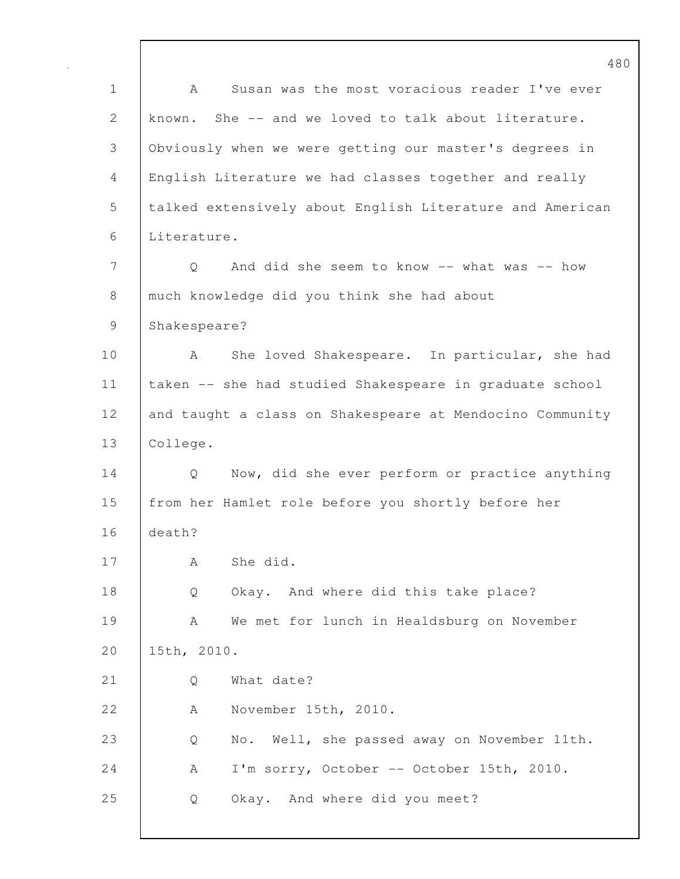1 A Susan was the most voracious reader I've ever 2 known. She -- and we loved to talk about literature. 3 Obviously when we were getting our master's degrees in 4 English Literature we had classes together and really 5 talked extensively about English Literature and American 6 Literature. 7 | Q And did she seem to know -- what was -- how 8 much knowledge did you think she had about 9 Shakespeare? 10 | A She loved Shakespeare. In particular, she had 11 taken -- she had studied Shakespeare in graduate school 12 and taught a class on Shakespeare at Mendocino Community 13 College. 14 | Q Now, did she ever perform or practice anything 15 from her Hamlet role before you shortly before her 16 death? 17 | A Shedid. 18 Q Okay. And where did this take place? 19 A We met for lunch in Healdsburg on November 20 15th, 2010. 21 | O What date? 22 A November 15th, 2010. 23 Q No. Well, she passed away on November 11th. 24 | A I'm sorry, October -- October 15th, 2010. 25 Q Okay. And where did you meet?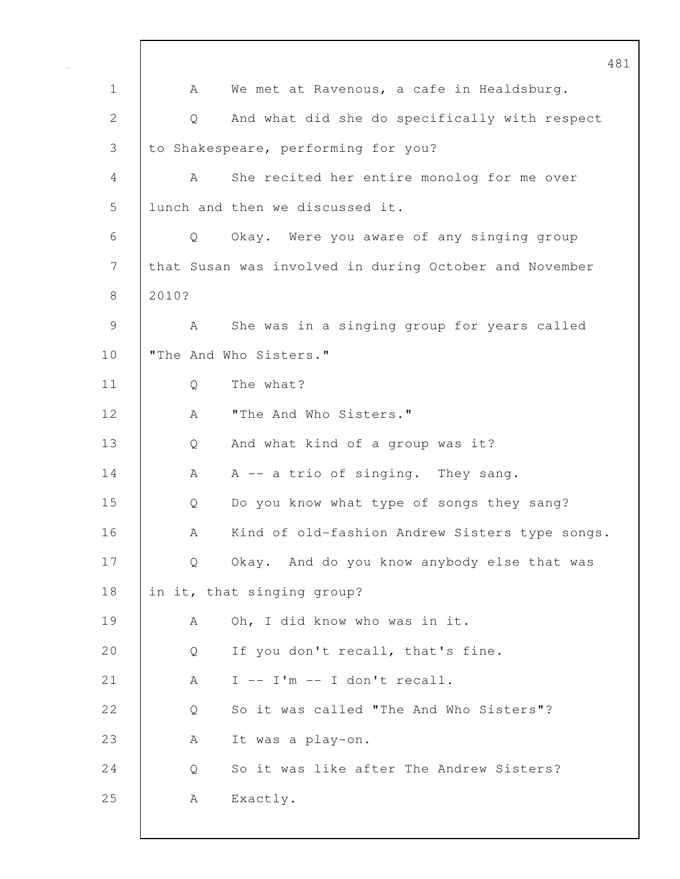481 1 A We met at Ravenous, a cafe in Healdsburg. 2 Q And what did she do specifically with respect 3 to Shakespeare, performing for you? 4 A She recited her entire monolog for me over 5 | lunch and then we discussed it. 6 Q Okay. Were you aware of any singing group 7 that Susan was involved in during October and November 8 2010? 9 A She was in a singing group for years called 10 | "The And Who Sisters." 11 Q The what? 12 | A "The And Who Sisters." 13 Q And what kind of a group was it? 14 A A -- a trio of singing. They sang. 15 | Q Do you know what type of songs they sang? 16 A Kind of old-fashion Andrew Sisters type songs. 17 | Q Okay. And do you know anybody else that was 18 | in it, that singing group? 19 | A Oh, I did know who was in it. 20 Q If you don't recall, that's fine. 21 | A I -- I'm -- I don't recall. 22 | O So it was called "The And Who Sisters"? 23 | A It was a play-on. 24 | O So it was like after The Andrew Sisters? 25 | A Exactly.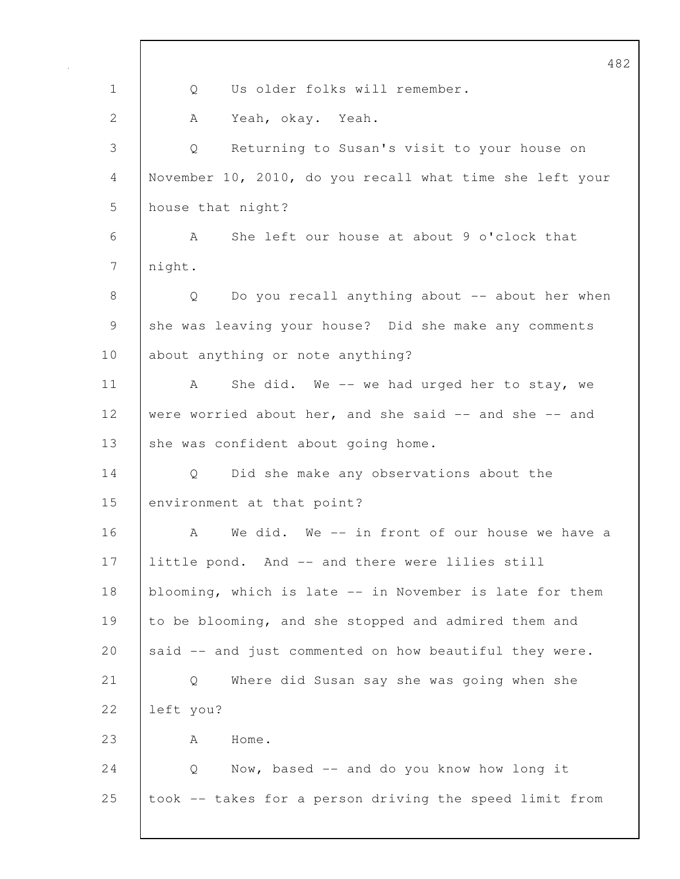|                | 482                                                      |
|----------------|----------------------------------------------------------|
| $\mathbf 1$    | Us older folks will remember.<br>Q                       |
| $\overline{2}$ | Yeah, okay. Yeah.<br>A                                   |
| 3              | Returning to Susan's visit to your house on<br>Q         |
| 4              | November 10, 2010, do you recall what time she left your |
| 5              | house that night?                                        |
| 6              | She left our house at about 9 o'clock that<br>A          |
| 7              | night.                                                   |
| 8              | Do you recall anything about -- about her when<br>Q      |
| 9              | she was leaving your house? Did she make any comments    |
| 10             | about anything or note anything?                         |
| 11             | She did. We -- we had urged her to stay, we<br>A         |
| 12             | were worried about her, and she said -- and she -- and   |
| 13             | she was confident about going home.                      |
| 14             | Did she make any observations about the<br>Q.            |
| 15             | environment at that point?                               |
| 16             | We did. We -- in front of our house we have a<br>А       |
| 17             | little pond. And -- and there were lilies still          |
| 18             | blooming, which is late -- in November is late for them  |
| 19             | to be blooming, and she stopped and admired them and     |
| 20             | said -- and just commented on how beautiful they were.   |
| 21             | Where did Susan say she was going when she<br>Q          |
| 22             | left you?                                                |
| 23             | Home.<br>A                                               |
| 24             | Now, based -- and do you know how long it<br>Q           |
| 25             | took -- takes for a person driving the speed limit from  |
|                |                                                          |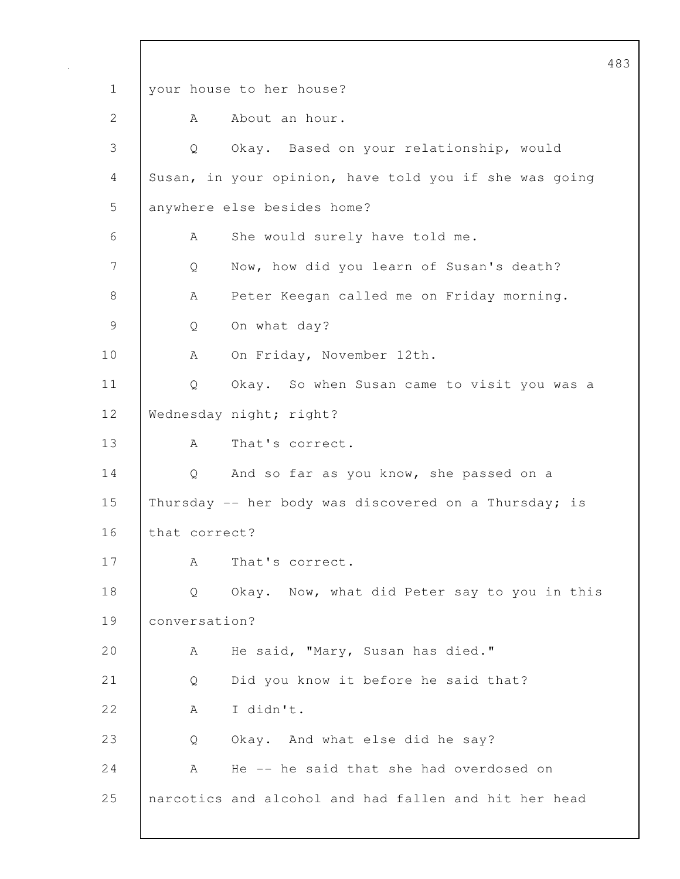483 1 your house to her house? 2 A About an hour. 3 Q Okay. Based on your relationship, would 4 Susan, in your opinion, have told you if she was going 5 anywhere else besides home? 6 | A She would surely have told me. 7 | Q Now, how did you learn of Susan's death? 8 | A Peter Keegan called me on Friday morning. 9 Q On what day? 10 | A On Friday, November 12th. 11 | Q Okay. So when Susan came to visit you was a 12 Wednesday night; right? 13 | A That's correct. 14 Q And so far as you know, she passed on a 15 Thursday -- her body was discovered on a Thursday; is 16 that correct? 17 | A That's correct. 18 Q Okay. Now, what did Peter say to you in this 19 conversation? 20 A He said, "Mary, Susan has died." 21 | Q Did you know it before he said that? 22 A I didn't. 23 Q Okay. And what else did he say? 24 A He -- he said that she had overdosed on 25 narcotics and alcohol and had fallen and hit her head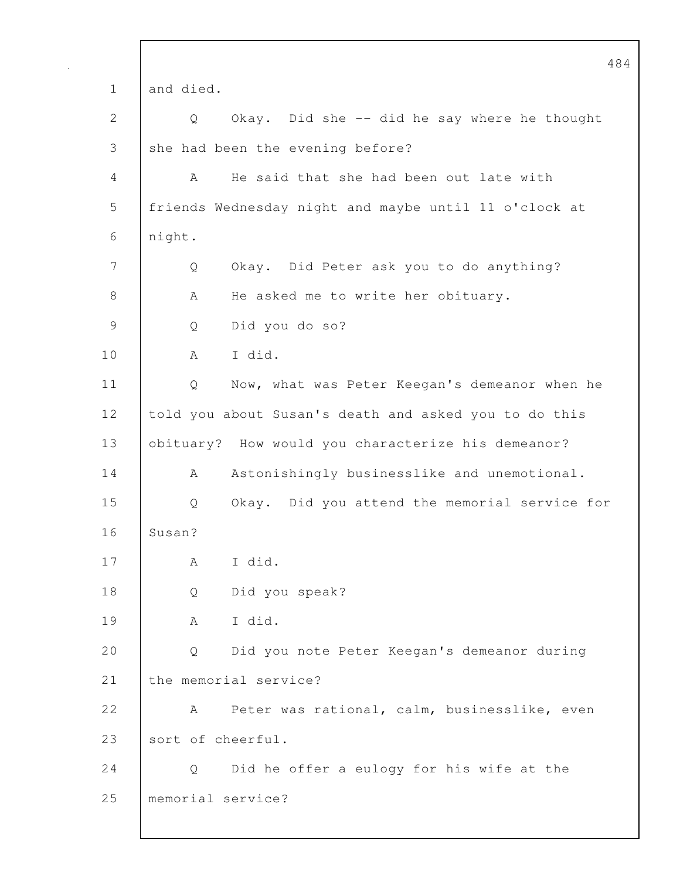|               | 48                                                    |
|---------------|-------------------------------------------------------|
| $\mathbf 1$   | and died.                                             |
| 2             | Okay. Did she -- did he say where he thought<br>Q     |
| 3             | she had been the evening before?                      |
| 4             | He said that she had been out late with<br>A          |
| 5             | friends Wednesday night and maybe until 11 o'clock at |
| 6             | night.                                                |
| 7             | Okay. Did Peter ask you to do anything?<br>Q          |
| $8\,$         | He asked me to write her obituary.<br>А               |
| $\mathcal{G}$ | Did you do so?<br>Q                                   |
| 10            | I did.<br>A                                           |
| 11            | Q<br>Now, what was Peter Keegan's demeanor when he    |
| 12            | told you about Susan's death and asked you to do this |
| 13            | obituary? How would you characterize his demeanor?    |
| 14            | Astonishingly businesslike and unemotional.<br>A      |
| 15            | Okay. Did you attend the memorial service for<br>Q    |
| 16            | Susan?                                                |
| 17            | I did.<br>А                                           |
| 18            | Did you speak?<br>Q                                   |
| 19            | I did.<br>A                                           |
| 20            | Did you note Peter Keegan's demeanor during<br>Q      |
| 21            | the memorial service?                                 |
| 22            | Peter was rational, calm, businesslike, even<br>A     |
| 23            | sort of cheerful.                                     |
| 24            | Did he offer a eulogy for his wife at the<br>Q        |
| 25            | memorial service?                                     |
|               |                                                       |

 $\mathbf l$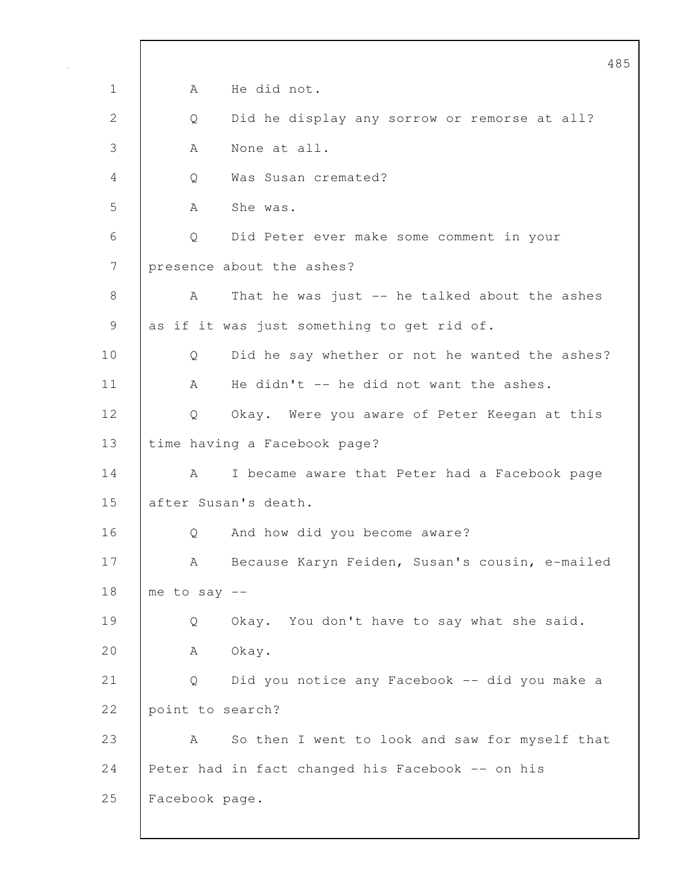|              | 485                                                 |
|--------------|-----------------------------------------------------|
| $\mathbf 1$  | He did not.<br>Α                                    |
| $\mathbf{2}$ | Did he display any sorrow or remorse at all?<br>Q   |
| 3            | None at all.<br>A                                   |
| 4            | Was Susan cremated?<br>Q                            |
| 5            | She was.<br>A                                       |
| 6            | Did Peter ever make some comment in your<br>Q       |
| 7            | presence about the ashes?                           |
| 8            | That he was just -- he talked about the ashes<br>A  |
| 9            | as if it was just something to get rid of.          |
| 10           | Did he say whether or not he wanted the ashes?<br>Q |
| 11           | He didn't -- he did not want the ashes.<br>A        |
| 12           | Okay. Were you aware of Peter Keegan at this<br>Q   |
| 13           | time having a Facebook page?                        |
| 14           | I became aware that Peter had a Facebook page<br>A  |
| 15           | after Susan's death.                                |
| 16           | And how did you become aware?<br>Q                  |
| 17           | Because Karyn Feiden, Susan's cousin, e-mailed<br>A |
| 18           | me to say $--$                                      |
| 19           | Okay. You don't have to say what she said.<br>Q     |
| 20           | Okay.<br>A                                          |
| 21           | Did you notice any Facebook -- did you make a<br>Q  |
| 22           | point to search?                                    |
| 23           | So then I went to look and saw for myself that<br>A |
| 24           | Peter had in fact changed his Facebook -- on his    |
| 25           | Facebook page.                                      |
|              |                                                     |

 $\overline{\phantom{a}}$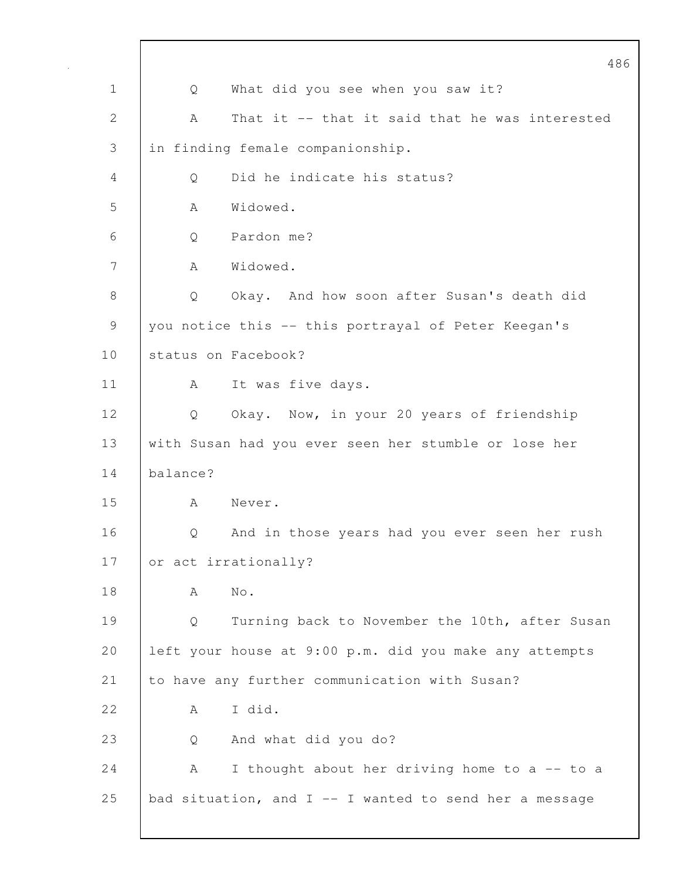|                |          | 486                                                      |
|----------------|----------|----------------------------------------------------------|
| $\mathbf 1$    | Q        | What did you see when you saw it?                        |
| $\overline{2}$ | Α        | That it -- that it said that he was interested           |
| 3              |          | in finding female companionship.                         |
| 4              | Q        | Did he indicate his status?                              |
| 5              | A        | Widowed.                                                 |
| 6              | Q        | Pardon me?                                               |
| 7              | A        | Widowed.                                                 |
| 8              | Q        | Okay. And how soon after Susan's death did               |
| $\mathsf 9$    |          | you notice this -- this portrayal of Peter Keegan's      |
| 10             |          | status on Facebook?                                      |
| 11             | A        | It was five days.                                        |
| 12             | Q        | Okay. Now, in your 20 years of friendship                |
| 13             |          | with Susan had you ever seen her stumble or lose her     |
| 14             | balance? |                                                          |
| 15             | A        | Never.                                                   |
| 16             | Q        | And in those years had you ever seen her rush            |
| 17             |          | or act irrationally?                                     |
| 18             | A        | $\mathrm{No}$ .                                          |
| 19             | Q        | Turning back to November the 10th, after Susan           |
| 20             |          | left your house at 9:00 p.m. did you make any attempts   |
| 21             |          | to have any further communication with Susan?            |
| 22             | A        | I did.                                                   |
| 23             | Q        | And what did you do?                                     |
| 24             | A        | I thought about her driving home to a -- to a            |
| 25             |          | bad situation, and $I$ -- I wanted to send her a message |
|                |          |                                                          |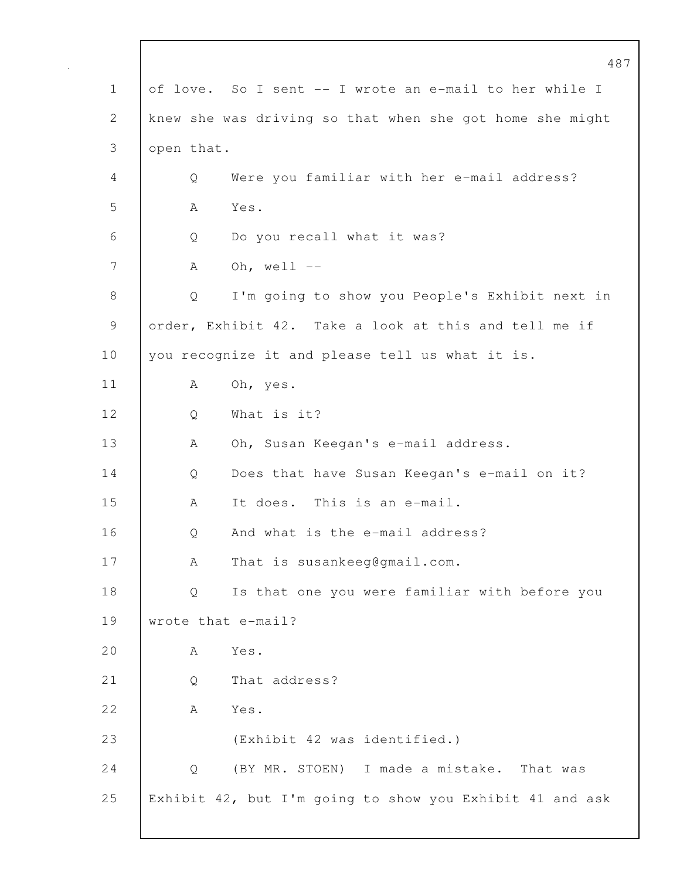|              |            | 487                                                      |
|--------------|------------|----------------------------------------------------------|
| $\mathbf 1$  |            | of love. So I sent -- I wrote an e-mail to her while I   |
| $\mathbf{2}$ |            | knew she was driving so that when she got home she might |
| 3            | open that. |                                                          |
| 4            | Q          | Were you familiar with her e-mail address?               |
| 5            | А          | Yes.                                                     |
| 6            | Q          | Do you recall what it was?                               |
| 7            | Α          | Oh, well $--$                                            |
| 8            | Q          | I'm going to show you People's Exhibit next in           |
| 9            |            | order, Exhibit 42. Take a look at this and tell me if    |
| 10           |            | you recognize it and please tell us what it is.          |
| 11           | Α          | Oh, yes.                                                 |
| 12           | Q          | What is it?                                              |
| 13           | А          | Oh, Susan Keegan's e-mail address.                       |
| 14           | Q          | Does that have Susan Keegan's e-mail on it?              |
| 15           | A          | It does. This is an e-mail.                              |
| 16           | Q          | And what is the e-mail address?                          |
| 17           | А          | That is susankeeg@gmail.com.                             |
| 18           | Q          | Is that one you were familiar with before you            |
| 19           |            | wrote that e-mail?                                       |
| 20           | A          | Yes.                                                     |
| 21           | Q          | That address?                                            |
| 22           | A          | Yes.                                                     |
| 23           |            | (Exhibit 42 was identified.)                             |
| 24           | Q          | (BY MR. STOEN) I made a mistake.<br>That was             |
| 25           |            | Exhibit 42, but I'm going to show you Exhibit 41 and ask |
|              |            |                                                          |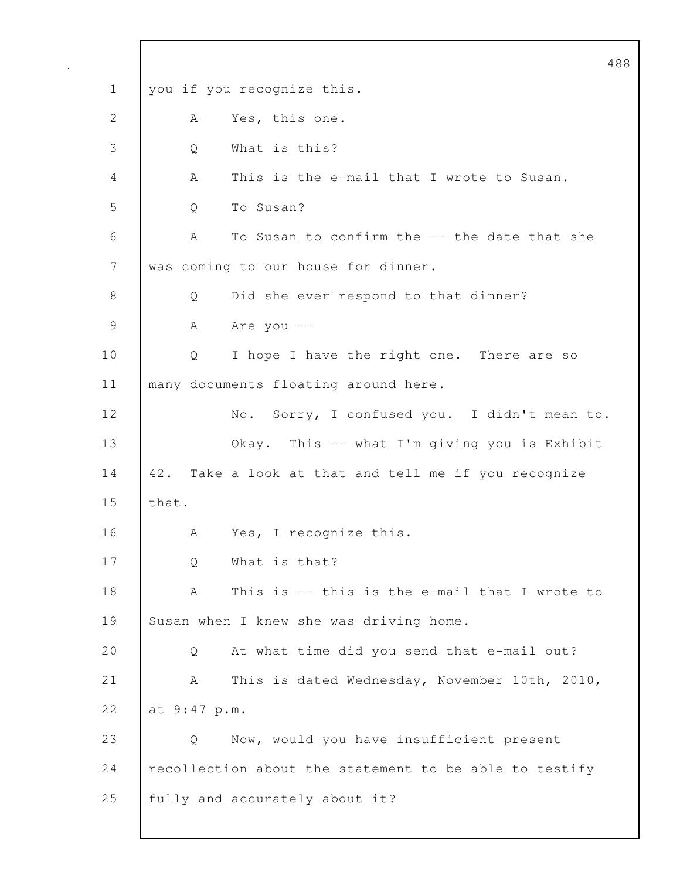488 1 you if you recognize this. 2 A Yes, this one. 3 Q What is this? 4 A This is the e-mail that I wrote to Susan. 5 | O To Susan? 6 A To Susan to confirm the -- the date that she 7 was coming to our house for dinner. 8 | Q Did she ever respond to that dinner? 9 A Are you --10 | Q I hope I have the right one. There are so 11 | many documents floating around here. 12 | No. Sorry, I confused you. I didn't mean to. 13 Okay. This -- what I'm giving you is Exhibit 14 42. Take a look at that and tell me if you recognize 15 that. 16 | A Yes, I recognize this. 17 Q What is that? 18 A This is -- this is the e-mail that I wrote to 19 Susan when I knew she was driving home. 20 Q At what time did you send that e-mail out? 21 A This is dated Wednesday, November 10th, 2010, 22 at 9:47 p.m. 23 Q Now, would you have insufficient present 24 recollection about the statement to be able to testify 25 fully and accurately about it?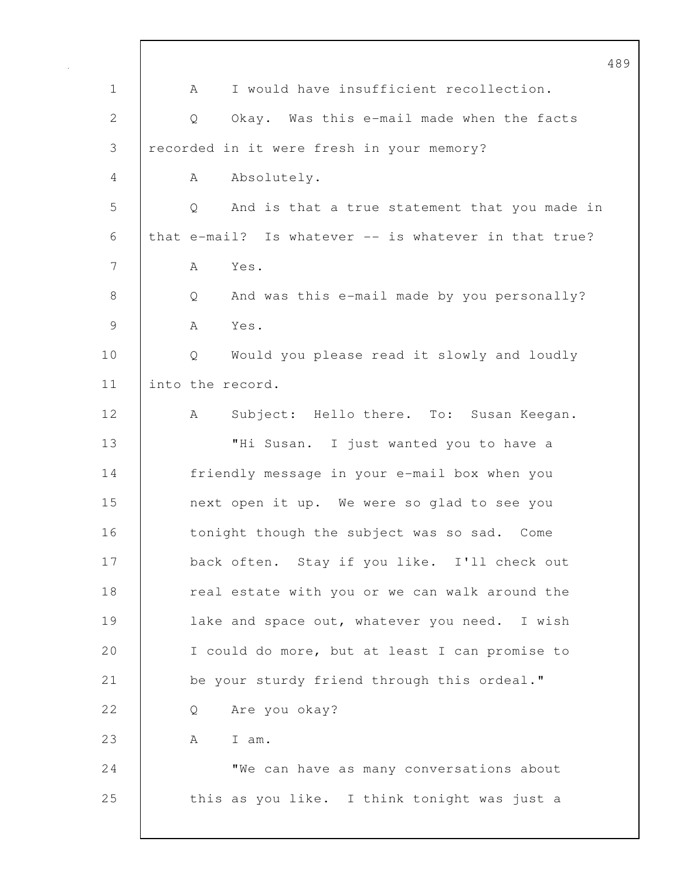|               |   |                                                       | 489 |
|---------------|---|-------------------------------------------------------|-----|
| $\mathbf 1$   | A | I would have insufficient recollection.               |     |
| 2             | Q | Okay. Was this e-mail made when the facts             |     |
| 3             |   | recorded in it were fresh in your memory?             |     |
| 4             | A | Absolutely.                                           |     |
| 5             | Q | And is that a true statement that you made in         |     |
| 6             |   | that e-mail? Is whatever -- is whatever in that true? |     |
| 7             | A | Yes.                                                  |     |
| $8\,$         | Q | And was this e-mail made by you personally?           |     |
| $\mathcal{G}$ | A | Yes.                                                  |     |
| 10            | Q | Would you please read it slowly and loudly            |     |
| 11            |   | into the record.                                      |     |
| 12            | A | Subject: Hello there. To: Susan Keegan.               |     |
| 13            |   | "Hi Susan. I just wanted you to have a                |     |
| 14            |   | friendly message in your e-mail box when you          |     |
| 15            |   | next open it up. We were so glad to see you           |     |
| 16            |   | tonight though the subject was so sad. Come           |     |
| 17            |   | back often. Stay if you like. I'll check out          |     |
| 18            |   | real estate with you or we can walk around the        |     |
| 19            |   | lake and space out, whatever you need. I wish         |     |
| 20            |   | I could do more, but at least I can promise to        |     |
| 21            |   | be your sturdy friend through this ordeal."           |     |
| 22            | Q | Are you okay?                                         |     |
| 23            | A | I am.                                                 |     |
| 24            |   | "We can have as many conversations about              |     |
| 25            |   | this as you like. I think tonight was just a          |     |
|               |   |                                                       |     |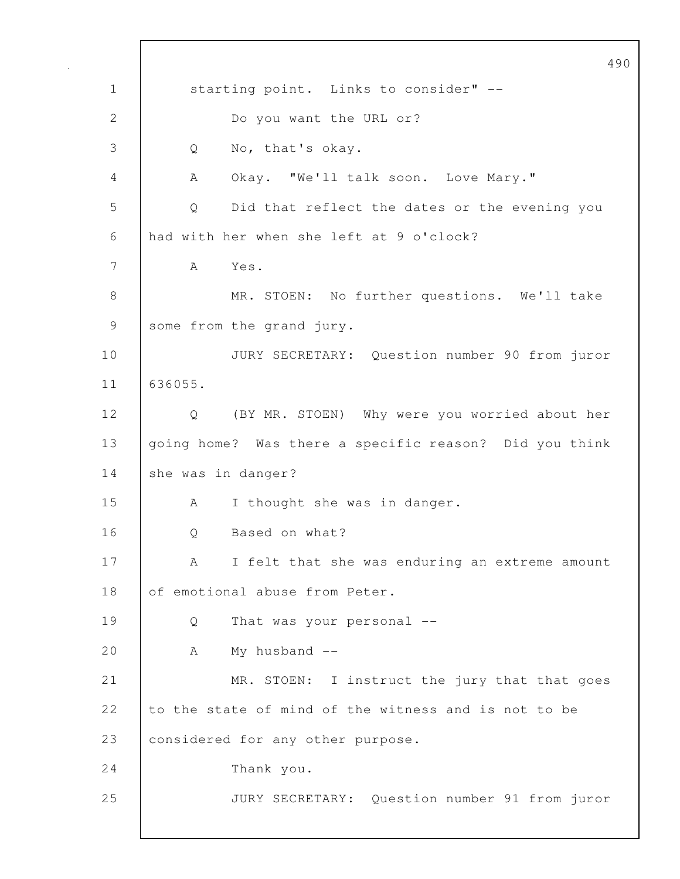490 1 | starting point. Links to consider" --2 Do you want the URL or? 3 Q No, that's okay. 4 A Okay. "We'll talk soon. Love Mary." 5 Q Did that reflect the dates or the evening you 6 had with her when she left at 9 o'clock? 7 A Yes. 8 | MR. STOEN: No further questions. We'll take 9 some from the grand jury. 10 JURY SECRETARY: Question number 90 from juror 11 636055. 12 Q (BY MR. STOEN) Why were you worried about her 13 | going home? Was there a specific reason? Did you think 14 she was in danger? 15 A I thought she was in danger. 16 | O Based on what? 17 | A I felt that she was enduring an extreme amount 18 of emotional abuse from Peter. 19 Q That was your personal -- 20 A My husband --21 MR. STOEN: I instruct the jury that that goes 22 to the state of mind of the witness and is not to be 23 considered for any other purpose. 24 Thank you. 25 JURY SECRETARY: Question number 91 from juror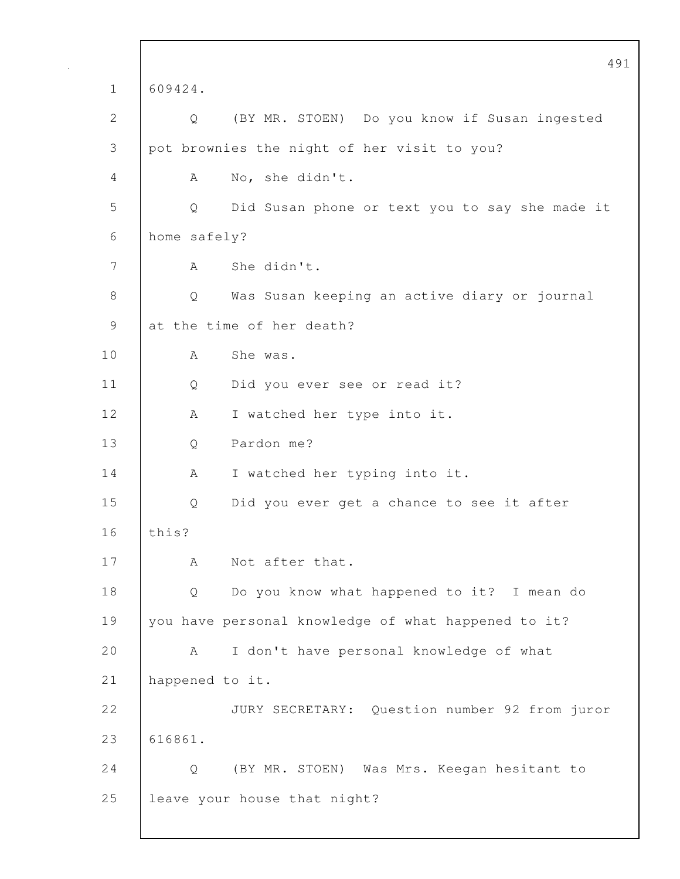|                | 491                                                 |
|----------------|-----------------------------------------------------|
| $\mathbf 1$    | 609424.                                             |
| $\mathbf{2}$   | (BY MR. STOEN) Do you know if Susan ingested<br>Q   |
| $\mathfrak{Z}$ | pot brownies the night of her visit to you?         |
| 4              | No, she didn't.<br>A                                |
| 5              | Did Susan phone or text you to say she made it<br>Q |
| 6              | home safely?                                        |
| 7              | She didn't.<br>A                                    |
| $8\,$          | Was Susan keeping an active diary or journal<br>Q   |
| $\mathcal{G}$  | at the time of her death?                           |
| 10             | She was.<br>A                                       |
| 11             | Did you ever see or read it?<br>Q                   |
| 12             | I watched her type into it.<br>A                    |
| 13             | Pardon me?<br>Q                                     |
| 14             | I watched her typing into it.<br>A                  |
| 15             | Did you ever get a chance to see it after<br>Q      |
| 16             | this?                                               |
| 17             | Not after that.<br>А                                |
| 18             | Do you know what happened to it? I mean do<br>Q     |
| 19             | you have personal knowledge of what happened to it? |
| 20             | I don't have personal knowledge of what<br>A        |
| 21             | happened to it.                                     |
| 22             | JURY SECRETARY: Question number 92 from juror       |
| 23             | 616861.                                             |
| 24             | (BY MR. STOEN) Was Mrs. Keegan hesitant to<br>Q     |
| 25             | leave your house that night?                        |
|                |                                                     |

 $\overline{\phantom{a}}$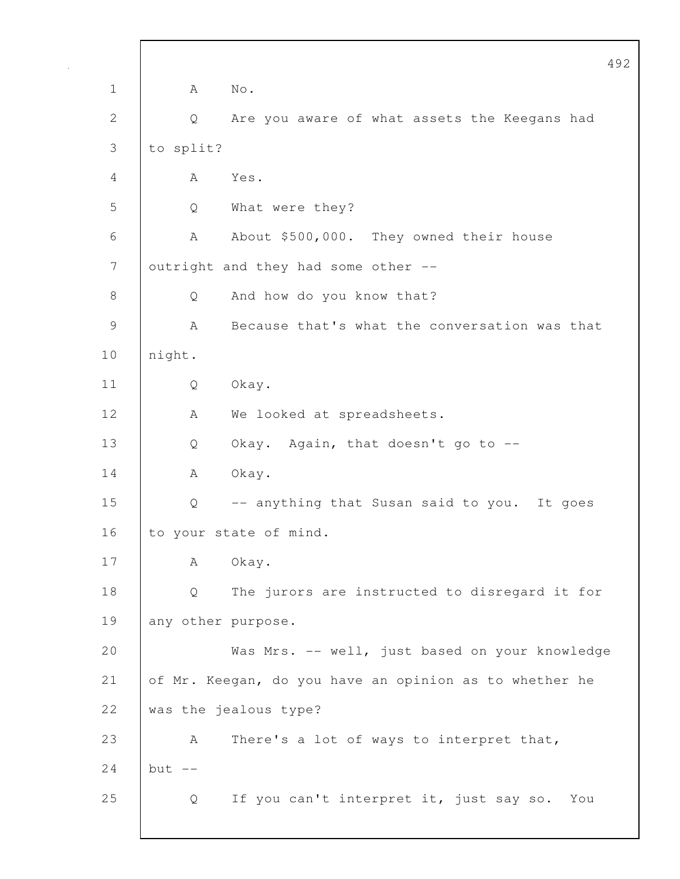492 1 | A No. 2 Q Are you aware of what assets the Keegans had 3 to split? 4 A Yes. 5 Q What were they? 6 A About \$500,000. They owned their house 7 | outright and they had some other --8 Q And how do you know that? 9 A Because that's what the conversation was that 10 night. 11 Q Okay. 12 | A We looked at spreadsheets. 13 Q Okay. Again, that doesn't go to --14 | A Okay. 15 Q -- anything that Susan said to you. It goes 16 to your state of mind. 17 | A Okay. 18 Q The jurors are instructed to disregard it for 19 any other purpose. 20 Was Mrs. -- well, just based on your knowledge 21 of Mr. Keegan, do you have an opinion as to whether he 22 was the jealous type? 23 A There's a lot of ways to interpret that, 24  $\vert$  but  $\vert$  --25 Q If you can't interpret it, just say so. You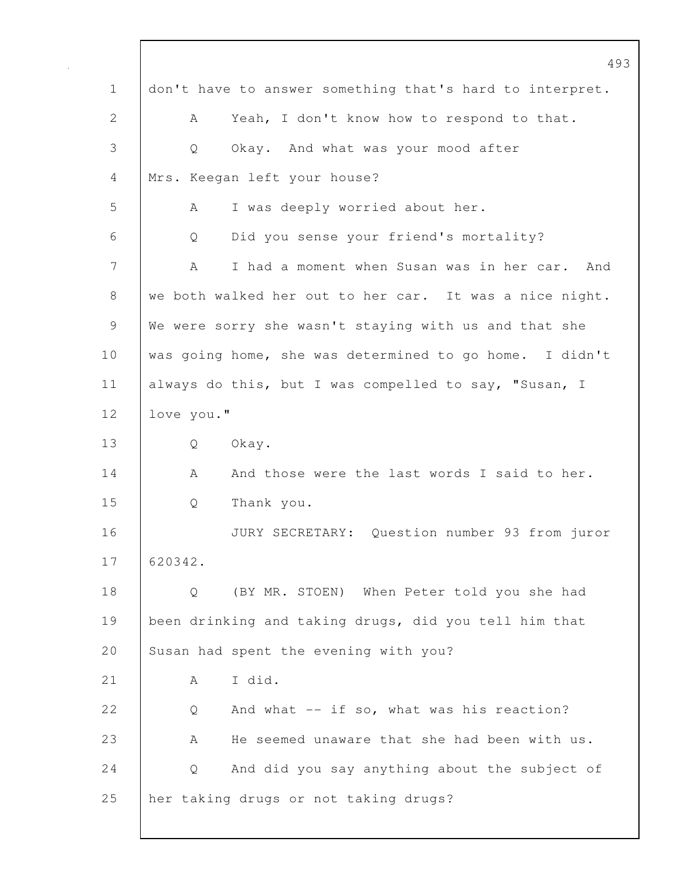|              | 493                                                      |
|--------------|----------------------------------------------------------|
| $\mathbf 1$  | don't have to answer something that's hard to interpret. |
| $\mathbf{2}$ | Yeah, I don't know how to respond to that.<br>Α          |
| 3            | Okay. And what was your mood after<br>Q                  |
| 4            | Mrs. Keegan left your house?                             |
| 5            | I was deeply worried about her.<br>A                     |
| 6            | Did you sense your friend's mortality?<br>Q              |
| 7            | A<br>I had a moment when Susan was in her car. And       |
| 8            | we both walked her out to her car. It was a nice night.  |
| 9            | We were sorry she wasn't staying with us and that she    |
| 10           | was going home, she was determined to go home. I didn't  |
| 11           | always do this, but I was compelled to say, "Susan, I    |
| 12           | love you."                                               |
| 13           | Okay.<br>Q                                               |
| 14           | And those were the last words I said to her.<br>A        |
| 15           | Thank you.<br>Q                                          |
| 16           | JURY SECRETARY: Question number 93 from juror            |
| 17           | 620342.                                                  |
| 18           | (BY MR. STOEN) When Peter told you she had<br>Q          |
| 19           | been drinking and taking drugs, did you tell him that    |
| 20           | Susan had spent the evening with you?                    |
| 21           | I did.<br>A                                              |
| 22           | And what $--$ if so, what was his reaction?<br>Q         |
| 23           | He seemed unaware that she had been with us.<br>Α        |
| 24           | And did you say anything about the subject of<br>Q       |
| 25           | her taking drugs or not taking drugs?                    |
|              |                                                          |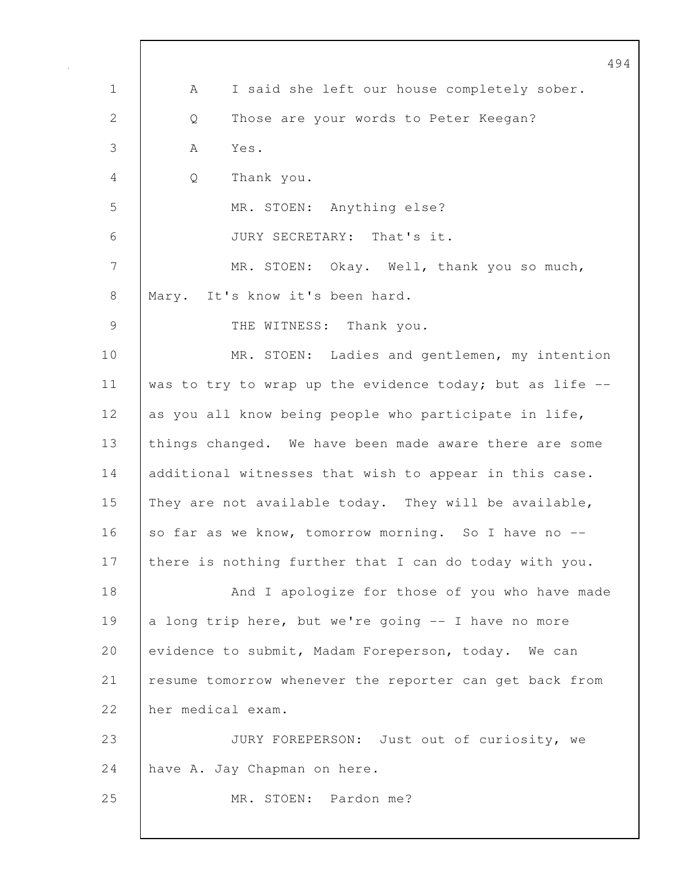|              | 494                                                      |
|--------------|----------------------------------------------------------|
| $\mathbf 1$  | I said she left our house completely sober.<br>A         |
| $\mathbf{2}$ | Those are your words to Peter Keegan?<br>Q               |
| 3            | Yes.<br>A                                                |
| 4            | Thank you.<br>Q                                          |
| 5            | MR. STOEN: Anything else?                                |
| 6            | JURY SECRETARY: That's it.                               |
| 7            | MR. STOEN: Okay. Well, thank you so much,                |
| 8            | Mary. It's know it's been hard.                          |
| 9            | THE WITNESS: Thank you.                                  |
| 10           | MR. STOEN: Ladies and gentlemen, my intention            |
| 11           | was to try to wrap up the evidence today; but as life -- |
| 12           | as you all know being people who participate in life,    |
| 13           | things changed. We have been made aware there are some   |
| 14           | additional witnesses that wish to appear in this case.   |
| 15           | They are not available today. They will be available,    |
| 16           | so far as we know, tomorrow morning. So I have no        |
| 17           | there is nothing further that I can do today with you.   |
| 18           | And I apologize for those of you who have made           |
| 19           | a long trip here, but we're going -- I have no more      |
| 20           | evidence to submit, Madam Foreperson, today. We can      |
| 21           | resume tomorrow whenever the reporter can get back from  |
| 22           | her medical exam.                                        |
| 23           | JURY FOREPERSON: Just out of curiosity, we               |
| 24           | have A. Jay Chapman on here.                             |
| 25           | MR. STOEN: Pardon me?                                    |
|              |                                                          |

 $\mathbf I$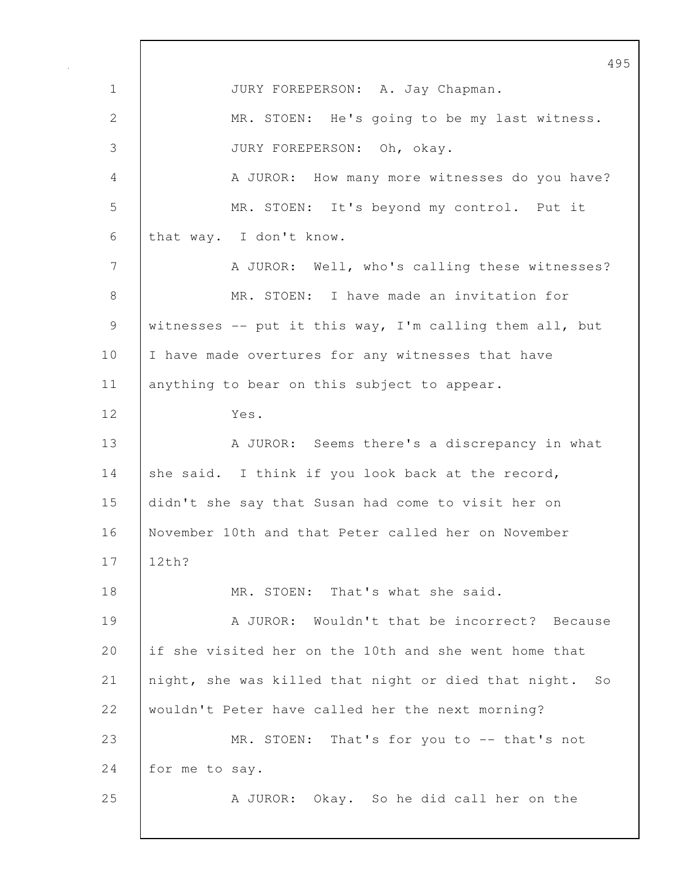495 1 JURY FOREPERSON: A. Jay Chapman. 2 MR. STOEN: He's going to be my last witness. 3 JURY FOREPERSON: Oh, okay. 4 A JUROR: How many more witnesses do you have? 5 MR. STOEN: It's beyond my control. Put it 6 that way. I don't know. 7 A JUROR: Well, who's calling these witnesses? 8 MR. STOEN: I have made an invitation for 9 witnesses -- put it this way, I'm calling them all, but 10 | I have made overtures for any witnesses that have 11 | anything to bear on this subject to appear. 12 Yes. 13 A JUROR: Seems there's a discrepancy in what 14 she said. I think if you look back at the record, 15 didn't she say that Susan had come to visit her on 16 November 10th and that Peter called her on November 17 12th? 18 MR. STOEN: That's what she said. 19 A JUROR: Wouldn't that be incorrect? Because 20 if she visited her on the 10th and she went home that 21 night, she was killed that night or died that night. So 22 wouldn't Peter have called her the next morning? 23 MR. STOEN: That's for you to -- that's not 24 for me to say. 25 | A JUROR: Okay. So he did call her on the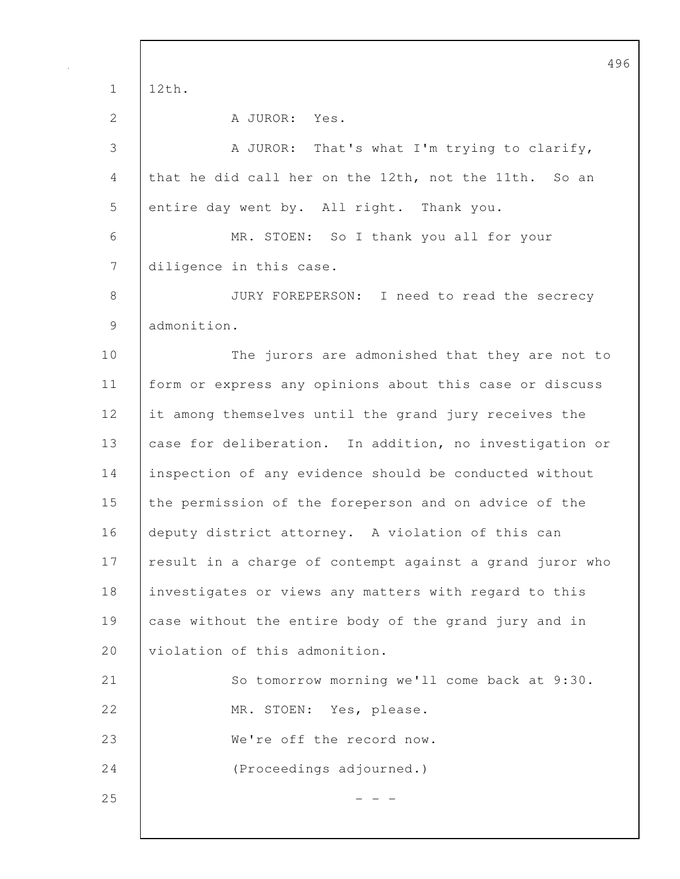496 1 12th. 2 A JUROR: Yes. 3 A JUROR: That's what I'm trying to clarify, 4 that he did call her on the 12th, not the 11th. So an 5 entire day went by. All right. Thank you. 6 MR. STOEN: So I thank you all for your 7 diligence in this case. 8 JURY FOREPERSON: I need to read the secrecy 9 admonition. 10 The jurors are admonished that they are not to 11 form or express any opinions about this case or discuss 12 it among themselves until the grand jury receives the 13 case for deliberation. In addition, no investigation or 14 inspection of any evidence should be conducted without 15 the permission of the foreperson and on advice of the 16 deputy district attorney. A violation of this can 17 result in a charge of contempt against a grand juror who 18 investigates or views any matters with regard to this 19 case without the entire body of the grand jury and in 20 violation of this admonition. 21 So tomorrow morning we'll come back at 9:30. 22 MR. STOEN: Yes, please. 23 We're off the record now. 24 (Proceedings adjourned.)  $25$  - - -